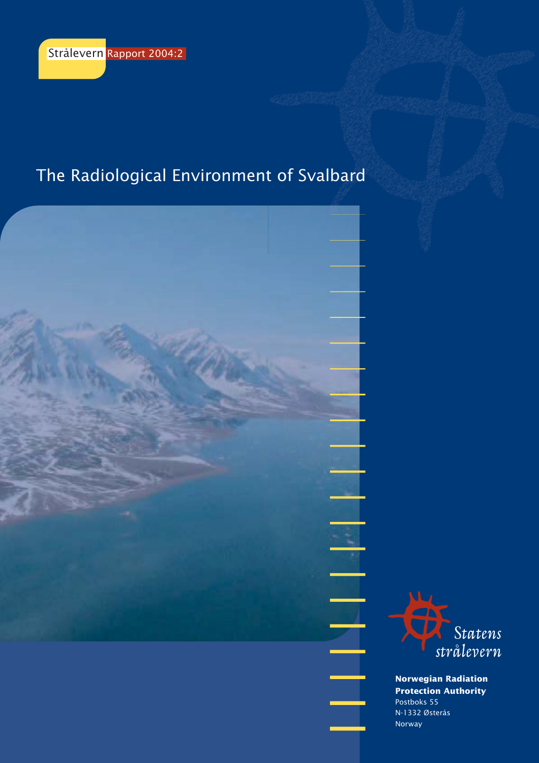# The Radiological Environment of Svalbard





**Norwegian Radiation Protection Authority** Postboks 55 N-1332 Østerås Norway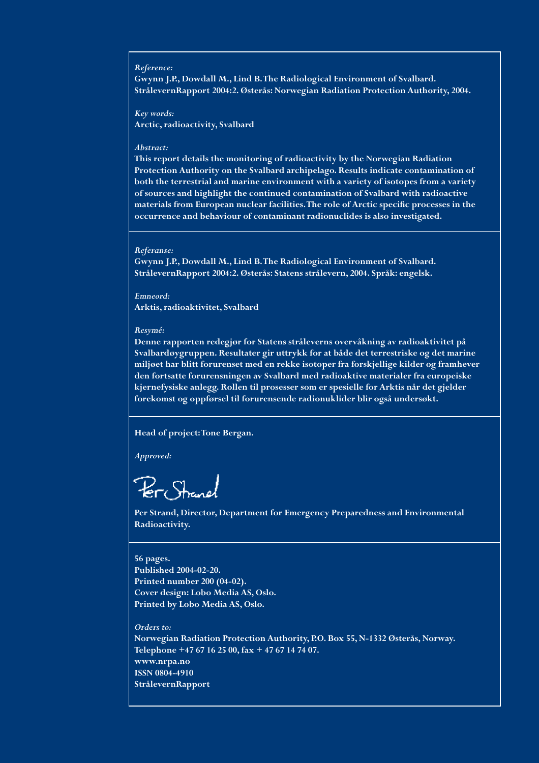#### *Reference:*

**Gwynn J.P., Dowdall M., Lind B. The Radiological Environment of Svalbard. StrålevernRapport 2004:2. Østerås: Norwegian Radiation Protection Authority, 2004.**

*Key words:* **Arctic, radioactivity, Svalbard**

#### *Abstract:*

**This report details the monitoring of radioactivity by the Norwegian Radiation Protection Authority on the Svalbard archipelago. Results indicate contamination of both the terrestrial and marine environment with a variety of isotopes from a variety of sources and highlight the continued contamination of Svalbard with radioactive materials from European nuclear facilities. The role of Arctic specific processes in the occurrence and behaviour of contaminant radionuclides is also investigated.**

#### *Referanse:*

**Gwynn J.P., Dowdall M., Lind B. The Radiological Environment of Svalbard. StrålevernRapport 2004:2. Østerås: Statens strålevern, 2004. Språk: engelsk.**

*Emneord:* **Arktis, radioaktivitet, Svalbard**

#### *Resymé:*

**Denne rapporten redegjør for Statens stråleverns overvåkning av radioaktivitet på Svalbardøygruppen. Resultater gir uttrykk for at både det terrestriske og det marine miljøet har blitt forurenset med en rekke isotoper fra forskjellige kilder og framhever den fortsatte forurensningen av Svalbard med radioaktive materialer fra europeiske kjernefysiske anlegg. Rollen til prosesser som er spesielle for Arktis når det gjelder forekomst og oppførsel til forurensende radionuklider blir også undersøkt.**

#### **Head of project: Tone Bergan.**

*Approved:*

**Per Strand, Director, Department for Emergency Preparedness and Environmental Radioactivity.**

#### **56 pages. Published 2004-02-20. Printed number 200 (04-02). Cover design: Lobo Media AS, Oslo. Printed by Lobo Media AS, Oslo.**

*Orders to:* **Norwegian Radiation Protection Authority, P.O. Box 55, N-1332 Østerås, Norway. Telephone +47 67 16 25 00, fax + 47 67 14 74 07. www.nrpa.no ISSN 0804-4910 StrålevernRapport**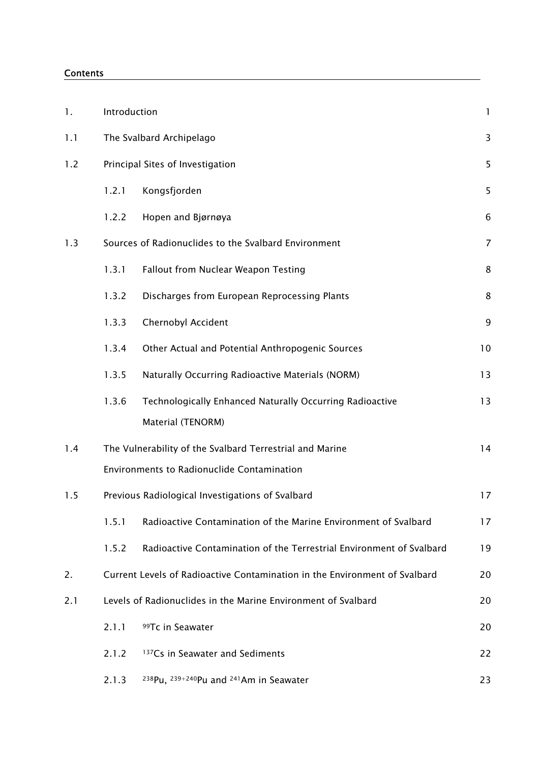### Contents

| 1.  | Introduction |                                                                            | $\mathbf{1}$   |
|-----|--------------|----------------------------------------------------------------------------|----------------|
| 1.1 |              | The Svalbard Archipelago                                                   | 3              |
| 1.2 |              | Principal Sites of Investigation                                           | 5              |
|     | 1.2.1        | Kongsfjorden                                                               | 5              |
|     | 1.2.2        | Hopen and Bjørnøya                                                         | 6              |
| 1.3 |              | Sources of Radionuclides to the Svalbard Environment                       | $\overline{7}$ |
|     | 1.3.1        | <b>Fallout from Nuclear Weapon Testing</b>                                 | 8              |
|     | 1.3.2        | Discharges from European Reprocessing Plants                               | 8              |
|     | 1.3.3        | Chernobyl Accident                                                         | 9              |
|     | 1.3.4        | Other Actual and Potential Anthropogenic Sources                           | 10             |
|     | 1.3.5        | Naturally Occurring Radioactive Materials (NORM)                           | 13             |
|     | 1.3.6        | Technologically Enhanced Naturally Occurring Radioactive                   | 13             |
|     |              | Material (TENORM)                                                          |                |
| 1.4 |              | The Vulnerability of the Svalbard Terrestrial and Marine                   | 14             |
|     |              | Environments to Radionuclide Contamination                                 |                |
| 1.5 |              | Previous Radiological Investigations of Svalbard                           | 17             |
|     | 1.5.1        | Radioactive Contamination of the Marine Environment of Svalbard            | 17             |
|     | 1.5.2        | Radioactive Contamination of the Terrestrial Environment of Svalbard       | 19             |
| 2.  |              | Current Levels of Radioactive Contamination in the Environment of Svalbard | 20             |
| 2.1 |              | Levels of Radionuclides in the Marine Environment of Svalbard              | 20             |
|     | 2.1.1        | 99Tc in Seawater                                                           | 20             |
|     | 2.1.2        | <sup>137</sup> Cs in Seawater and Sediments                                | 22             |
|     | 2.1.3        | 238Pu, 239+240Pu and 241Am in Seawater                                     | 23             |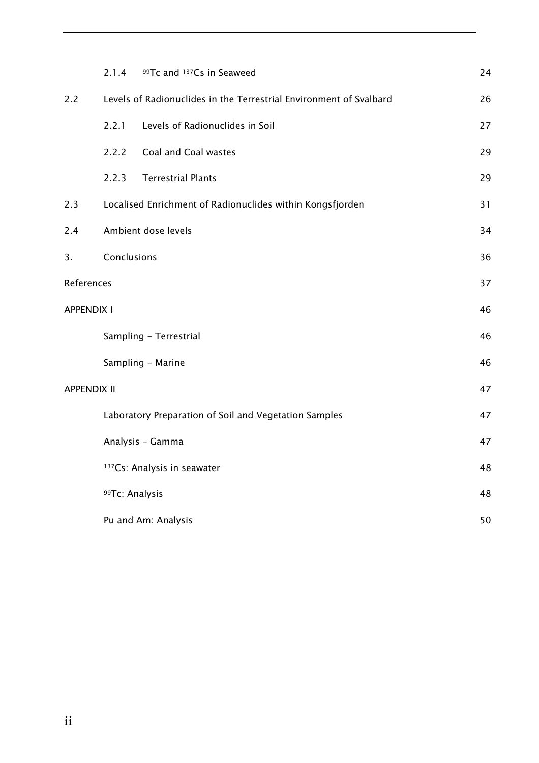|                    | 2.1.4          | 99Tc and 137Cs in Seaweed                                          | 24 |
|--------------------|----------------|--------------------------------------------------------------------|----|
| 2.2                |                | Levels of Radionuclides in the Terrestrial Environment of Svalbard | 26 |
|                    | 2.2.1          | Levels of Radionuclides in Soil                                    | 27 |
|                    | 2.2.2          | Coal and Coal wastes                                               | 29 |
|                    | 2.2.3          | <b>Terrestrial Plants</b>                                          | 29 |
| 2.3                |                | Localised Enrichment of Radionuclides within Kongsfjorden          | 31 |
| 2.4                |                | Ambient dose levels                                                | 34 |
| 3.                 | Conclusions    |                                                                    | 36 |
| References         |                |                                                                    | 37 |
| <b>APPENDIX I</b>  |                |                                                                    | 46 |
|                    |                | Sampling - Terrestrial                                             | 46 |
|                    |                | Sampling - Marine                                                  | 46 |
| <b>APPENDIX II</b> |                |                                                                    | 47 |
|                    |                | Laboratory Preparation of Soil and Vegetation Samples              | 47 |
|                    |                | Analysis - Gamma                                                   | 47 |
|                    |                | <sup>137</sup> Cs: Analysis in seawater                            | 48 |
|                    | 99Tc: Analysis |                                                                    | 48 |
|                    |                | Pu and Am: Analysis                                                | 50 |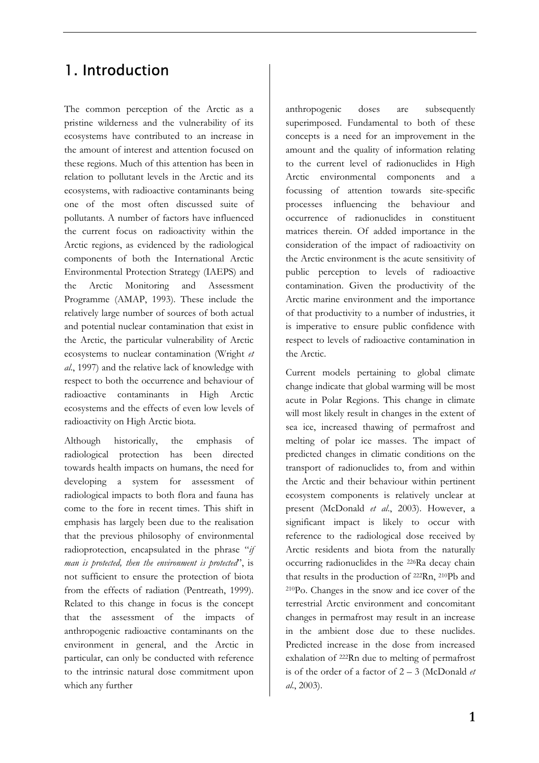# 1. Introduction

The common perception of the Arctic as a pristine wilderness and the vulnerability of its ecosystems have contributed to an increase in the amount of interest and attention focused on these regions. Much of this attention has been in relation to pollutant levels in the Arctic and its ecosystems, with radioactive contaminants being one of the most often discussed suite of pollutants. A number of factors have influenced the current focus on radioactivity within the Arctic regions, as evidenced by the radiological components of both the International Arctic Environmental Protection Strategy (IAEPS) and the Arctic Monitoring and Assessment Programme (AMAP, 1993). These include the relatively large number of sources of both actual and potential nuclear contamination that exist in the Arctic, the particular vulnerability of Arctic ecosystems to nuclear contamination (Wright *et al*., 1997) and the relative lack of knowledge with respect to both the occurrence and behaviour of radioactive contaminants in High Arctic ecosystems and the effects of even low levels of radioactivity on High Arctic biota.

Although historically, the emphasis of radiological protection has been directed towards health impacts on humans, the need for developing a system for assessment of radiological impacts to both flora and fauna has come to the fore in recent times. This shift in emphasis has largely been due to the realisation that the previous philosophy of environmental radioprotection, encapsulated in the phrase "*if man is protected, then the environment is protected*", is not sufficient to ensure the protection of biota from the effects of radiation (Pentreath, 1999). Related to this change in focus is the concept that the assessment of the impacts of anthropogenic radioactive contaminants on the environment in general, and the Arctic in particular, can only be conducted with reference to the intrinsic natural dose commitment upon which any further

anthropogenic doses are subsequently superimposed. Fundamental to both of these concepts is a need for an improvement in the amount and the quality of information relating to the current level of radionuclides in High Arctic environmental components and a focussing of attention towards site-specific processes influencing the behaviour and occurrence of radionuclides in constituent matrices therein. Of added importance in the consideration of the impact of radioactivity on the Arctic environment is the acute sensitivity of public perception to levels of radioactive contamination. Given the productivity of the Arctic marine environment and the importance of that productivity to a number of industries, it is imperative to ensure public confidence with respect to levels of radioactive contamination in the Arctic.

Current models pertaining to global climate change indicate that global warming will be most acute in Polar Regions. This change in climate will most likely result in changes in the extent of sea ice, increased thawing of permafrost and melting of polar ice masses. The impact of predicted changes in climatic conditions on the transport of radionuclides to, from and within the Arctic and their behaviour within pertinent ecosystem components is relatively unclear at present (McDonald *et al*., 2003). However, a significant impact is likely to occur with reference to the radiological dose received by Arctic residents and biota from the naturally occurring radionuclides in the 226Ra decay chain that results in the production of 222Rn, 210Pb and 210Po. Changes in the snow and ice cover of the terrestrial Arctic environment and concomitant changes in permafrost may result in an increase in the ambient dose due to these nuclides. Predicted increase in the dose from increased exhalation of 222Rn due to melting of permafrost is of the order of a factor of 2 – 3 (McDonald *et al*., 2003).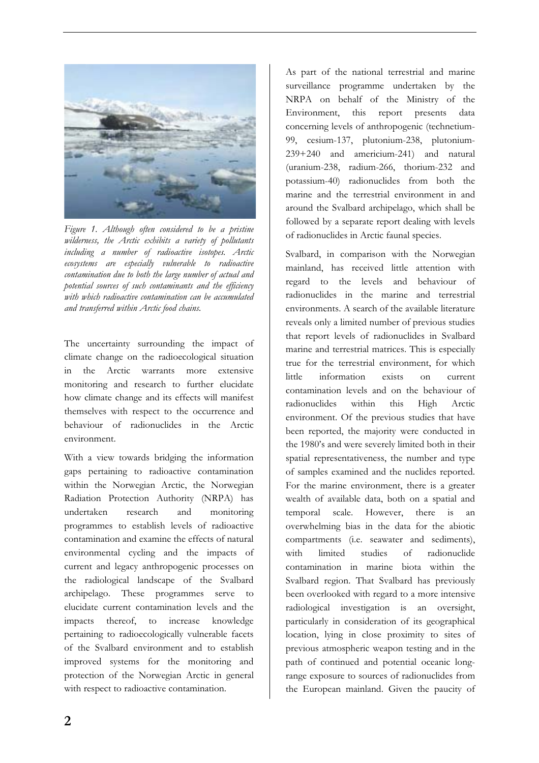

*Figure 1. Although often considered to be a pristine wilderness, the Arctic exhibits a variety of pollutants including a number of radioactive isotopes. Arctic ecosystems are especially vulnerable to radioactive contamination due to both the large number of actual and potential sources of such contaminants and the efficiency with which radioactive contamination can be accumulated and transferred within Arctic food chains.* 

The uncertainty surrounding the impact of climate change on the radioecological situation in the Arctic warrants more extensive monitoring and research to further elucidate how climate change and its effects will manifest themselves with respect to the occurrence and behaviour of radionuclides in the Arctic environment.

With a view towards bridging the information gaps pertaining to radioactive contamination within the Norwegian Arctic, the Norwegian Radiation Protection Authority (NRPA) has undertaken research and monitoring programmes to establish levels of radioactive contamination and examine the effects of natural environmental cycling and the impacts of current and legacy anthropogenic processes on the radiological landscape of the Svalbard archipelago. These programmes serve to elucidate current contamination levels and the impacts thereof, to increase knowledge pertaining to radioecologically vulnerable facets of the Svalbard environment and to establish improved systems for the monitoring and protection of the Norwegian Arctic in general with respect to radioactive contamination.

As part of the national terrestrial and marine surveillance programme undertaken by the NRPA on behalf of the Ministry of the Environment, this report presents data concerning levels of anthropogenic (technetium-99, cesium-137, plutonium-238, plutonium-239+240 and americium-241) and natural (uranium-238, radium-266, thorium-232 and potassium-40) radionuclides from both the marine and the terrestrial environment in and around the Svalbard archipelago, which shall be followed by a separate report dealing with levels of radionuclides in Arctic faunal species.

Svalbard, in comparison with the Norwegian mainland, has received little attention with regard to the levels and behaviour of radionuclides in the marine and terrestrial environments. A search of the available literature reveals only a limited number of previous studies that report levels of radionuclides in Svalbard marine and terrestrial matrices. This is especially true for the terrestrial environment, for which little information exists on current contamination levels and on the behaviour of radionuclides within this High Arctic environment. Of the previous studies that have been reported, the majority were conducted in the 1980's and were severely limited both in their spatial representativeness, the number and type of samples examined and the nuclides reported. For the marine environment, there is a greater wealth of available data, both on a spatial and temporal scale. However, there is an overwhelming bias in the data for the abiotic compartments (i.e. seawater and sediments), with limited studies of radionuclide contamination in marine biota within the Svalbard region. That Svalbard has previously been overlooked with regard to a more intensive radiological investigation is an oversight, particularly in consideration of its geographical location, lying in close proximity to sites of previous atmospheric weapon testing and in the path of continued and potential oceanic longrange exposure to sources of radionuclides from the European mainland. Given the paucity of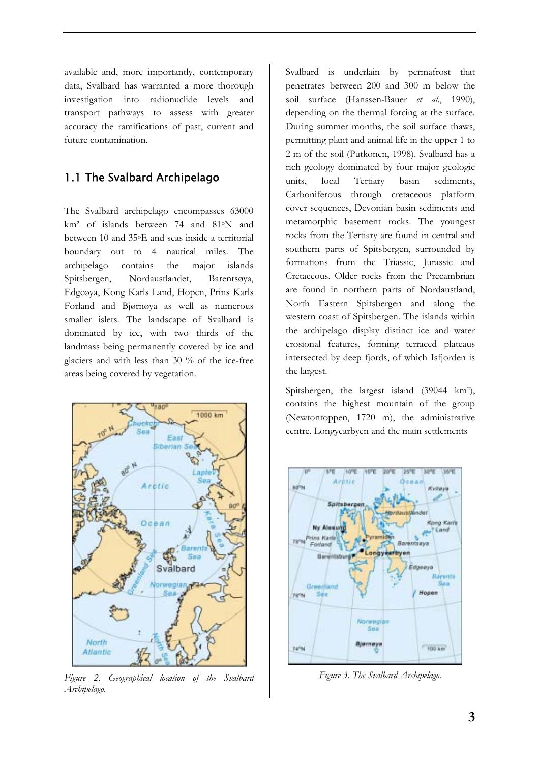available and, more importantly, contemporary data, Svalbard has warranted a more thorough investigation into radionuclide levels and transport pathways to assess with greater accuracy the ramifications of past, current and future contamination.

## 1.1 The Svalbard Archipelago

The Svalbard archipelago encompasses 63000 km² of islands between 74 and 81oN and between 10 and 35oE and seas inside a territorial boundary out to 4 nautical miles. The archipelago contains the major islands Spitsbergen, Nordaustlandet, Barentsøya, Edgeøya, Kong Karls Land, Hopen, Prins Karls Forland and Bjørnøya as well as numerous smaller islets. The landscape of Svalbard is dominated by ice, with two thirds of the landmass being permanently covered by ice and glaciers and with less than 30 % of the ice-free areas being covered by vegetation.



*Figure 2. Geographical location of the Svalbard Archipelago.* 

Svalbard is underlain by permafrost that penetrates between 200 and 300 m below the soil surface (Hanssen-Bauer *et al*., 1990), depending on the thermal forcing at the surface. During summer months, the soil surface thaws, permitting plant and animal life in the upper 1 to 2 m of the soil (Putkonen, 1998). Svalbard has a rich geology dominated by four major geologic units, local Tertiary basin sediments, Carboniferous through cretaceous platform cover sequences, Devonian basin sediments and metamorphic basement rocks. The youngest rocks from the Tertiary are found in central and southern parts of Spitsbergen, surrounded by formations from the Triassic, Jurassic and Cretaceous. Older rocks from the Precambrian are found in northern parts of Nordaustland, North Eastern Spitsbergen and along the western coast of Spitsbergen. The islands within the archipelago display distinct ice and water erosional features, forming terraced plateaus intersected by deep fjords, of which Isfjorden is the largest.

Spitsbergen, the largest island (39044 km<sup>2</sup>), contains the highest mountain of the group (Newtontoppen, 1720 m), the administrative centre, Longyearbyen and the main settlements



*Figure 3. The Svalbard Archipelago.*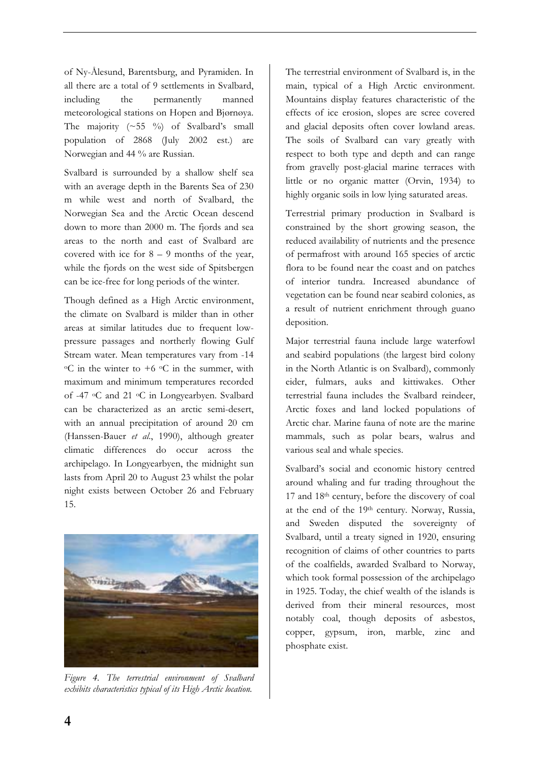of Ny-Ålesund, Barentsburg, and Pyramiden. In all there are a total of 9 settlements in Svalbard, including the permanently manned meteorological stations on Hopen and Bjørnøya. The majority  $(\sim 55 \degree \%)$  of Svalbard's small population of 2868 (July 2002 est.) are Norwegian and 44 % are Russian.

Svalbard is surrounded by a shallow shelf sea with an average depth in the Barents Sea of 230 m while west and north of Svalbard, the Norwegian Sea and the Arctic Ocean descend down to more than 2000 m. The fjords and sea areas to the north and east of Svalbard are covered with ice for  $8 - 9$  months of the year, while the fjords on the west side of Spitsbergen can be ice-free for long periods of the winter.

Though defined as a High Arctic environment, the climate on Svalbard is milder than in other areas at similar latitudes due to frequent lowpressure passages and northerly flowing Gulf Stream water. Mean temperatures vary from -14  $\circ$ C in the winter to +6  $\circ$ C in the summer, with maximum and minimum temperatures recorded of -47 oC and 21 oC in Longyearbyen. Svalbard can be characterized as an arctic semi-desert, with an annual precipitation of around 20 cm (Hanssen-Bauer *et al*., 1990), although greater climatic differences do occur across the archipelago. In Longyearbyen, the midnight sun lasts from April 20 to August 23 whilst the polar night exists between October 26 and February 15.



*Figure 4. The terrestrial environment of Svalbard exhibits characteristics typical of its High Arctic location.* 

The terrestrial environment of Svalbard is, in the main, typical of a High Arctic environment. Mountains display features characteristic of the effects of ice erosion, slopes are scree covered and glacial deposits often cover lowland areas. The soils of Svalbard can vary greatly with respect to both type and depth and can range from gravelly post-glacial marine terraces with little or no organic matter (Orvin, 1934) to highly organic soils in low lying saturated areas.

Terrestrial primary production in Svalbard is constrained by the short growing season, the reduced availability of nutrients and the presence of permafrost with around 165 species of arctic flora to be found near the coast and on patches of interior tundra. Increased abundance of vegetation can be found near seabird colonies, as a result of nutrient enrichment through guano deposition.

Major terrestrial fauna include large waterfowl and seabird populations (the largest bird colony in the North Atlantic is on Svalbard), commonly eider, fulmars, auks and kittiwakes. Other terrestrial fauna includes the Svalbard reindeer, Arctic foxes and land locked populations of Arctic char. Marine fauna of note are the marine mammals, such as polar bears, walrus and various seal and whale species.

Svalbard's social and economic history centred around whaling and fur trading throughout the 17 and 18th century, before the discovery of coal at the end of the 19th century. Norway, Russia, and Sweden disputed the sovereignty of Svalbard, until a treaty signed in 1920, ensuring recognition of claims of other countries to parts of the coalfields, awarded Svalbard to Norway, which took formal possession of the archipelago in 1925. Today, the chief wealth of the islands is derived from their mineral resources, most notably coal, though deposits of asbestos, copper, gypsum, iron, marble, zinc and phosphate exist.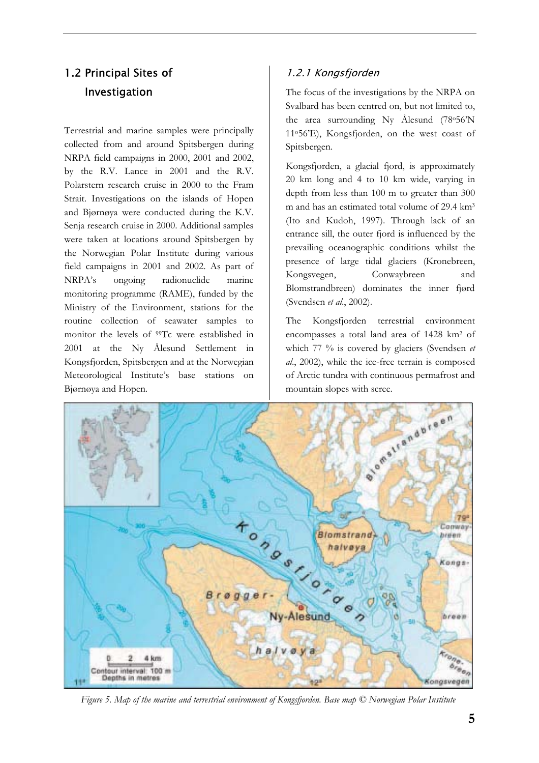# 1.2 Principal Sites of Investigation

Terrestrial and marine samples were principally collected from and around Spitsbergen during NRPA field campaigns in 2000, 2001 and 2002, by the R.V. Lance in 2001 and the R.V. Polarstern research cruise in 2000 to the Fram Strait. Investigations on the islands of Hopen and Bjørnøya were conducted during the K.V. Senja research cruise in 2000. Additional samples were taken at locations around Spitsbergen by the Norwegian Polar Institute during various field campaigns in 2001 and 2002. As part of NRPA's ongoing radionuclide marine monitoring programme (RAME), funded by the Ministry of the Environment, stations for the routine collection of seawater samples to monitor the levels of <sup>99</sup>Tc were established in 2001 at the Ny Ålesund Settlement in Kongsfjorden, Spitsbergen and at the Norwegian Meteorological Institute's base stations on Bjørnøya and Hopen.

## 1.2.1 Kongsfjorden

The focus of the investigations by the NRPA on Svalbard has been centred on, but not limited to, the area surrounding Ny Ålesund  $(78°56'N)$ 11o56'E), Kongsfjorden, on the west coast of Spitsbergen.

Kongsfjorden, a glacial fjord, is approximately 20 km long and 4 to 10 km wide, varying in depth from less than 100 m to greater than 300 m and has an estimated total volume of 29.4 km3 (Ito and Kudoh, 1997). Through lack of an entrance sill, the outer fjord is influenced by the prevailing oceanographic conditions whilst the presence of large tidal glaciers (Kronebreen, Kongsvegen, Conwaybreen and Blomstrandbreen) dominates the inner fjørd (Svendsen *et al*., 2002).

The Kongsfjorden terrestrial environment encompasses a total land area of 1428 km2 of which 77 % is covered by glaciers (Svendsen *et al*., 2002), while the ice-free terrain is composed of Arctic tundra with continuous permafrost and mountain slopes with scree.



*Figure 5. Map of the marine and terrestrial environment of Kongsfjorden. Base map © Norwegian Polar Institute*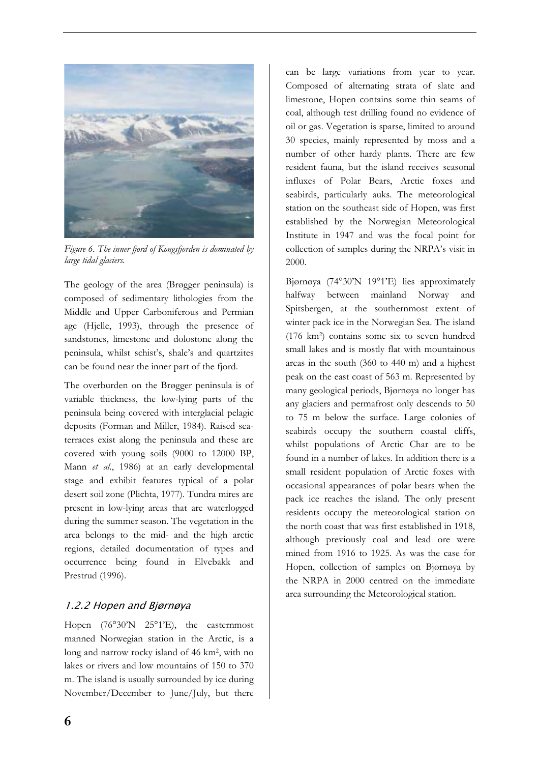

*Figure 6. The inner fjord of Kongsfjorden is dominated by large tidal glaciers.* 

The geology of the area (Brøgger peninsula) is composed of sedimentary lithologies from the Middle and Upper Carboniferous and Permian age (Hjelle, 1993), through the presence of sandstones, limestone and dolostone along the peninsula, whilst schist's, shale's and quartzites can be found near the inner part of the fjord.

The overburden on the Brøgger peninsula is of variable thickness, the low-lying parts of the peninsula being covered with interglacial pelagic deposits (Forman and Miller, 1984). Raised seaterraces exist along the peninsula and these are covered with young soils (9000 to 12000 BP, Mann *et al*., 1986) at an early developmental stage and exhibit features typical of a polar desert soil zone (Plichta, 1977). Tundra mires are present in low-lying areas that are waterlogged during the summer season. The vegetation in the area belongs to the mid- and the high arctic regions, detailed documentation of types and occurrence being found in Elvebakk and Prestrud (1996).

## 1.2.2 Hopen and Bjørnøya

Hopen (76°30'N 25°1'E), the easternmost manned Norwegian station in the Arctic, is a long and narrow rocky island of 46 km2, with no lakes or rivers and low mountains of 150 to 370 m. The island is usually surrounded by ice during November/December to June/July, but there can be large variations from year to year. Composed of alternating strata of slate and limestone, Hopen contains some thin seams of coal, although test drilling found no evidence of oil or gas. Vegetation is sparse, limited to around 30 species, mainly represented by moss and a number of other hardy plants. There are few resident fauna, but the island receives seasonal influxes of Polar Bears, Arctic foxes and seabirds, particularly auks. The meteorological station on the southeast side of Hopen, was first established by the Norwegian Meteorological Institute in 1947 and was the focal point for collection of samples during the NRPA's visit in 2000.

Bjørnøya (74°30'N 19°1'E) lies approximately halfway between mainland Norway and Spitsbergen, at the southernmost extent of winter pack ice in the Norwegian Sea. The island (176 km2) contains some six to seven hundred small lakes and is mostly flat with mountainous areas in the south (360 to 440 m) and a highest peak on the east coast of 563 m. Represented by many geological periods, Bjørnøya no longer has any glaciers and permafrost only descends to 50 to 75 m below the surface. Large colonies of seabirds occupy the southern coastal cliffs, whilst populations of Arctic Char are to be found in a number of lakes. In addition there is a small resident population of Arctic foxes with occasional appearances of polar bears when the pack ice reaches the island. The only present residents occupy the meteorological station on the north coast that was first established in 1918, although previously coal and lead ore were mined from 1916 to 1925. As was the case for Hopen, collection of samples on Bjørnøya by the NRPA in 2000 centred on the immediate area surrounding the Meteorological station.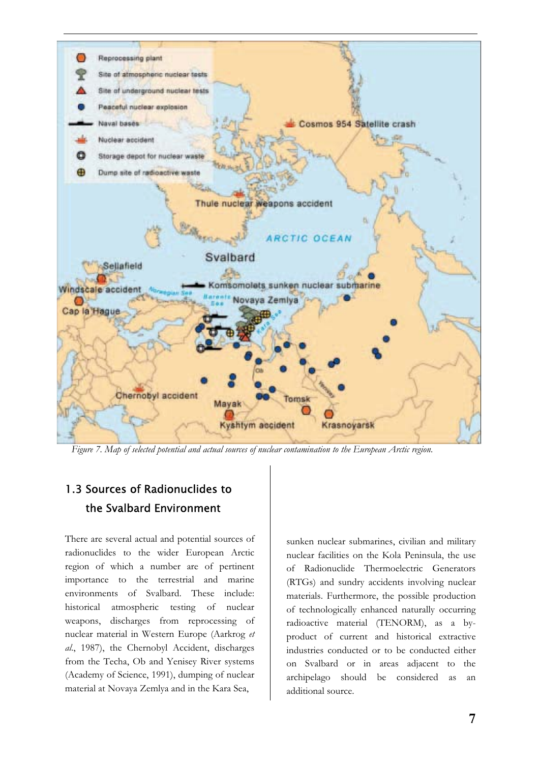

*Figure 7. Map of selected potential and actual sources of nuclear contamination to the European Arctic region.* 

# 1.3 Sources of Radionuclides to the Svalbard Environment

There are several actual and potential sources of radionuclides to the wider European Arctic region of which a number are of pertinent importance to the terrestrial and marine environments of Svalbard. These include: historical atmospheric testing of nuclear weapons, discharges from reprocessing of nuclear material in Western Europe (Aarkrog *et al*., 1987), the Chernobyl Accident, discharges from the Techa, Ob and Yenisey River systems (Academy of Science, 1991), dumping of nuclear material at Novaya Zemlya and in the Kara Sea,

sunken nuclear submarines, civilian and military nuclear facilities on the Kola Peninsula, the use of Radionuclide Thermoelectric Generators (RTGs) and sundry accidents involving nuclear materials. Furthermore, the possible production of technologically enhanced naturally occurring radioactive material (TENORM), as a byproduct of current and historical extractive industries conducted or to be conducted either on Svalbard or in areas adjacent to the archipelago should be considered as an additional source.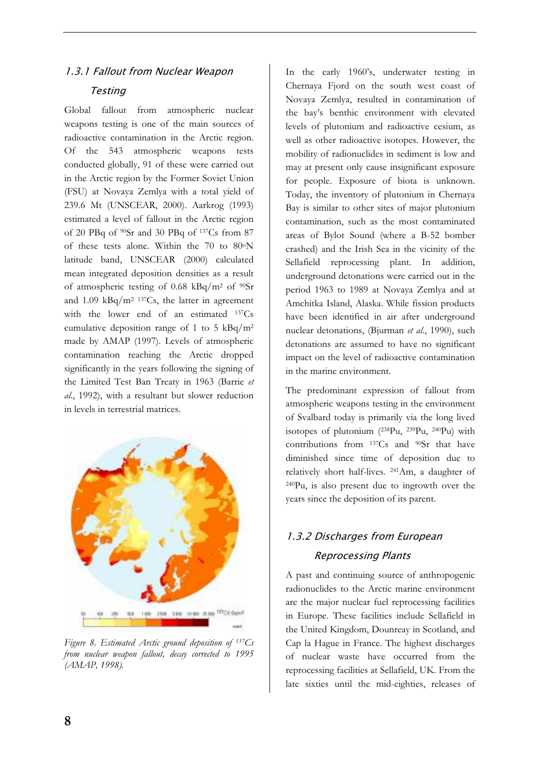## 1.3.1 Fallout from Nuclear Weapon **Testing**

Global fallout from atmospheric nuclear weapons testing is one of the main sources of radioactive contamination in the Arctic region. Of the 543 atmospheric weapons tests conducted globally, 91 of these were carried out in the Arctic region by the Former Soviet Union (FSU) at Novaya Zemlya with a total yield of 239.6 Mt (UNSCEAR, 2000). Aarkrog (1993) estimated a level of fallout in the Arctic region of 20 PBq of 90Sr and 30 PBq of 137Cs from 87 of these tests alone. Within the 70 to 80oN latitude band, UNSCEAR (2000) calculated mean integrated deposition densities as a result of atmospheric testing of 0.68 kBq/m<sup>2</sup> of  $90Sr$ and 1.09 kBq/m2 137Cs, the latter in agreement with the lower end of an estimated 137Cs cumulative deposition range of 1 to 5  $kBq/m^2$ made by AMAP (1997). Levels of atmospheric contamination reaching the Arctic dropped significantly in the years following the signing of the Limited Test Ban Treaty in 1963 (Barrie *et al*., 1992), with a resultant but slower reduction in levels in terrestrial matrices.



*Figure 8. Estimated Arctic ground deposition of 137Cs from nuclear weapon fallout, decay corrected to 1995 (AMAP, 1998).*

In the early 1960's, underwater testing in Chernaya Fjord on the south west coast of Novaya Zemlya, resulted in contamination of the bay's benthic environment with elevated levels of plutonium and radioactive cesium, as well as other radioactive isotopes. However, the mobility of radionuclides in sediment is low and may at present only cause insignificant exposure for people. Exposure of biota is unknown. Today, the inventory of plutonium in Chernaya Bay is similar to other sites of major plutonium contamination, such as the most contaminated areas of Bylot Sound (where a B-52 bomber crashed) and the Irish Sea in the vicinity of the Sellafield reprocessing plant. In addition, underground detonations were carried out in the period 1963 to 1989 at Novaya Zemlya and at Amchitka Island, Alaska. While fission products have been identified in air after underground nuclear detonations, (Bjurman *et al*., 1990), such detonations are assumed to have no significant impact on the level of radioactive contamination in the marine environment.

The predominant expression of fallout from atmospheric weapons testing in the environment of Svalbard today is primarily via the long lived isotopes of plutonium  $(^{238}Pu, ^{239}Pu, ^{240}Pu)$  with contributions from 137Cs and 90Sr that have diminished since time of deposition due to relatively short half-lives. 241Am, a daughter of 240Pu, is also present due to ingrowth over the years since the deposition of its parent.

# 1.3.2 Discharges from European Reprocessing Plants

A past and continuing source of anthropogenic radionuclides to the Arctic marine environment are the major nuclear fuel reprocessing facilities in Europe. These facilities include Sellafield in the United Kingdom, Dounreay in Scotland, and Cap la Hague in France. The highest discharges of nuclear waste have occurred from the reprocessing facilities at Sellafield, UK. From the late sixties until the mid-eighties, releases of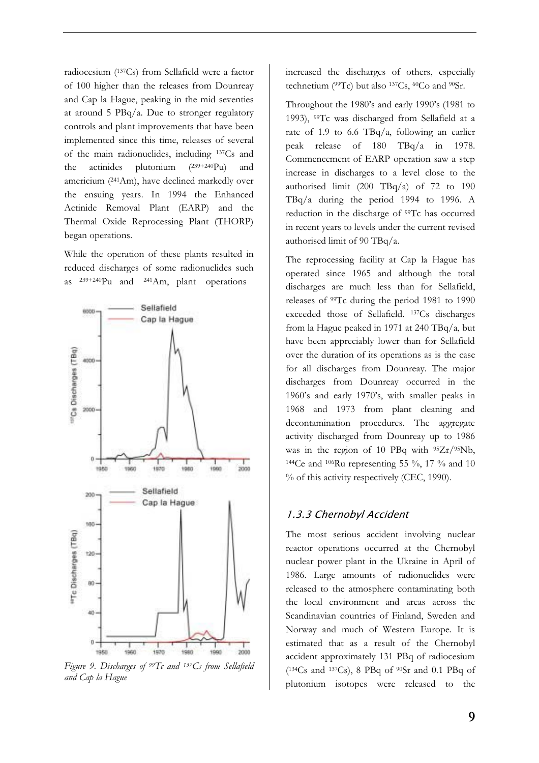radiocesium (137Cs) from Sellafield were a factor of 100 higher than the releases from Dounreay and Cap la Hague, peaking in the mid seventies at around 5 PBq/a. Due to stronger regulatory controls and plant improvements that have been implemented since this time, releases of several of the main radionuclides, including 137Cs and the actinides plutonium (239+240Pu) and americium (241Am), have declined markedly over the ensuing years. In 1994 the Enhanced Actinide Removal Plant (EARP) and the Thermal Oxide Reprocessing Plant (THORP) began operations.

While the operation of these plants resulted in reduced discharges of some radionuclides such as 239+240Pu and 241Am, plant operations



*Figure 9. Discharges of 99Tc and 137Cs from Sellafield and Cap la Hague* 

increased the discharges of others, especially technetium ( $99Tc$ ) but also  $137Cs$ ,  $60Co$  and  $90Sr$ .

Throughout the 1980's and early 1990's (1981 to 1993), 99Tc was discharged from Sellafield at a rate of 1.9 to 6.6 TBq/a, following an earlier peak release of 180 TBq/a in 1978. Commencement of EARP operation saw a step increase in discharges to a level close to the authorised limit  $(200 \text{ TBq}/a)$  of 72 to 190 TBq/a during the period 1994 to 1996. A reduction in the discharge of 99Tc has occurred in recent years to levels under the current revised authorised limit of 90 TBq/a.

The reprocessing facility at Cap la Hague has operated since 1965 and although the total discharges are much less than for Sellafield, releases of 99Tc during the period 1981 to 1990 exceeded those of Sellafield. 137Cs discharges from la Hague peaked in 1971 at 240 TBq/a, but have been appreciably lower than for Sellafield over the duration of its operations as is the case for all discharges from Dounreay. The major discharges from Dounreay occurred in the 1960's and early 1970's, with smaller peaks in 1968 and 1973 from plant cleaning and decontamination procedures. The aggregate activity discharged from Dounreay up to 1986 was in the region of 10 PBq with  $95Zr/95Nb$ , <sup>144</sup>Ce and <sup>106</sup>Ru representing 55  $\%$ , 17  $\%$  and 10 % of this activity respectively (CEC, 1990).

## 1.3.3 Chernobyl Accident

The most serious accident involving nuclear reactor operations occurred at the Chernobyl nuclear power plant in the Ukraine in April of 1986. Large amounts of radionuclides were released to the atmosphere contaminating both the local environment and areas across the Scandinavian countries of Finland, Sweden and Norway and much of Western Europe. It is estimated that as a result of the Chernobyl accident approximately 131 PBq of radiocesium  $(^{134}Cs$  and  $^{137}Cs$ ), 8 PBq of  $^{90}Sr$  and 0.1 PBq of plutonium isotopes were released to the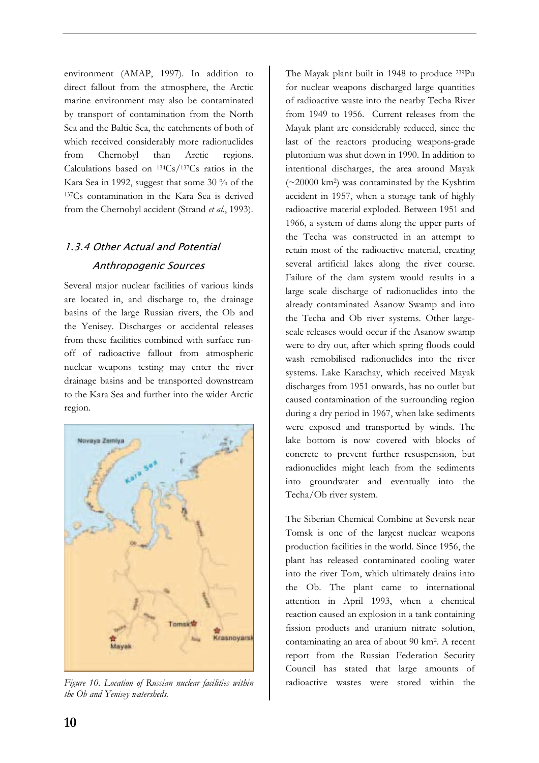environment (AMAP, 1997). In addition to direct fallout from the atmosphere, the Arctic marine environment may also be contaminated by transport of contamination from the North Sea and the Baltic Sea, the catchments of both of which received considerably more radionuclides from Chernobyl than Arctic regions. Calculations based on 134Cs/137Cs ratios in the Kara Sea in 1992, suggest that some 30 % of the 137Cs contamination in the Kara Sea is derived from the Chernobyl accident (Strand *et al*., 1993).

## 1.3.4 Other Actual and Potential Anthropogenic Sources

Several major nuclear facilities of various kinds are located in, and discharge to, the drainage basins of the large Russian rivers, the Ob and the Yenisey. Discharges or accidental releases from these facilities combined with surface runoff of radioactive fallout from atmospheric nuclear weapons testing may enter the river drainage basins and be transported downstream to the Kara Sea and further into the wider Arctic region.



*Figure 10. Location of Russian nuclear facilities within the Ob and Yenisey watersheds.* 

The Mayak plant built in 1948 to produce 239Pu for nuclear weapons discharged large quantities of radioactive waste into the nearby Techa River from 1949 to 1956. Current releases from the Mayak plant are considerably reduced, since the last of the reactors producing weapons-grade plutonium was shut down in 1990. In addition to intentional discharges, the area around Mayak (~20000 km2) was contaminated by the Kyshtim accident in 1957, when a storage tank of highly radioactive material exploded. Between 1951 and 1966, a system of dams along the upper parts of the Techa was constructed in an attempt to retain most of the radioactive material, creating several artificial lakes along the river course. Failure of the dam system would results in a large scale discharge of radionuclides into the already contaminated Asanow Swamp and into the Techa and Ob river systems. Other largescale releases would occur if the Asanow swamp were to dry out, after which spring floods could wash remobilised radionuclides into the river systems. Lake Karachay, which received Mayak discharges from 1951 onwards, has no outlet but caused contamination of the surrounding region during a dry period in 1967, when lake sediments were exposed and transported by winds. The lake bottom is now covered with blocks of concrete to prevent further resuspension, but radionuclides might leach from the sediments into groundwater and eventually into the Techa/Ob river system.

The Siberian Chemical Combine at Seversk near Tomsk is one of the largest nuclear weapons production facilities in the world. Since 1956, the plant has released contaminated cooling water into the river Tom, which ultimately drains into the Ob. The plant came to international attention in April 1993, when a chemical reaction caused an explosion in a tank containing fission products and uranium nitrate solution, contaminating an area of about 90 km2. A recent report from the Russian Federation Security Council has stated that large amounts of radioactive wastes were stored within the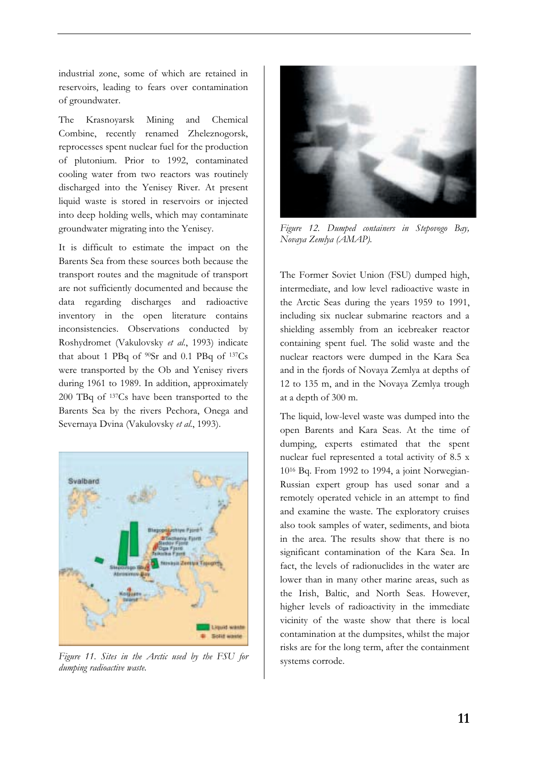industrial zone, some of which are retained in reservoirs, leading to fears over contamination of groundwater.

The Krasnoyarsk Mining and Chemical Combine, recently renamed Zheleznogorsk, reprocesses spent nuclear fuel for the production of plutonium. Prior to 1992, contaminated cooling water from two reactors was routinely discharged into the Yenisey River. At present liquid waste is stored in reservoirs or injected into deep holding wells, which may contaminate groundwater migrating into the Yenisey.

It is difficult to estimate the impact on the Barents Sea from these sources both because the transport routes and the magnitude of transport are not sufficiently documented and because the data regarding discharges and radioactive inventory in the open literature contains inconsistencies. Observations conducted by Roshydromet (Vakulovsky *et al*., 1993) indicate that about 1 PBq of  $90Sr$  and 0.1 PBq of  $137Cs$ were transported by the Ob and Yenisey rivers during 1961 to 1989. In addition, approximately 200 TBq of 137Cs have been transported to the Barents Sea by the rivers Pechora, Onega and Severnaya Dvina (Vakulovsky *et al*., 1993).



*Figure 11. Sites in the Arctic used by the FSU for dumping radioactive waste.* 



*Figure 12. Dumped containers in Stepovogo Bay, Novaya Zemlya (AMAP).* 

The Former Soviet Union (FSU) dumped high, intermediate, and low level radioactive waste in the Arctic Seas during the years 1959 to 1991, including six nuclear submarine reactors and a shielding assembly from an icebreaker reactor containing spent fuel. The solid waste and the nuclear reactors were dumped in the Kara Sea and in the fjords of Novaya Zemlya at depths of 12 to 135 m, and in the Novaya Zemlya trough at a depth of 300 m.

The liquid, low-level waste was dumped into the open Barents and Kara Seas. At the time of dumping, experts estimated that the spent nuclear fuel represented a total activity of 8.5 x 1016 Bq. From 1992 to 1994, a joint Norwegian-Russian expert group has used sonar and a remotely operated vehicle in an attempt to find and examine the waste. The exploratory cruises also took samples of water, sediments, and biota in the area. The results show that there is no significant contamination of the Kara Sea. In fact, the levels of radionuclides in the water are lower than in many other marine areas, such as the Irish, Baltic, and North Seas. However, higher levels of radioactivity in the immediate vicinity of the waste show that there is local contamination at the dumpsites, whilst the major risks are for the long term, after the containment systems corrode.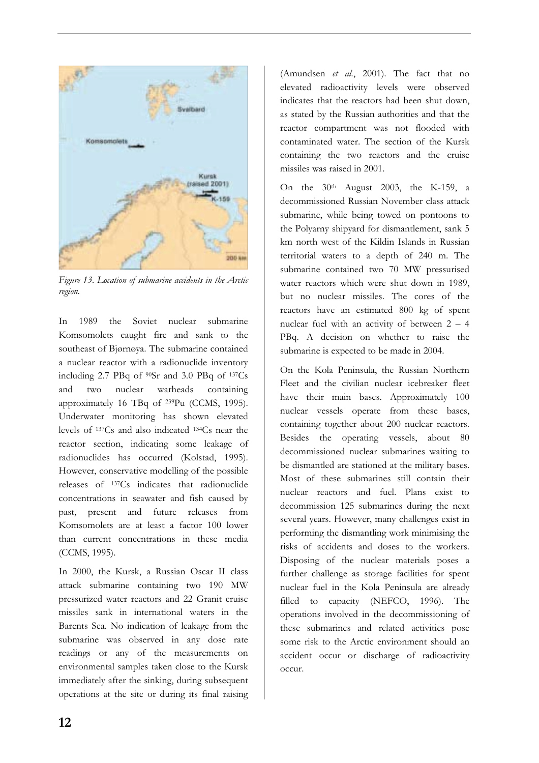

*Figure 13. Location of submarine accidents in the Arctic region.*

In 1989 the Soviet nuclear submarine Komsomolets caught fire and sank to the southeast of Bjørnøya. The submarine contained a nuclear reactor with a radionuclide inventory including 2.7 PBq of 90Sr and 3.0 PBq of 137Cs and two nuclear warheads containing approximately 16 TBq of 239Pu (CCMS, 1995). Underwater monitoring has shown elevated levels of 137Cs and also indicated 134Cs near the reactor section, indicating some leakage of radionuclides has occurred (Kolstad, 1995). However, conservative modelling of the possible releases of 137Cs indicates that radionuclide concentrations in seawater and fish caused by past, present and future releases from Komsomolets are at least a factor 100 lower than current concentrations in these media (CCMS, 1995).

In 2000, the Kursk, a Russian Oscar II class attack submarine containing two 190 MW pressurized water reactors and 22 Granit cruise missiles sank in international waters in the Barents Sea. No indication of leakage from the submarine was observed in any dose rate readings or any of the measurements on environmental samples taken close to the Kursk immediately after the sinking, during subsequent operations at the site or during its final raising

(Amundsen *et al*., 2001). The fact that no elevated radioactivity levels were observed indicates that the reactors had been shut down, as stated by the Russian authorities and that the reactor compartment was not flooded with contaminated water. The section of the Kursk containing the two reactors and the cruise missiles was raised in 2001.

On the 30th August 2003, the K-159, a decommissioned Russian November class attack submarine, while being towed on pontoons to the Polyarny shipyard for dismantlement, sank 5 km north west of the Kildin Islands in Russian territorial waters to a depth of 240 m. The submarine contained two 70 MW pressurised water reactors which were shut down in 1989, but no nuclear missiles. The cores of the reactors have an estimated 800 kg of spent nuclear fuel with an activity of between 2 – 4 PBq. A decision on whether to raise the submarine is expected to be made in 2004.

On the Kola Peninsula, the Russian Northern Fleet and the civilian nuclear icebreaker fleet have their main bases. Approximately 100 nuclear vessels operate from these bases, containing together about 200 nuclear reactors. Besides the operating vessels, about 80 decommissioned nuclear submarines waiting to be dismantled are stationed at the military bases. Most of these submarines still contain their nuclear reactors and fuel. Plans exist to decommission 125 submarines during the next several years. However, many challenges exist in performing the dismantling work minimising the risks of accidents and doses to the workers. Disposing of the nuclear materials poses a further challenge as storage facilities for spent nuclear fuel in the Kola Peninsula are already filled to capacity (NEFCO, 1996). The operations involved in the decommissioning of these submarines and related activities pose some risk to the Arctic environment should an accident occur or discharge of radioactivity occur.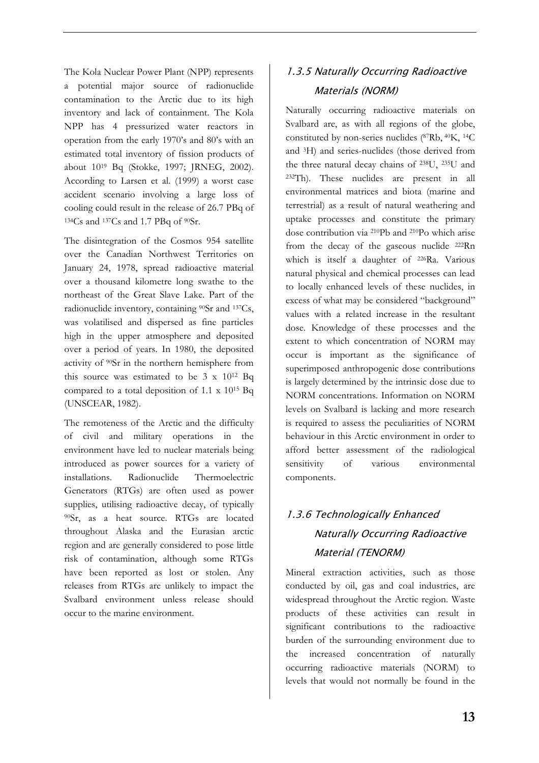The Kola Nuclear Power Plant (NPP) represents a potential major source of radionuclide contamination to the Arctic due to its high inventory and lack of containment. The Kola NPP has 4 pressurized water reactors in operation from the early 1970's and 80's with an estimated total inventory of fission products of about 1019 Bq (Stokke, 1997; JRNEG, 2002). According to Larsen et al. (1999) a worst case accident scenario involving a large loss of cooling could result in the release of 26.7 PBq of 134Cs and 137Cs and 1.7 PBq of 90Sr.

The disintegration of the Cosmos 954 satellite over the Canadian Northwest Territories on January 24, 1978, spread radioactive material over a thousand kilometre long swathe to the northeast of the Great Slave Lake. Part of the radionuclide inventory, containing 90Sr and 137Cs, was volatilised and dispersed as fine particles high in the upper atmosphere and deposited over a period of years. In 1980, the deposited activity of 90Sr in the northern hemisphere from this source was estimated to be 3 x 1012 Bq compared to a total deposition of 1.1 x 1015 Bq (UNSCEAR, 1982).

The remoteness of the Arctic and the difficulty of civil and military operations in the environment have led to nuclear materials being introduced as power sources for a variety of installations. Radionuclide Thermoelectric Generators (RTGs) are often used as power supplies, utilising radioactive decay, of typically 90Sr, as a heat source. RTGs are located throughout Alaska and the Eurasian arctic region and are generally considered to pose little risk of contamination, although some RTGs have been reported as lost or stolen. Any releases from RTGs are unlikely to impact the Svalbard environment unless release should occur to the marine environment.

# 1.3.5 Naturally Occurring Radioactive Materials (NORM)

Naturally occurring radioactive materials on Svalbard are, as with all regions of the globe, constituted by non-series nuclides (87Rb, 40K, 14C and 3H) and series-nuclides (those derived from the three natural decay chains of 238U, 235U and 232Th). These nuclides are present in all environmental matrices and biota (marine and terrestrial) as a result of natural weathering and uptake processes and constitute the primary dose contribution via 210Pb and 210Po which arise from the decay of the gaseous nuclide 222Rn which is itself a daughter of 226Ra. Various natural physical and chemical processes can lead to locally enhanced levels of these nuclides, in excess of what may be considered "background" values with a related increase in the resultant dose. Knowledge of these processes and the extent to which concentration of NORM may occur is important as the significance of superimposed anthropogenic dose contributions is largely determined by the intrinsic dose due to NORM concentrations. Information on NORM levels on Svalbard is lacking and more research is required to assess the peculiarities of NORM behaviour in this Arctic environment in order to afford better assessment of the radiological sensitivity of various environmental components.

# 1.3.6 Technologically Enhanced Naturally Occurring Radioactive Material (TENORM)

Mineral extraction activities, such as those conducted by oil, gas and coal industries, are widespread throughout the Arctic region. Waste products of these activities can result in significant contributions to the radioactive burden of the surrounding environment due to the increased concentration of naturally occurring radioactive materials (NORM) to levels that would not normally be found in the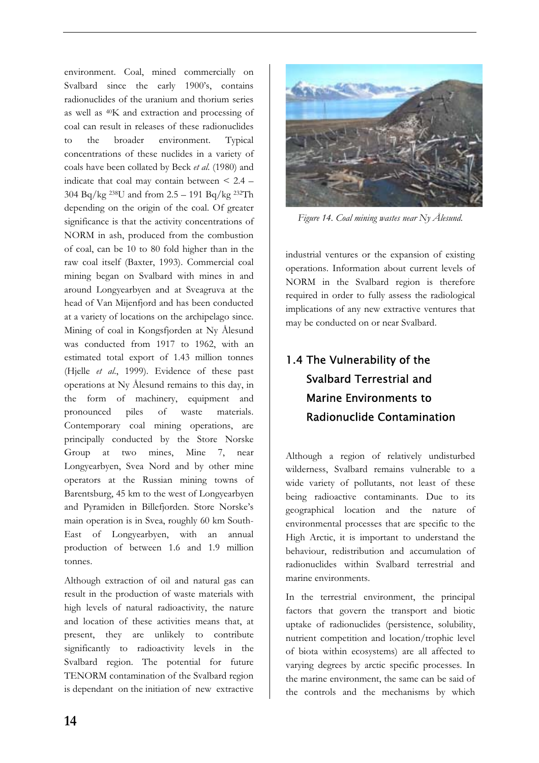environment. Coal, mined commercially on Svalbard since the early 1900's, contains radionuclides of the uranium and thorium series as well as 40K and extraction and processing of coal can result in releases of these radionuclides to the broader environment. Typical concentrations of these nuclides in a variety of coals have been collated by Beck *et al*. (1980) and indicate that coal may contain between  $\leq 2.4$  – 304 Bq/kg 238U and from 2.5 – 191 Bq/kg 232Th depending on the origin of the coal. Of greater significance is that the activity concentrations of NORM in ash, produced from the combustion of coal, can be 10 to 80 fold higher than in the raw coal itself (Baxter, 1993). Commercial coal mining began on Svalbard with mines in and around Longyearbyen and at Sveagruva at the head of Van Mijenfjord and has been conducted at a variety of locations on the archipelago since. Mining of coal in Kongsfjorden at Ny Ålesund was conducted from 1917 to 1962, with an estimated total export of 1.43 million tonnes (Hjelle *et al*., 1999). Evidence of these past operations at Ny Ålesund remains to this day, in the form of machinery, equipment and pronounced piles of waste materials. Contemporary coal mining operations, are principally conducted by the Store Norske Group at two mines, Mine 7, near Longyearbyen, Svea Nord and by other mine operators at the Russian mining towns of Barentsburg, 45 km to the west of Longyearbyen and Pyramiden in Billefjorden. Store Norske's main operation is in Svea, roughly 60 km South-East of Longyearbyen, with an annual production of between 1.6 and 1.9 million tonnes.

Although extraction of oil and natural gas can result in the production of waste materials with high levels of natural radioactivity, the nature and location of these activities means that, at present, they are unlikely to contribute significantly to radioactivity levels in the Svalbard region. The potential for future TENORM contamination of the Svalbard region is dependant on the initiation of new extractive



*Figure 14. Coal mining wastes near Ny Ålesund.* 

industrial ventures or the expansion of existing operations. Information about current levels of NORM in the Svalbard region is therefore required in order to fully assess the radiological implications of any new extractive ventures that may be conducted on or near Svalbard.

# 1.4 The Vulnerability of the Svalbard Terrestrial and Marine Environments to Radionuclide Contamination

Although a region of relatively undisturbed wilderness, Svalbard remains vulnerable to a wide variety of pollutants, not least of these being radioactive contaminants. Due to its geographical location and the nature of environmental processes that are specific to the High Arctic, it is important to understand the behaviour, redistribution and accumulation of radionuclides within Svalbard terrestrial and marine environments.

In the terrestrial environment, the principal factors that govern the transport and biotic uptake of radionuclides (persistence, solubility, nutrient competition and location/trophic level of biota within ecosystems) are all affected to varying degrees by arctic specific processes. In the marine environment, the same can be said of the controls and the mechanisms by which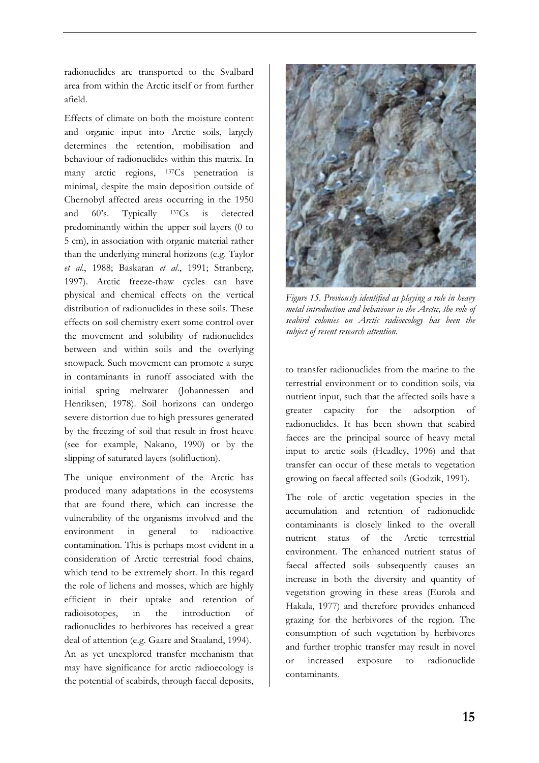radionuclides are transported to the Svalbard area from within the Arctic itself or from further afield.

Effects of climate on both the moisture content and organic input into Arctic soils, largely determines the retention, mobilisation and behaviour of radionuclides within this matrix. In many arctic regions, 137Cs penetration is minimal, despite the main deposition outside of Chernobyl affected areas occurring in the 1950 and 60's. Typically 137Cs is detected predominantly within the upper soil layers (0 to 5 cm), in association with organic material rather than the underlying mineral horizons (e.g. Taylor *et al*., 1988; Baskaran *et al*., 1991; Stranberg, 1997). Arctic freeze-thaw cycles can have physical and chemical effects on the vertical distribution of radionuclides in these soils. These effects on soil chemistry exert some control over the movement and solubility of radionuclides between and within soils and the overlying snowpack. Such movement can promote a surge in contaminants in runoff associated with the initial spring meltwater (Johannessen and Henriksen, 1978). Soil horizons can undergo severe distortion due to high pressures generated by the freezing of soil that result in frost heave (see for example, Nakano, 1990) or by the slipping of saturated layers (solifluction).

The unique environment of the Arctic has produced many adaptations in the ecosystems that are found there, which can increase the vulnerability of the organisms involved and the environment in general to radioactive contamination. This is perhaps most evident in a consideration of Arctic terrestrial food chains, which tend to be extremely short. In this regard the role of lichens and mosses, which are highly efficient in their uptake and retention of radioisotopes, in the introduction of radionuclides to herbivores has received a great deal of attention (e.g. Gaare and Staaland, 1994). An as yet unexplored transfer mechanism that may have significance for arctic radioecology is the potential of seabirds, through faecal deposits,



*Figure 15. Previously identified as playing a role in heavy metal introduction and behaviour in the Arctic, the role of seabird colonies on Arctic radioecology has been the subject of resent research attention.* 

to transfer radionuclides from the marine to the terrestrial environment or to condition soils, via nutrient input, such that the affected soils have a greater capacity for the adsorption of radionuclides. It has been shown that seabird faeces are the principal source of heavy metal input to arctic soils (Headley, 1996) and that transfer can occur of these metals to vegetation growing on faecal affected soils (Godzik, 1991).

The role of arctic vegetation species in the accumulation and retention of radionuclide contaminants is closely linked to the overall nutrient status of the Arctic terrestrial environment. The enhanced nutrient status of faecal affected soils subsequently causes an increase in both the diversity and quantity of vegetation growing in these areas (Eurola and Hakala, 1977) and therefore provides enhanced grazing for the herbivores of the region. The consumption of such vegetation by herbivores and further trophic transfer may result in novel increased exposure to radionuclide contaminants.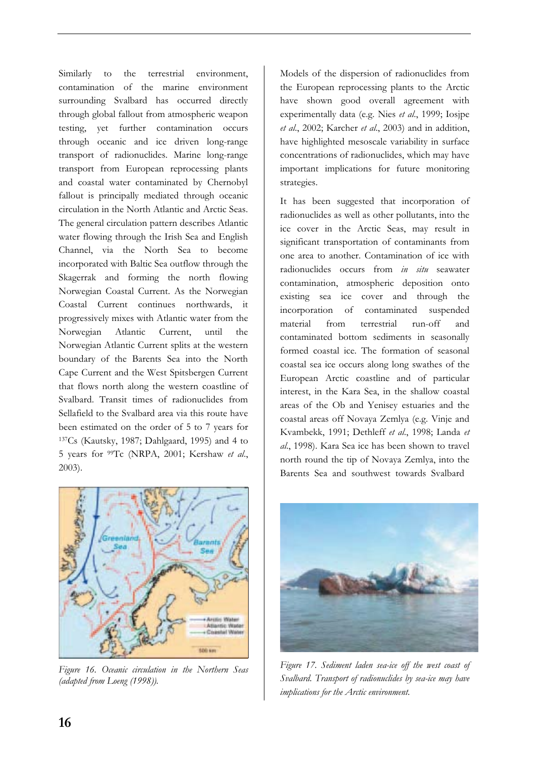Similarly to the terrestrial environment, contamination of the marine environment surrounding Svalbard has occurred directly through global fallout from atmospheric weapon testing, yet further contamination occurs through oceanic and ice driven long-range transport of radionuclides. Marine long-range transport from European reprocessing plants and coastal water contaminated by Chernobyl fallout is principally mediated through oceanic circulation in the North Atlantic and Arctic Seas. The general circulation pattern describes Atlantic water flowing through the Irish Sea and English Channel, via the North Sea to become incorporated with Baltic Sea outflow through the Skagerrak and forming the north flowing Norwegian Coastal Current. As the Norwegian Coastal Current continues northwards, it progressively mixes with Atlantic water from the Norwegian Atlantic Current, until the Norwegian Atlantic Current splits at the western boundary of the Barents Sea into the North Cape Current and the West Spitsbergen Current that flows north along the western coastline of Svalbard. Transit times of radionuclides from Sellafield to the Svalbard area via this route have been estimated on the order of 5 to 7 years for 137Cs (Kautsky, 1987; Dahlgaard, 1995) and 4 to 5 years for 99Tc (NRPA, 2001; Kershaw *et al*., 2003).



*Figure 16. Oceanic circulation in the Northern Seas (adapted from Loeng (1998)).* 

Models of the dispersion of radionuclides from the European reprocessing plants to the Arctic have shown good overall agreement with experimentally data (e.g. Nies *et al*., 1999; Iosjpe *et al*., 2002; Karcher *et al*., 2003) and in addition, have highlighted mesoscale variability in surface concentrations of radionuclides, which may have important implications for future monitoring strategies.

It has been suggested that incorporation of radionuclides as well as other pollutants, into the ice cover in the Arctic Seas, may result in significant transportation of contaminants from one area to another. Contamination of ice with radionuclides occurs from *in situ* seawater contamination, atmospheric deposition onto existing sea ice cover and through the incorporation of contaminated suspended material from terrestrial run-off and contaminated bottom sediments in seasonally formed coastal ice. The formation of seasonal coastal sea ice occurs along long swathes of the European Arctic coastline and of particular interest, in the Kara Sea, in the shallow coastal areas of the Ob and Yenisey estuaries and the coastal areas off Novaya Zemlya (e.g. Vinje and Kvambekk, 1991; Dethleff *et al*., 1998; Landa *et al*., 1998). Kara Sea ice has been shown to travel north round the tip of Novaya Zemlya, into the Barents Sea and southwest towards Svalbard



*Figure 17. Sediment laden sea-ice off the west coast of Svalbard. Transport of radionuclides by sea-ice may have implications for the Arctic environment.*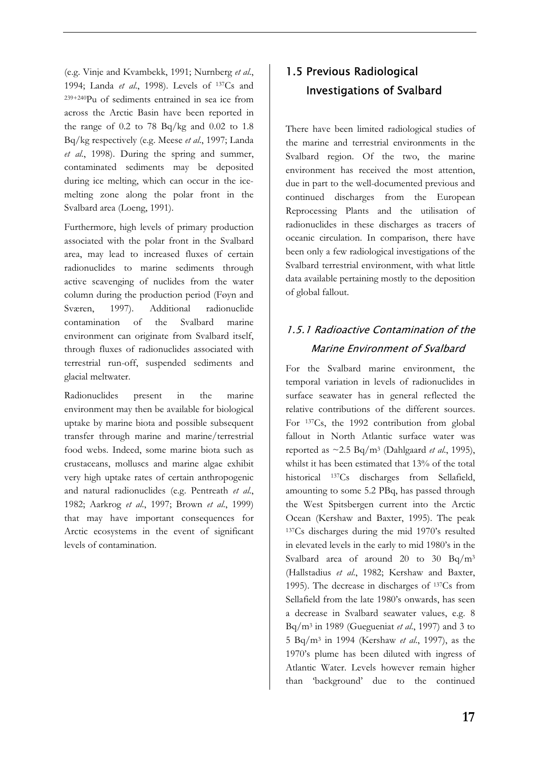(e.g. Vinje and Kvambekk, 1991; Nurnberg *et al*., 1994; Landa *et al*., 1998). Levels of 137Cs and 239+240Pu of sediments entrained in sea ice from across the Arctic Basin have been reported in the range of  $0.2$  to  $78$  Bq/kg and  $0.02$  to  $1.8$ Bq/kg respectively (e.g. Meese *et al*., 1997; Landa *et al*., 1998). During the spring and summer, contaminated sediments may be deposited during ice melting, which can occur in the icemelting zone along the polar front in the Svalbard area (Loeng, 1991).

Furthermore, high levels of primary production associated with the polar front in the Svalbard area, may lead to increased fluxes of certain radionuclides to marine sediments through active scavenging of nuclides from the water column during the production period (Føyn and Sværen, 1997). Additional radionuclide contamination of the Svalbard marine environment can originate from Svalbard itself, through fluxes of radionuclides associated with terrestrial run-off, suspended sediments and glacial meltwater.

Radionuclides present in the marine environment may then be available for biological uptake by marine biota and possible subsequent transfer through marine and marine/terrestrial food webs. Indeed, some marine biota such as crustaceans, molluscs and marine algae exhibit very high uptake rates of certain anthropogenic and natural radionuclides (e.g. Pentreath *et al*., 1982; Aarkrog *et al*., 1997; Brown *et al*., 1999) that may have important consequences for Arctic ecosystems in the event of significant levels of contamination.

# 1.5 Previous Radiological Investigations of Svalbard

There have been limited radiological studies of the marine and terrestrial environments in the Svalbard region. Of the two, the marine environment has received the most attention, due in part to the well-documented previous and continued discharges from the European Reprocessing Plants and the utilisation of radionuclides in these discharges as tracers of oceanic circulation. In comparison, there have been only a few radiological investigations of the Svalbard terrestrial environment, with what little data available pertaining mostly to the deposition of global fallout.

# 1.5.1 Radioactive Contamination of the Marine Environment of Svalbard

For the Svalbard marine environment, the temporal variation in levels of radionuclides in surface seawater has in general reflected the relative contributions of the different sources. For 137Cs, the 1992 contribution from global fallout in North Atlantic surface water was reported as  $\sim$ 2.5 Bq/m<sup>3</sup> (Dahlgaard *et al.*, 1995), whilst it has been estimated that 13% of the total historical <sup>137</sup>Cs discharges from Sellafield, amounting to some 5.2 PBq, has passed through the West Spitsbergen current into the Arctic Ocean (Kershaw and Baxter, 1995). The peak 137Cs discharges during the mid 1970's resulted in elevated levels in the early to mid 1980's in the Svalbard area of around 20 to 30 Bq/m3 (Hallstadius *et al*., 1982; Kershaw and Baxter, 1995). The decrease in discharges of 137Cs from Sellafield from the late 1980's onwards, has seen a decrease in Svalbard seawater values, e.g. 8 Bq/m3 in 1989 (Guegueniat *et al*., 1997) and 3 to 5 Bq/m3 in 1994 (Kershaw *et al*., 1997), as the 1970's plume has been diluted with ingress of Atlantic Water. Levels however remain higher than 'background' due to the continued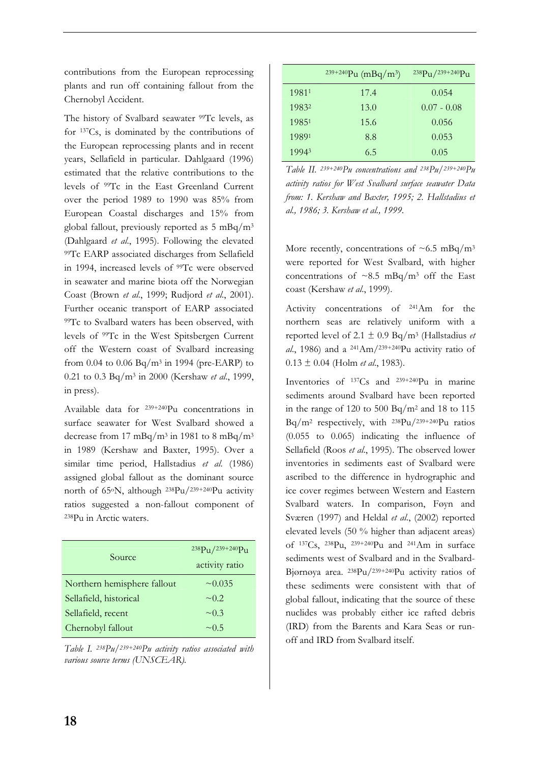contributions from the European reprocessing plants and run off containing fallout from the Chernobyl Accident.

The history of Svalbard seawater 99Tc levels, as for 137Cs, is dominated by the contributions of the European reprocessing plants and in recent years, Sellafield in particular. Dahlgaard (1996) estimated that the relative contributions to the levels of 99Tc in the East Greenland Current over the period 1989 to 1990 was 85% from European Coastal discharges and 15% from global fallout, previously reported as 5 mBq/m3 (Dahlgaard *et al*., 1995). Following the elevated 99Tc EARP associated discharges from Sellafield in 1994, increased levels of 99Tc were observed in seawater and marine biota off the Norwegian Coast (Brown *et al*., 1999; Rudjord *et al*., 2001). Further oceanic transport of EARP associated 99Tc to Svalbard waters has been observed, with levels of 99Tc in the West Spitsbergen Current off the Western coast of Svalbard increasing from 0.04 to 0.06  $Bq/m^3$  in 1994 (pre-EARP) to 0.21 to 0.3 Bq/m3 in 2000 (Kershaw *et al*., 1999, in press).

Available data for 239+240Pu concentrations in surface seawater for West Svalbard showed a decrease from 17 mBq/m<sup>3</sup> in 1981 to 8 mBq/m<sup>3</sup> in 1989 (Kershaw and Baxter, 1995). Over a similar time period, Hallstadius *et al*. (1986) assigned global fallout as the dominant source north of 65oN, although 238Pu/239+240Pu activity ratios suggested a non-fallout component of 238Pu in Arctic waters.

| Source                      | $238\text{Pu}/239+240\text{Pu}$<br>activity ratio |
|-----------------------------|---------------------------------------------------|
| Northern hemisphere fallout | $\sim 0.035$                                      |
| Sellafield, historical      | $\sim 0.2$                                        |
| Sellafield, recent          | $\sim 0.3$                                        |
| Chernobyl fallout           | $\sim$ 0.5                                        |

*Table I. 238Pu/239+240Pu activity ratios associated with various source terms (UNSCEAR).* 

|       | $239+240$ Pu (mBq/m <sup>3</sup> ) | $238\text{Pu}/239+240\text{Pu}$ |
|-------|------------------------------------|---------------------------------|
| 19811 | 17.4                               | 0.054                           |
| 19832 | 13.0                               | $0.07 - 0.08$                   |
| 19851 | 15.6                               | 0.056                           |
| 19891 | 8.8                                | 0.053                           |
| 19943 | 6.5                                | 0.05                            |

*Table II. 239+240Pu concentrations and 238Pu/239+240Pu activity ratios for West Svalbard surface seawater Data from: 1. Kershaw and Baxter, 1995; 2. Hallstadius et al., 1986; 3. Kershaw et al., 1999.* 

More recently, concentrations of  $\sim 6.5$  mBq/m<sup>3</sup> were reported for West Svalbard, with higher concentrations of  $\sim 8.5$  mBq/m<sup>3</sup> off the East coast (Kershaw *et al*., 1999).

Activity concentrations of 241Am for the northern seas are relatively uniform with a reported level of 2.1  $\pm$  0.9 Bq/m<sup>3</sup> (Hallstadius *et al*., 1986) and a 241Am/239+240Pu activity ratio of 0.13 ± 0.04 (Holm *et al*., 1983).

Inventories of 137Cs and 239+240Pu in marine sediments around Svalbard have been reported in the range of 120 to 500 Bq/m<sup>2</sup> and 18 to 115  $Bq/m^2$  respectively, with  $^{238}Pu/^{239+240}Pu$  ratios (0.055 to 0.065) indicating the influence of Sellafield (Roos *et al*., 1995). The observed lower inventories in sediments east of Svalbard were ascribed to the difference in hydrographic and ice cover regimes between Western and Eastern Svalbard waters. In comparison, Føyn and Sværen (1997) and Heldal *et al*., (2002) reported elevated levels (50 % higher than adjacent areas) of 137Cs, 238Pu, 239+240Pu and 241Am in surface sediments west of Svalbard and in the Svalbard-Bjørnøya area. 238Pu/239+240Pu activity ratios of these sediments were consistent with that of global fallout, indicating that the source of these nuclides was probably either ice rafted debris (IRD) from the Barents and Kara Seas or runoff and IRD from Svalbard itself.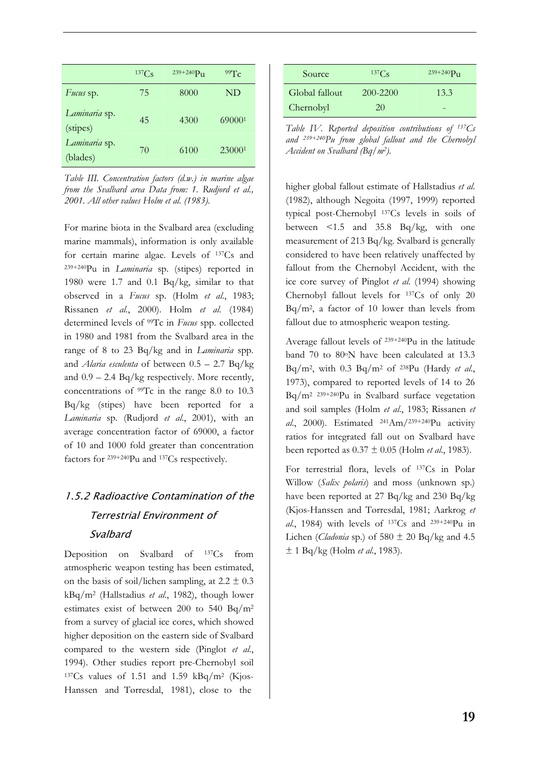|                           | 137Cs | $239 + 240 P_{11}$ | 99Tc   |
|---------------------------|-------|--------------------|--------|
| Fucus sp.                 | 75    | 8000               | ND     |
| Laminaria sp.<br>(stipes) | 45    | 4300               | 690001 |
| Laminaria sp.<br>(blades) | 70    | 6100               | 230001 |

*Table III. Concentration factors (d.w.) in marine algae from the Svalbard area Data from: 1. Rudjord et al., 2001. All other values Holm et al. (1983).* 

For marine biota in the Svalbard area (excluding marine mammals), information is only available for certain marine algae. Levels of 137Cs and 239+240Pu in *Laminaria* sp. (stipes) reported in 1980 were 1.7 and 0.1 Bq/kg, similar to that observed in a *Fucus* sp. (Holm *et al*., 1983; Rissanen *et al*., 2000). Holm *et al*. (1984) determined levels of 99Tc in *Fucus* spp. collected in 1980 and 1981 from the Svalbard area in the range of 8 to 23 Bq/kg and in *Laminaria* spp. and *Alaria esculenta* of between 0.5 – 2.7 Bq/kg and  $0.9 - 2.4$  Bq/kg respectively. More recently, concentrations of 99Tc in the range 8.0 to 10.3 Bq/kg (stipes) have been reported for a *Laminaria* sp. (Rudjord *et al*., 2001), with an average concentration factor of 69000, a factor of 10 and 1000 fold greater than concentration factors for 239+240Pu and 137Cs respectively.

# 1.5.2 Radioactive Contamination of the Terrestrial Environment of Svalbard

Deposition on Svalbard of 137Cs from atmospheric weapon testing has been estimated, on the basis of soil/lichen sampling, at  $2.2 \pm 0.3$ kBq/m2 (Hallstadius *et al*., 1982), though lower estimates exist of between 200 to 540 Bq/m2 from a survey of glacial ice cores, which showed higher deposition on the eastern side of Svalbard compared to the western side (Pinglot *et al*., 1994). Other studies report pre-Chernobyl soil  $137Cs$  values of 1.51 and 1.59 kBq/m<sup>2</sup> (Kjos-Hanssen and Tørresdal, 1981), close to the

| Source         | $137C_S$ | $239 + 240 P_{11}$ |
|----------------|----------|--------------------|
| Global fallout | 200-2200 | 13.3               |
| Chernobyl      | 20       |                    |

*Table IV. Reported deposition contributions of 137Cs and 239+240Pu from global fallout and the Chernobyl Accident on Svalbard (Bq/m2).*

higher global fallout estimate of Hallstadius *et al*. (1982), although Negoita (1997, 1999) reported typical post-Chernobyl 137Cs levels in soils of between <1.5 and 35.8 Bq/kg, with one measurement of 213 Bq/kg. Svalbard is generally considered to have been relatively unaffected by fallout from the Chernobyl Accident, with the ice core survey of Pinglot *et al*. (1994) showing Chernobyl fallout levels for 137Cs of only 20 Bq/m2, a factor of 10 lower than levels from fallout due to atmospheric weapon testing.

Average fallout levels of 239+240Pu in the latitude band 70 to 80°N have been calculated at 13.3 Bq/m2, with 0.3 Bq/m2 of 238Pu (Hardy *et al*., 1973), compared to reported levels of 14 to 26 Bq/m2 239+240Pu in Svalbard surface vegetation and soil samples (Holm *et al*., 1983; Rissanen *et al*., 2000). Estimated 241Am/239+240Pu activity ratios for integrated fall out on Svalbard have been reported as 0.37 ± 0.05 (Holm *et al*., 1983).

For terrestrial flora, levels of 137Cs in Polar Willow (*Salix polaris*) and moss (unknown sp.) have been reported at 27 Bq/kg and 230 Bq/kg (Kjos-Hanssen and Tørresdal, 1981; Aarkrog *et al*., 1984) with levels of 137Cs and 239+240Pu in Lichen (*Cladonia* sp.) of  $580 \pm 20$  Bq/kg and 4.5 ± 1 Bq/kg (Holm *et al*., 1983).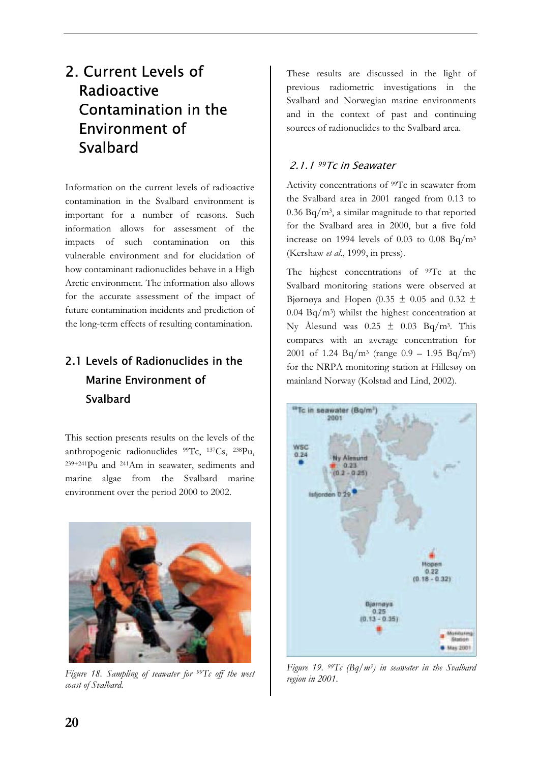# 2. Current Levels of Radioactive Contamination in the Environment of Svalbard

Information on the current levels of radioactive contamination in the Svalbard environment is important for a number of reasons. Such information allows for assessment of the impacts of such contamination on this vulnerable environment and for elucidation of how contaminant radionuclides behave in a High Arctic environment. The information also allows for the accurate assessment of the impact of future contamination incidents and prediction of the long-term effects of resulting contamination.

# 2.1 Levels of Radionuclides in the Marine Environment of **Svalbard**

This section presents results on the levels of the anthropogenic radionuclides 99Tc, 137Cs, 238Pu, 239+241Pu and 241Am in seawater, sediments and marine algae from the Svalbard marine environment over the period 2000 to 2002.



*Figure 18. Sampling of seawater for 99Tc off the west coast of Svalbard.* 

These results are discussed in the light of previous radiometric investigations in the Svalbard and Norwegian marine environments and in the context of past and continuing sources of radionuclides to the Svalbard area.

## 2.1.1 <sup>99</sup>Tc in Seawater

Activity concentrations of <sup>99</sup>Tc in seawater from the Svalbard area in 2001 ranged from 0.13 to 0.36 Bq/m3, a similar magnitude to that reported for the Svalbard area in 2000, but a five fold increase on 1994 levels of  $0.03$  to  $0.08$  Bq/m<sup>3</sup> (Kershaw *et al*., 1999, in press).

The highest concentrations of <sup>99</sup>Tc at the Svalbard monitoring stations were observed at Bjørnøya and Hopen (0.35  $\pm$  0.05 and 0.32  $\pm$  $0.04$  Bq/m<sup>3</sup>) whilst the highest concentration at Ny Ålesund was  $0.25 \pm 0.03$  Bq/m<sup>3</sup>. This compares with an average concentration for 2001 of 1.24 Bq/m<sup>3</sup> (range  $0.9 - 1.95$  Bq/m<sup>3</sup>) for the NRPA monitoring station at Hillesøy on mainland Norway (Kolstad and Lind, 2002).



*Figure 19. 99Tc (Bq/m3) in seawater in the Svalbard region in 2001.*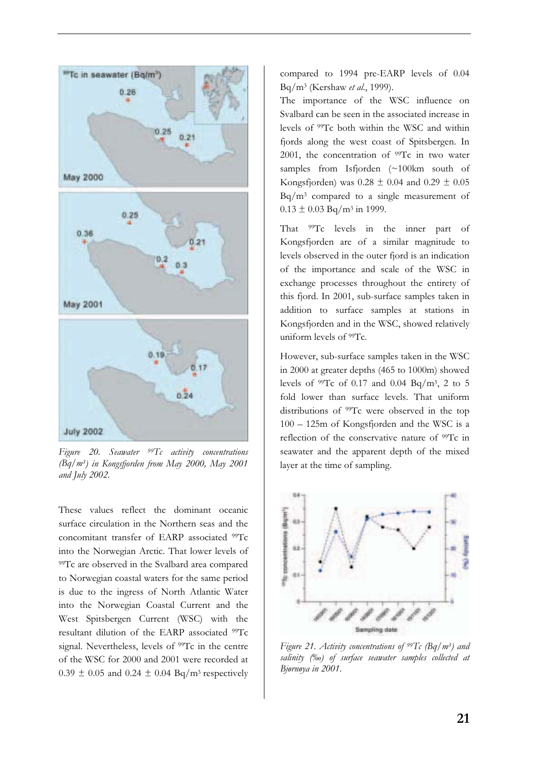

*Figure 20. Seawater 99Tc activity concentrations (Bq/m3) in Kongsfjorden from May 2000, May 2001 and July 2002.* 

These values reflect the dominant oceanic surface circulation in the Northern seas and the concomitant transfer of EARP associated 99Tc into the Norwegian Arctic. That lower levels of 99Tc are observed in the Svalbard area compared to Norwegian coastal waters for the same period is due to the ingress of North Atlantic Water into the Norwegian Coastal Current and the West Spitsbergen Current (WSC) with the resultant dilution of the EARP associated 99Tc signal. Nevertheless, levels of <sup>99</sup>Tc in the centre of the WSC for 2000 and 2001 were recorded at  $0.39 \pm 0.05$  and  $0.24 \pm 0.04$  Bq/m<sup>3</sup> respectively

compared to 1994 pre-EARP levels of 0.04 Bq/m3 (Kershaw *et al*., 1999).

The importance of the WSC influence on Svalbard can be seen in the associated increase in levels of 99Tc both within the WSC and within fjords along the west coast of Spitsbergen. In 2001, the concentration of  $99Tc$  in two water samples from Isfjorden (~100km south of Kongsfjorden) was  $0.28 \pm 0.04$  and  $0.29 \pm 0.05$ Bq/m3 compared to a single measurement of  $0.13 \pm 0.03$  Bq/m<sup>3</sup> in 1999.

That <sup>99</sup>Tc levels in the inner part of Kongsfjorden are of a similar magnitude to levels observed in the outer fjord is an indication of the importance and scale of the WSC in exchange processes throughout the entirety of this fjord. In 2001, sub-surface samples taken in addition to surface samples at stations in Kongsfjorden and in the WSC, showed relatively uniform levels of 99Tc.

However, sub-surface samples taken in the WSC in 2000 at greater depths (465 to 1000m) showed levels of  $99Tc$  of 0.17 and 0.04 Bq/m<sup>3</sup>, 2 to 5 fold lower than surface levels. That uniform distributions of <sup>99</sup>Tc were observed in the top 100 – 125m of Kongsfjorden and the WSC is a reflection of the conservative nature of <sup>99</sup>Tc in seawater and the apparent depth of the mixed layer at the time of sampling.



*Figure 21. Activity concentrations of 99Tc (Bq/m3) and salinity (‰) of surface seawater samples collected at Bjørnøya in 2001.*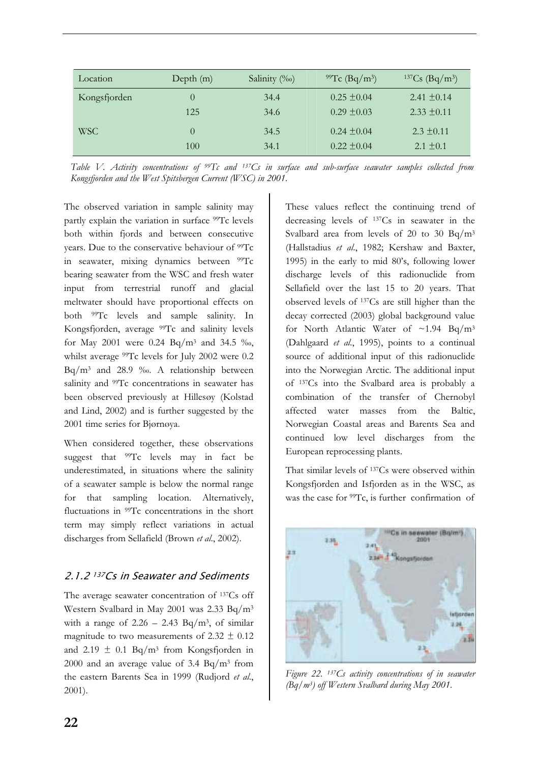| Location     | Depth $(m)$ | Salinity (‰) | <sup>99</sup> Tc (Bq/m <sup>3</sup> ) | $137Cs$ (Bq/m <sup>3</sup> ) |
|--------------|-------------|--------------|---------------------------------------|------------------------------|
| Kongsfjorden | $\theta$    | 34.4         | $0.25 + 0.04$                         | $2.41 \pm 0.14$              |
|              | 125         | 34.6         | $0.29 + 0.03$                         | $2.33 + 0.11$                |
| <b>WSC</b>   | $\theta$    | 34.5         | $0.24 + 0.04$                         | $2.3 \pm 0.11$               |
|              | 100         | 34.1         | $0.22 + 0.04$                         | $2.1 \pm 0.1$                |

*Table V. Activity concentrations of 99Tc and 137Cs in surface and sub-surface seawater samples collected from Kongsfjorden and the West Spitsbergen Current (WSC) in 2001.*

The observed variation in sample salinity may partly explain the variation in surface 99Tc levels both within fjords and between consecutive years. Due to the conservative behaviour of 99Tc in seawater, mixing dynamics between 99Tc bearing seawater from the WSC and fresh water input from terrestrial runoff and glacial meltwater should have proportional effects on both 99Tc levels and sample salinity. In Kongsfjorden, average 99Tc and salinity levels for May 2001 were 0.24 Bq/m3 and 34.5 ‰, whilst average 99Tc levels for July 2002 were 0.2 Bq/m3 and 28.9 ‰. A relationship between salinity and <sup>99</sup>Tc concentrations in seawater has been observed previously at Hillesøy (Kolstad and Lind, 2002) and is further suggested by the 2001 time series for Bjørnøya.

When considered together, these observations suggest that <sup>99</sup>Tc levels may in fact be underestimated, in situations where the salinity of a seawater sample is below the normal range for that sampling location. Alternatively, fluctuations in <sup>99</sup>Tc concentrations in the short term may simply reflect variations in actual discharges from Sellafield (Brown *et al*., 2002).

## 2.1.2 <sup>137</sup>Cs in Seawater and Sediments

The average seawater concentration of <sup>137</sup>Cs off Western Svalbard in May 2001 was 2.33 Bq/m3 with a range of  $2.26 - 2.43$  Bq/m<sup>3</sup>, of similar magnitude to two measurements of  $2.32 \pm 0.12$ and 2.19  $\pm$  0.1 Bq/m<sup>3</sup> from Kongsfjorden in 2000 and an average value of 3.4  $Bq/m^3$  from the eastern Barents Sea in 1999 (Rudjord *et al*., 2001).

These values reflect the continuing trend of decreasing levels of 137Cs in seawater in the Svalbard area from levels of 20 to 30  $Bq/m<sup>3</sup>$ (Hallstadius *et al*., 1982; Kershaw and Baxter, 1995) in the early to mid 80's, following lower discharge levels of this radionuclide from Sellafield over the last 15 to 20 years. That observed levels of 137Cs are still higher than the decay corrected (2003) global background value for North Atlantic Water of  $\sim$ 1.94 Bq/m<sup>3</sup> (Dahlgaard *et al*., 1995), points to a continual source of additional input of this radionuclide into the Norwegian Arctic. The additional input of 137Cs into the Svalbard area is probably a combination of the transfer of Chernobyl affected water masses from the Baltic, Norwegian Coastal areas and Barents Sea and continued low level discharges from the European reprocessing plants.

That similar levels of 137Cs were observed within Kongsfjorden and Isfjorden as in the WSC, as was the case for <sup>99</sup>Tc, is further confirmation of



*Figure 22. 137Cs activity concentrations of in seawater (Bq/m3) off Western Svalbard during May 2001.*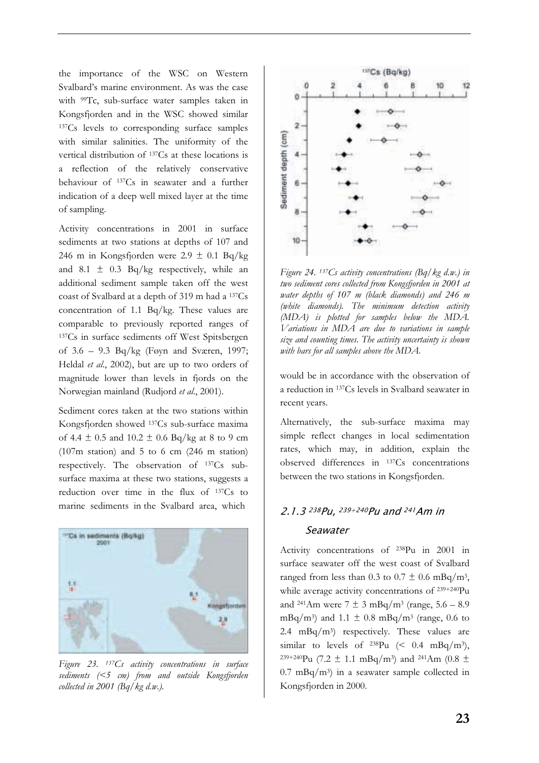the importance of the WSC on Western Svalbard's marine environment. As was the case with 99Tc, sub-surface water samples taken in Kongsfjorden and in the WSC showed similar 137Cs levels to corresponding surface samples with similar salinities. The uniformity of the vertical distribution of 137Cs at these locations is a reflection of the relatively conservative behaviour of 137Cs in seawater and a further indication of a deep well mixed layer at the time of sampling.

Activity concentrations in 2001 in surface sediments at two stations at depths of 107 and 246 m in Kongsfjorden were  $2.9 \pm 0.1$  Bq/kg and 8.1  $\pm$  0.3 Bq/kg respectively, while an additional sediment sample taken off the west coast of Svalbard at a depth of 319 m had a 137Cs concentration of 1.1 Bq/kg. These values are comparable to previously reported ranges of 137Cs in surface sediments off West Spitsbergen of 3.6 – 9.3 Bq/kg (Føyn and Sværen, 1997; Heldal *et al*., 2002), but are up to two orders of magnitude lower than levels in fjords on the Norwegian mainland (Rudjord *et al*., 2001).

Sediment cores taken at the two stations within Kongsfjorden showed 137Cs sub-surface maxima of 4.4  $\pm$  0.5 and 10.2  $\pm$  0.6 Bq/kg at 8 to 9 cm (107m station) and 5 to 6 cm (246 m station) respectively. The observation of 137Cs subsurface maxima at these two stations, suggests a reduction over time in the flux of 137Cs to marine sediments in the Svalbard area, which



*Figure 23. 137Cs activity concentrations in surface sediments (<5 cm) from and outside Kongsfjorden collected in 2001 (Bq/kg d.w.).* 



*Figure 24. 137Cs activity concentrations (Bq/kg d.w.) in two sediment cores collected from Kongsfjorden in 2001 at water depths of 107 m (black diamonds) and 246 m (white diamonds). The minimum detection activity (MDA) is plotted for samples below the MDA. Variations in MDA are due to variations in sample size and counting times. The activity uncertainty is shown with bars for all samples above the MDA.* 

would be in accordance with the observation of a reduction in 137Cs levels in Svalbard seawater in recent years.

Alternatively, the sub-surface maxima may simple reflect changes in local sedimentation rates, which may, in addition, explain the observed differences in 137Cs concentrations between the two stations in Kongsfjorden.

## 2.1.3 <sup>238</sup>Pu, 239+240Pu and 241Am in **Seawater**

Activity concentrations of 238Pu in 2001 in surface seawater off the west coast of Svalbard ranged from less than 0.3 to 0.7  $\pm$  0.6 mBq/m<sup>3</sup>, while average activity concentrations of 239+240Pu and <sup>241</sup>Am were  $7 \pm 3 \text{ mBq/m}^3$  (range,  $5.6 - 8.9$ ) mBq/m<sup>3</sup>) and 1.1  $\pm$  0.8 mBq/m<sup>3</sup> (range, 0.6 to 2.4 mBq/m<sup>3</sup>) respectively. These values are similar to levels of  $^{238}Pu \leq 0.4 \text{ mBq/m}^3$ , <sup>239+240</sup>Pu (7.2  $\pm$  1.1 mBq/m<sup>3</sup>) and <sup>241</sup>Am (0.8  $\pm$  $0.7 \text{ mBq/m}^3$  in a seawater sample collected in Kongsfjorden in 2000.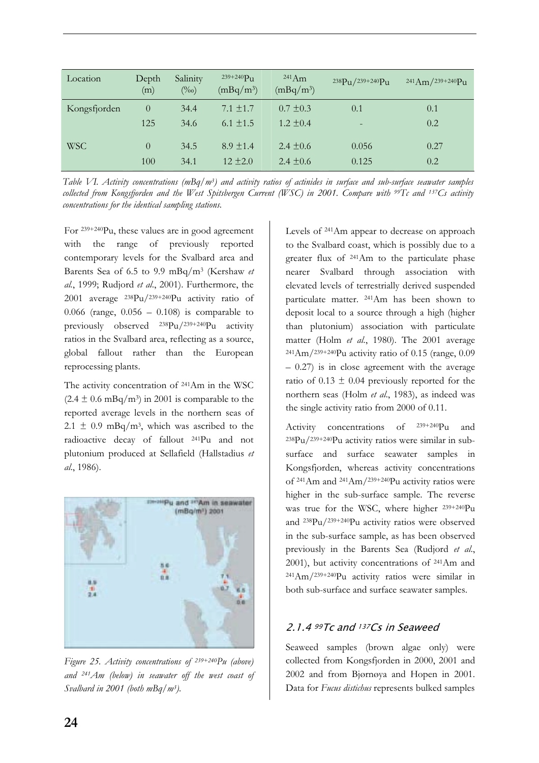| Location     | Depth<br>(m) | Salinity<br>$(\%0)$ | $239 + 240 P_{11}$<br>$(mBq/m^3)$ | $^{241}Am$<br>$(mBq/m^3)$ | 238Pu/239+240Pu | $241Am/239+240Pu$ |
|--------------|--------------|---------------------|-----------------------------------|---------------------------|-----------------|-------------------|
| Kongsfjorden | $\theta$     | 34.4                | $7.1 \pm 1.7$                     | $0.7 \pm 0.3$             | 0.1             | 0.1               |
|              | 125          | 34.6                | 6.1 $\pm$ 1.5                     | $1.2 \pm 0.4$             |                 | 0.2               |
|              |              |                     |                                   |                           |                 |                   |
| <b>WSC</b>   | $\theta$     | 34.5                | $8.9 + 1.4$                       | 2.4 $\pm$ 0.6             | 0.056           | 0.27              |
|              | 100          | 34.1                | $12 + 2.0$                        | 2.4 $\pm$ 0.6             | 0.125           | 0.2               |

*Table VI. Activity concentrations (mBq/m3) and activity ratios of actinides in surface and sub-surface seawater samples collected from Kongsfjorden and the West Spitsbergen Current (WSC) in 2001. Compare with 99Tc and 137Cs activity concentrations for the identical sampling stations.*

For 239+240Pu, these values are in good agreement with the range of previously reported contemporary levels for the Svalbard area and Barents Sea of 6.5 to 9.9 mBq/m3 (Kershaw *et al.*, 1999; Rudjord *et al*., 2001). Furthermore, the 2001 average 238Pu/239+240Pu activity ratio of 0.066 (range,  $0.056 - 0.108$ ) is comparable to previously observed 238Pu/239+240Pu activity ratios in the Svalbard area, reflecting as a source, global fallout rather than the European reprocessing plants.

The activity concentration of 241Am in the WSC  $(2.4 \pm 0.6 \text{ mBq/m}^3)$  in 2001 is comparable to the reported average levels in the northern seas of 2.1  $\pm$  0.9 mBq/m<sup>3</sup>, which was ascribed to the radioactive decay of fallout 241Pu and not plutonium produced at Sellafield (Hallstadius *et al*., 1986).



*Figure 25. Activity concentrations of 239+240Pu (above) and 241Am (below) in seawater off the west coast of Svalbard in 2001 (both mBq/m3).*

Levels of 241Am appear to decrease on approach to the Svalbard coast, which is possibly due to a greater flux of 241Am to the particulate phase nearer Svalbard through association with elevated levels of terrestrially derived suspended particulate matter. 241Am has been shown to deposit local to a source through a high (higher than plutonium) association with particulate matter (Holm *et al*., 1980). The 2001 average  $^{241}$ Am/ $^{239+240}$ Pu activity ratio of 0.15 (range, 0.09  $-0.27$ ) is in close agreement with the average ratio of  $0.13 \pm 0.04$  previously reported for the northern seas (Holm *et al*., 1983), as indeed was the single activity ratio from 2000 of 0.11.

Activity concentrations of 239+240Pu and  $238Pu/239+240Pu$  activity ratios were similar in subsurface and surface seawater samples in Kongsfjorden, whereas activity concentrations of 241Am and 241Am/239+240Pu activity ratios were higher in the sub-surface sample. The reverse was true for the WSC, where higher 239+240Pu and 238Pu/239+240Pu activity ratios were observed in the sub-surface sample, as has been observed previously in the Barents Sea (Rudjord *et al*., 2001), but activity concentrations of 241Am and 241Am/239+240Pu activity ratios were similar in both sub-surface and surface seawater samples.

## 2.1.4 99Tc and 137Cs in Seaweed

Seaweed samples (brown algae only) were collected from Kongsfjorden in 2000, 2001 and 2002 and from Bjørnøya and Hopen in 2001. Data for *Fucus distichus* represents bulked samples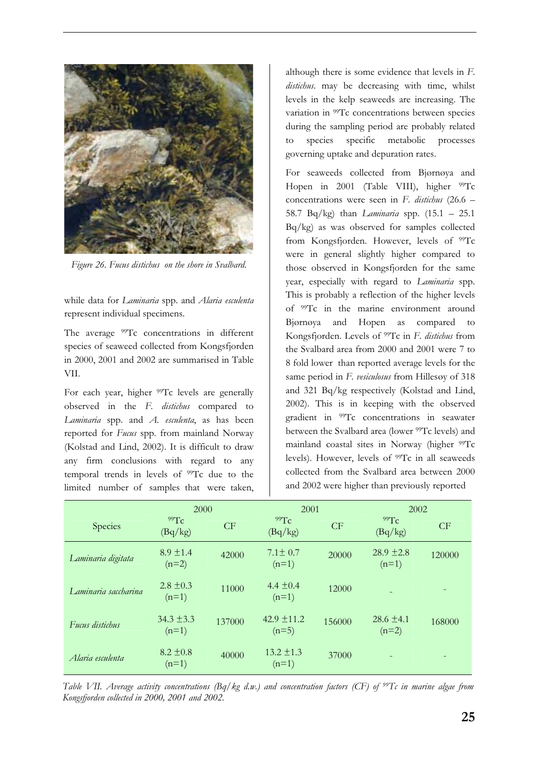

*Figure 26. Fucus distichus on the shore in Svalbard.* 

while data for *Laminaria* spp. and *Alaria esculenta* represent individual specimens.

The average <sup>99</sup>Tc concentrations in different species of seaweed collected from Kongsfjorden in 2000, 2001 and 2002 are summarised in Table VII.

For each year, higher <sup>99</sup>Tc levels are generally observed in the *F*. *distichus* compared to *Laminaria* spp. and *A. esculenta*, as has been reported for *Fucus* spp. from mainland Norway (Kolstad and Lind, 2002). It is difficult to draw any firm conclusions with regard to any temporal trends in levels of 99Tc due to the limited number of samples that were taken, although there is some evidence that levels in *F*. *distichus*. may be decreasing with time, whilst levels in the kelp seaweeds are increasing. The variation in <sup>99</sup>Tc concentrations between species during the sampling period are probably related to species specific metabolic processes governing uptake and depuration rates.

For seaweeds collected from Bjørnøya and Hopen in 2001 (Table VIII), higher <sup>99</sup>Tc concentrations were seen in *F*. *distichus* (26.6 – 58.7 Bq/kg) than *Laminaria* spp. (15.1 – 25.1 Bq/kg) as was observed for samples collected from Kongsfjorden. However, levels of 99Tc were in general slightly higher compared to those observed in Kongsfjorden for the same year, especially with regard to *Laminaria* spp. This is probably a reflection of the higher levels of 99Tc in the marine environment around Bjørnøya and Hopen as compared to Kongsfjorden. Levels of 99Tc in *F*. *distichus* from the Svalbard area from 2000 and 2001 were 7 to 8 fold lower than reported average levels for the same period in *F. vesiculosus* from Hillesøy of 318 and 321 Bq/kg respectively (Kolstad and Lind, 2002). This is in keeping with the observed gradient in 99Tc concentrations in seawater between the Svalbard area (lower 99Tc levels) and mainland coastal sites in Norway (higher <sup>99</sup>Tc levels). However, levels of <sup>99</sup>Tc in all seaweeds collected from the Svalbard area between 2000 and 2002 were higher than previously reported

|                      | 2000                      |        |                           | 2001      |                           | 2002   |
|----------------------|---------------------------|--------|---------------------------|-----------|---------------------------|--------|
| Species              | 99Tc<br>(Bq/kg)           | CF     | 99Tc<br>(Bq/kg)           | <b>CF</b> | 99Tc<br>(Bq/kg)           | CF     |
| Laminaria digitata   | $8.9 \pm 1.4$<br>$(n=2)$  | 42000  | $7.1 \pm 0.7$<br>$(n=1)$  | 20000     | $28.9 \pm 2.8$<br>$(n=1)$ | 120000 |
| Laminaria saccharina | $2.8 \pm 0.3$<br>$(n=1)$  | 11000  | 4.4 $\pm$ 0.4<br>$(n=1)$  | 12000     |                           |        |
| Fucus distichus      | $34.3 \pm 3.3$<br>$(n=1)$ | 137000 | $42.9 + 11.2$<br>$(n=5)$  | 156000    | $28.6 + 4.1$<br>$(n=2)$   | 168000 |
| Alaria esculenta     | $8.2 \pm 0.8$<br>$(n=1)$  | 40000  | $13.2 \pm 1.3$<br>$(n=1)$ | 37000     |                           |        |

*Table VII. Average activity concentrations (Bq/kg d.w.) and concentration factors (CF) of 99Tc in marine algae from Kongsfjorden collected in 2000, 2001 and 2002.*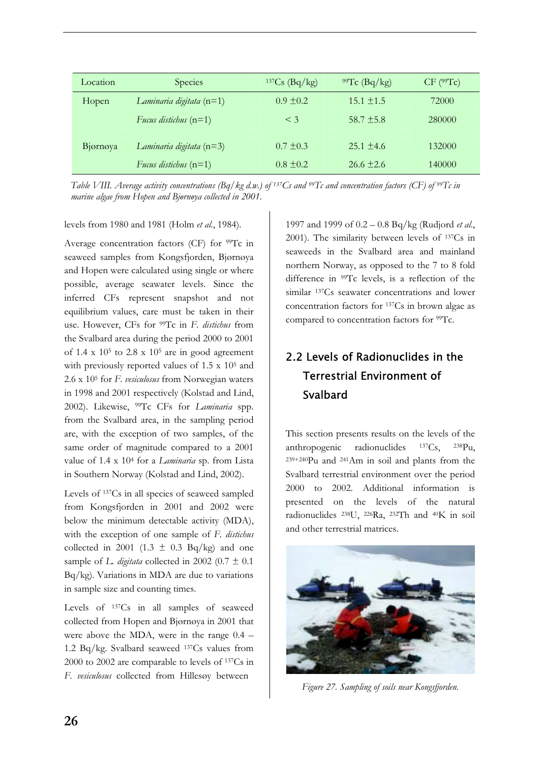| Location | <b>Species</b>             | $137Cs$ (Bq/kg) | <sup>99</sup> Tc (Bq/kg) | $CF$ ( $99Tc$ ) |
|----------|----------------------------|-----------------|--------------------------|-----------------|
| Hopen    | Laminaria digitata $(n=1)$ | $0.9 + 0.2$     | $15.1 + 1.5$             | 72000           |
|          | Fucus distichus $(n=1)$    | $\leq$ 3        | $58.7 + 5.8$             | 280000          |
| Bjørnøya | Laminaria digitata $(n=3)$ | $0.7 + 0.3$     | $25.1 + 4.6$             | 132000          |
|          | Fucus distichus $(n=1)$    | $0.8 + 0.2$     | $26.6 \pm 2.6$           | 140000          |

*Table VIII. Average activity concentrations (Bq/kg d.w.) of 137Cs and 99Tc and concentration factors (CF) of 99Tc in marine algae from Hopen and Bjørnøya collected in 2001.*

levels from 1980 and 1981 (Holm *et al*., 1984).

Average concentration factors (CF) for 99Tc in seaweed samples from Kongsfjorden, Bjørnøya and Hopen were calculated using single or where possible, average seawater levels. Since the inferred CFs represent snapshot and not equilibrium values, care must be taken in their use. However, CFs for 99Tc in *F*. *distichus* from the Svalbard area during the period 2000 to 2001 of 1.4 x  $10<sup>5</sup>$  to 2.8 x  $10<sup>5</sup>$  are in good agreement with previously reported values of 1.5 x 105 and 2.6 x 105 for *F*. *vesiculosus* from Norwegian waters in 1998 and 2001 respectively (Kolstad and Lind, 2002). Likewise, 99Tc CFs for *Laminaria* spp. from the Svalbard area, in the sampling period are, with the exception of two samples, of the same order of magnitude compared to a 2001 value of 1.4 x 104 for a *Laminaria* sp. from Lista in Southern Norway (Kolstad and Lind, 2002).

Levels of 137Cs in all species of seaweed sampled from Kongsfjorden in 2001 and 2002 were below the minimum detectable activity (MDA), with the exception of one sample of *F. distichus* collected in 2001 (1.3  $\pm$  0.3 Bq/kg) and one sample of *L. digitata* collected in 2002 (0.7  $\pm$  0.1 Bq/kg). Variations in MDA are due to variations in sample size and counting times.

Levels of 137Cs in all samples of seaweed collected from Hopen and Bjørnøya in 2001 that were above the MDA, were in the range 0.4 – 1.2 Bq/kg. Svalbard seaweed 137Cs values from 2000 to 2002 are comparable to levels of 137Cs in *F. vesiculosus* collected from Hillesøy between

1997 and 1999 of 0.2 – 0.8 Bq/kg (Rudjord *et al*., 2001). The similarity between levels of 137Cs in seaweeds in the Svalbard area and mainland northern Norway, as opposed to the 7 to 8 fold difference in 99Tc levels, is a reflection of the similar 137Cs seawater concentrations and lower concentration factors for 137Cs in brown algae as compared to concentration factors for 99Tc.

# 2.2 Levels of Radionuclides in the Terrestrial Environment of Svalbard

This section presents results on the levels of the anthropogenic radionuclides 137Cs, 238Pu, 239+240Pu and 241Am in soil and plants from the Svalbard terrestrial environment over the period 2000 to 2002. Additional information is presented on the levels of the natural radionuclides 238U, 226Ra, 232Th and 40K in soil and other terrestrial matrices.



*Figure 27. Sampling of soils near Kongsfjorden.*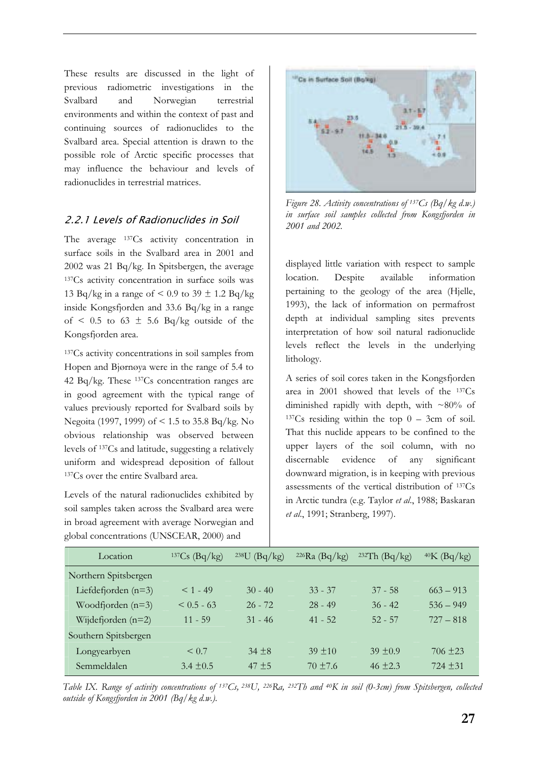These results are discussed in the light of previous radiometric investigations in the Svalbard and Norwegian terrestrial environments and within the context of past and continuing sources of radionuclides to the Svalbard area. Special attention is drawn to the possible role of Arctic specific processes that may influence the behaviour and levels of radionuclides in terrestrial matrices.

## 2.2.1 Levels of Radionuclides in Soil

The average <sup>137</sup>Cs activity concentration in surface soils in the Svalbard area in 2001 and 2002 was 21 Bq/kg. In Spitsbergen, the average 137Cs activity concentration in surface soils was 13 Bq/kg in a range of  $\leq 0.9$  to 39  $\pm$  1.2 Bq/kg inside Kongsfjorden and 33.6 Bq/kg in a range of  $\leq$  0.5 to 63  $\pm$  5.6 Bq/kg outside of the Kongsfjorden area.

137Cs activity concentrations in soil samples from Hopen and Bjørnøya were in the range of 5.4 to 42 Bq/kg. These 137Cs concentration ranges are in good agreement with the typical range of values previously reported for Svalbard soils by Negoita (1997, 1999) of < 1.5 to 35.8 Bq/kg. No obvious relationship was observed between levels of 137Cs and latitude, suggesting a relatively uniform and widespread deposition of fallout 137Cs over the entire Svalbard area.

Levels of the natural radionuclides exhibited by soil samples taken across the Svalbard area were in broad agreement with average Norwegian and global concentrations (UNSCEAR, 2000) and



*Figure 28. Activity concentrations of 137Cs (Bq/kg d.w.) in surface soil samples collected from Kongsfjorden in 2001 and 2002.* 

displayed little variation with respect to sample location. Despite available information pertaining to the geology of the area (Hjelle, 1993), the lack of information on permafrost depth at individual sampling sites prevents interpretation of how soil natural radionuclide levels reflect the levels in the underlying lithology.

A series of soil cores taken in the Kongsfjorden area in 2001 showed that levels of the 137Cs diminished rapidly with depth, with ~80% of  $137Cs$  residing within the top  $0 - 3cm$  of soil. That this nuclide appears to be confined to the upper layers of the soil column, with no discernable evidence of any significant downward migration, is in keeping with previous assessments of the vertical distribution of 137Cs in Arctic tundra (e.g. Taylor *et al*., 1988; Baskaran *et al*., 1991; Stranberg, 1997).

| Location              | $137Cs$ (Bq/kg) | $238$ U<br>(Bq/kg) | $226Ra$ (Bq/kg) | $232$ Th (Bq/kg) | $40K$ (Bq/kg) |
|-----------------------|-----------------|--------------------|-----------------|------------------|---------------|
| Northern Spitsbergen  |                 |                    |                 |                  |               |
| Liefdefjorden $(n=3)$ | $< 1 - 49$      | $30 - 40$          | $33 - 37$       | $37 - 58$        | $663 - 913$   |
| Woodfjorden $(n=3)$   | $\leq 0.5 - 63$ | $26 - 72$          | $28 - 49$       | $36 - 42$        | $536 - 949$   |
| Wijdefjorden $(n=2)$  | $11 - 59$       | $31 - 46$          | $41 - 52$       | $52 - 57$        | $727 - 818$   |
| Southern Spitsbergen  |                 |                    |                 |                  |               |
| Longyearbyen          | $\leq 0.7$      | $34 + 8$           | $39 + 10$       | $39 + 0.9$       | $706 \pm 23$  |
| Semmeldalen           | $3.4 + 0.5$     | $47 + 5$           | $70 + 7.6$      | $46 + 2.3$       | $724 + 31$    |

*Table IX. Range of activity concentrations of 137Cs, 238U, 226Ra, 232Th and 40K in soil (0-3cm) from Spitsbergen, collected outside of Kongsfjorden in 2001 (Bq/kg d.w.).*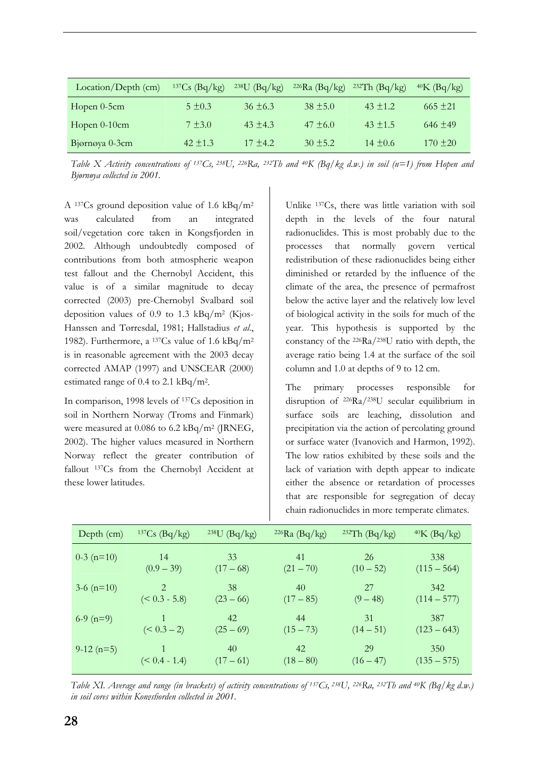| Location/Depth (cm) | $137Cs$ (Bq/kg) | $238U$ (Bq/kg) | $226Ra$ (Bq/kg) | $232Th$ (Bq/kg) | $40K$ (Bq/kg) |
|---------------------|-----------------|----------------|-----------------|-----------------|---------------|
| Hopen $0-5$ cm      | $5 + 0.3$       | $36 + 6.3$     | $38 + 5.0$      | $43 + 1.2$      | $665 + 21$    |
| Hopen $0-10$ cm     | $7 + 3.0$       | $43 + 4.3$     | $47 + 6.0$      | $43 + 1.5$      | $646 + 49$    |
| Bjørnøya 0-3cm      | $42 + 1.3$      | $17 + 4.2$     | $30 + 5.2$      | $14 + 0.6$      | $170 + 20$    |

*Table X Activity concentrations of 137Cs, 238U, 226Ra, 232Th and 40K (Bq/kg d.w.) in soil (n=1) from Hopen and Bjørnøya collected in 2001.*

A 137Cs ground deposition value of 1.6 kBq/m2 was calculated from an integrated soil/vegetation core taken in Kongsfjorden in 2002. Although undoubtedly composed of contributions from both atmospheric weapon test fallout and the Chernobyl Accident, this value is of a similar magnitude to decay corrected (2003) pre-Chernobyl Svalbard soil deposition values of 0.9 to 1.3  $kBq/m^2$  (Kjos-Hanssen and Tørresdal, 1981; Hallstadius *et al*., 1982). Furthermore, a 137Cs value of 1.6 kBq/m2 is in reasonable agreement with the 2003 decay corrected AMAP (1997) and UNSCEAR (2000) estimated range of 0.4 to 2.1 kBq/m2.

In comparison, 1998 levels of 137Cs deposition in soil in Northern Norway (Troms and Finmark) were measured at 0.086 to 6.2 kBq/m2 (JRNEG, 2002). The higher values measured in Northern Norway reflect the greater contribution of fallout 137Cs from the Chernobyl Accident at these lower latitudes.

Unlike 137Cs, there was little variation with soil depth in the levels of the four natural radionuclides. This is most probably due to the processes that normally govern vertical redistribution of these radionuclides being either diminished or retarded by the influence of the climate of the area, the presence of permafrost below the active layer and the relatively low level of biological activity in the soils for much of the year. This hypothesis is supported by the constancy of the 226Ra/238U ratio with depth, the average ratio being 1.4 at the surface of the soil column and 1.0 at depths of 9 to 12 cm.

The primary processes responsible for disruption of 226Ra/238U secular equilibrium in surface soils are leaching, dissolution and precipitation via the action of percolating ground or surface water (Ivanovich and Harmon, 1992). The low ratios exhibited by these soils and the lack of variation with depth appear to indicate either the absence or retardation of processes that are responsible for segregation of decay chain radionuclides in more temperate climates.

| Depth (cm)   | $137Cs$ (Bq/kg)       | $238U$ (Bq/kg)    | $226Ra$ (Bq/kg)   | <sup>232</sup> Th $(Bq/kg)$ | $40K$ (Bq/kg)        |
|--------------|-----------------------|-------------------|-------------------|-----------------------------|----------------------|
| $0-3$ (n=10) | 14<br>$(0.9 - 39)$    | 33<br>$(17-68)$   | 41<br>$(21 - 70)$ | 26<br>$(10-52)$             | 338<br>$(115 - 564)$ |
| $3-6$ (n=10) | 2.<br>$(< 0.3 - 5.8)$ | 38<br>$(23 - 66)$ | 40<br>$(17-85)$   | 27<br>$(9 - 48)$            | 342<br>$(114 - 577)$ |
| $6-9$ (n=9)  | $(< 0.3 - 2)$         | 42.<br>$(25-69)$  | 44<br>$(15 - 73)$ | 31<br>$(14-51)$             | 387<br>$(123 - 643)$ |
| $9-12(n=5)$  | $(< 0.4 - 1.4)$       | 40<br>$(17-61)$   | 42<br>$(18 - 80)$ | 29<br>$(16 - 47)$           | 350<br>$(135 - 575)$ |

*Table XI. Average and range (in brackets) of activity concentrations of 137Cs, 238U, 226Ra, 232Th and 40K (Bq/kg d.w.) in soil cores within Kongsfjorden collected in 2001.*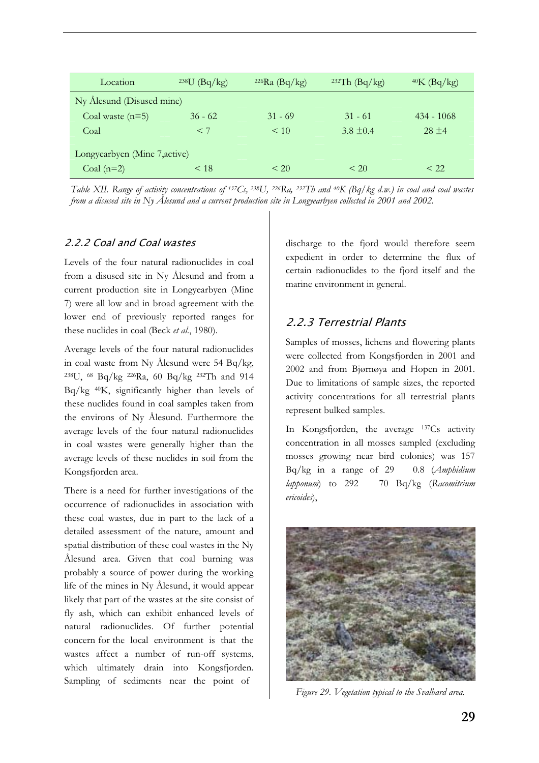| Location                      | $^{238}U$ (Bq/kg) | $226$ Ra (Bq/kg) | <sup>232</sup> Th $(Bq/kg)$ | $40K$ (Bq/kg) |  |
|-------------------------------|-------------------|------------------|-----------------------------|---------------|--|
| Ny Ålesund (Disused mine)     |                   |                  |                             |               |  |
| Coal waste $(n=5)$            | $36 - 62$         | $31 - 69$        | $31 - 61$                   | $434 - 1068$  |  |
| Coal                          | < 7               | $\leq 10$        | $3.8 + 0.4$                 | $28 + 4$      |  |
| Longyearbyen (Mine 7, active) |                   |                  |                             |               |  |
| Coal $(n=2)$                  | < 18              | $\leq 20$        | $\leq 20$                   | < 22.         |  |

*Table XII. Range of activity concentrations of 137Cs, 238U, 226Ra, 232Th and 40K (Bq/kg d.w.) in coal and coal wastes from a disused site in Ny Ålesund and a current production site in Longyearbyen collected in 2001 and 2002.*

## 2.2.2 Coal and Coal wastes

Levels of the four natural radionuclides in coal from a disused site in Ny Ålesund and from a current production site in Longyearbyen (Mine 7) were all low and in broad agreement with the lower end of previously reported ranges for these nuclides in coal (Beck *et al*., 1980).

Average levels of the four natural radionuclides in coal waste from Ny Ålesund were 54 Bq/kg, 238U, 68 Bq/kg 226Ra, 60 Bq/kg 232Th and 914 Bq/kg 40K, significantly higher than levels of these nuclides found in coal samples taken from the environs of Ny Ålesund. Furthermore the average levels of the four natural radionuclides in coal wastes were generally higher than the average levels of these nuclides in soil from the Kongsfjorden area.

There is a need for further investigations of the occurrence of radionuclides in association with these coal wastes, due in part to the lack of a detailed assessment of the nature, amount and spatial distribution of these coal wastes in the Ny Ålesund area. Given that coal burning was probably a source of power during the working life of the mines in Ny Ålesund, it would appear likely that part of the wastes at the site consist of fly ash, which can exhibit enhanced levels of natural radionuclides. Of further potential concern for the local environment is that the wastes affect a number of run-off systems, which ultimately drain into Kongsfjorden. Sampling of sediments near the point of

discharge to the fjord would therefore seem expedient in order to determine the flux of certain radionuclides to the fjord itself and the marine environment in general.

## 2.2.3 Terrestrial Plants

Samples of mosses, lichens and flowering plants were collected from Kongsfjorden in 2001 and 2002 and from Bjørnøya and Hopen in 2001. Due to limitations of sample sizes, the reported activity concentrations for all terrestrial plants represent bulked samples.

In Kongsfjorden, the average 137Cs activity concentration in all mosses sampled (excluding mosses growing near bird colonies) was 157 Bq/kg in a range of 29 0.8 (*Amphidium lapponum*) to 292 70 Bq/kg (*Racomitrium ericoides*),



*Figure 29. Vegetation typical to the Svalbard area.*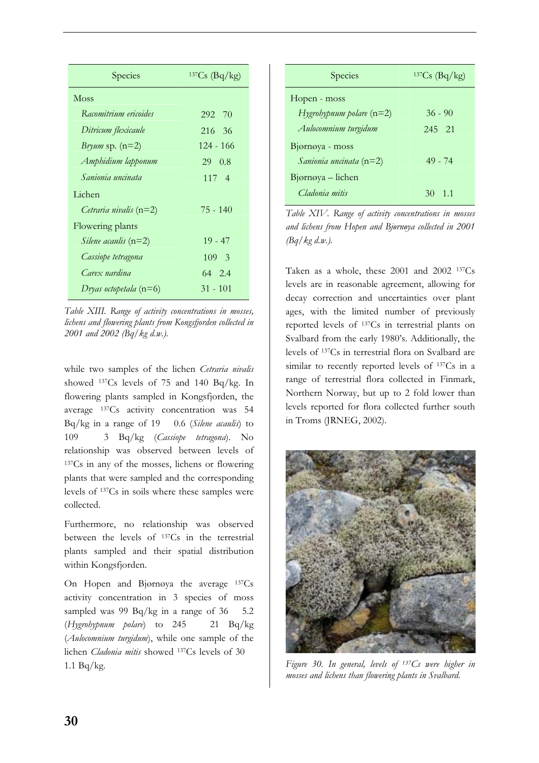| Species                       | $137Cs$ (Bq/kg) |
|-------------------------------|-----------------|
| Moss                          |                 |
| Racomitrium ericoides         | 292 70          |
| Ditricum flexicaule           | 216 36          |
| Bryum sp. $(n=2)$             | 124 - 166       |
| Amphidium lapponum            | 29 0.8          |
| Sanionia uncinata             | 117 4           |
| Lichen                        |                 |
| Cetraria nivalis $(n=2)$      | $75 - 140$      |
| Flowering plants              |                 |
| <i>Silene acaulis</i> $(n=2)$ | $19 - 47$       |
| Cassiope tetragona            | 109 3           |
| Carex nardina                 | 64 2.4          |
| Dryas octopetala $(n=6)$      | 31 - 101        |

*Table XIII. Range of activity concentrations in mosses, lichens and flowering plants from Kongsfjorden collected in 2001 and 2002 (Bq/kg d.w.).* 

while two samples of the lichen *Cetraria nivalis* showed 137Cs levels of 75 and 140 Bq/kg. In flowering plants sampled in Kongsfjorden, the average 137Cs activity concentration was 54 Bq/kg in a range of 19 0.6 (*Silene acaulis*) to 109 3 Bq/kg (*Cassiope tetragona*). No relationship was observed between levels of 137Cs in any of the mosses, lichens or flowering plants that were sampled and the corresponding levels of 137Cs in soils where these samples were collected.

Furthermore, no relationship was observed between the levels of 137Cs in the terrestrial plants sampled and their spatial distribution within Kongsfjorden.

On Hopen and Bjørnøya the average 137Cs activity concentration in 3 species of moss sampled was 99  $Bq/kg$  in a range of 36 5.2 (*Hygrohypnum polare*) to 245 21 Bq/kg (*Aulocomnium turgidum*), while one sample of the lichen *Cladonia mitis* showed 137Cs levels of 30 1.1 Bq/kg.

| Species                     | $137Cs$ (Bq/kg) |
|-----------------------------|-----------------|
| Hopen - moss                |                 |
| $Hy$ grobypnum polare (n=2) | $36 - 90$       |
| Aulocomnium turgidum        | 2.45 2.1        |
| Bjørnøya - moss             |                 |
| Sanionia uncinata (n=2)     | $49 - 74$       |
| Bjørnøya – lichen           |                 |
| Cladonia mitis              | 11<br>30        |

*Table XIV. Range of activity concentrations in mosses and lichens from Hopen and Bjørnøya collected in 2001 (Bq/kg d.w.).*

Taken as a whole, these 2001 and 2002 137Cs levels are in reasonable agreement, allowing for decay correction and uncertainties over plant ages, with the limited number of previously reported levels of 137Cs in terrestrial plants on Svalbard from the early 1980's. Additionally, the levels of 137Cs in terrestrial flora on Svalbard are similar to recently reported levels of 137Cs in a range of terrestrial flora collected in Finmark, Northern Norway, but up to 2 fold lower than levels reported for flora collected further south in Troms (JRNEG, 2002).



*Figure 30. In general, levels of 137Cs were higher in mosses and lichens than flowering plants in Svalbard.*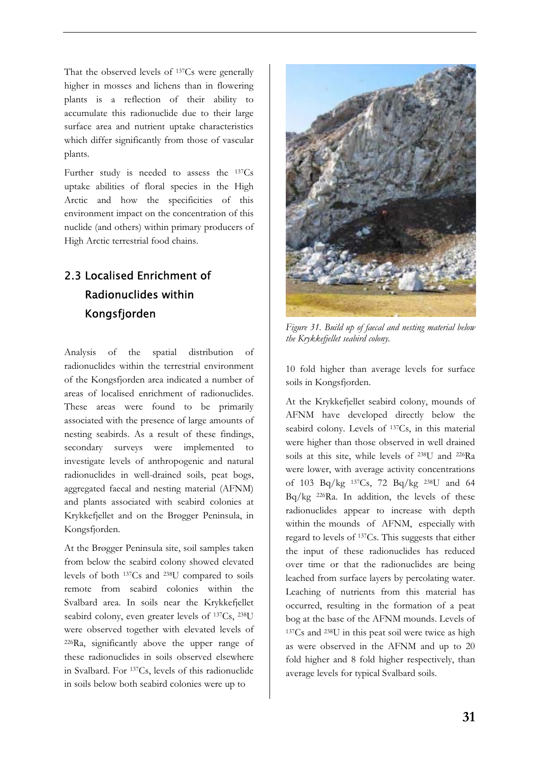That the observed levels of 137Cs were generally higher in mosses and lichens than in flowering plants is a reflection of their ability to accumulate this radionuclide due to their large surface area and nutrient uptake characteristics which differ significantly from those of vascular plants.

Further study is needed to assess the 137Cs uptake abilities of floral species in the High Arctic and how the specificities of this environment impact on the concentration of this nuclide (and others) within primary producers of High Arctic terrestrial food chains.

# 2.3 Localised Enrichment of Radionuclides within Kongsfjorden

Analysis of the spatial distribution of radionuclides within the terrestrial environment of the Kongsfjorden area indicated a number of areas of localised enrichment of radionuclides. These areas were found to be primarily associated with the presence of large amounts of nesting seabirds. As a result of these findings, secondary surveys were implemented to investigate levels of anthropogenic and natural radionuclides in well-drained soils, peat bogs, aggregated faecal and nesting material (AFNM) and plants associated with seabird colonies at Krykkefjellet and on the Brøgger Peninsula, in Kongsfjorden.

At the Brøgger Peninsula site, soil samples taken from below the seabird colony showed elevated levels of both 137Cs and 238U compared to soils remote from seabird colonies within the Svalbard area. In soils near the Krykkefjellet seabird colony, even greater levels of 137Cs, 238U were observed together with elevated levels of 226Ra, significantly above the upper range of these radionuclides in soils observed elsewhere in Svalbard. For 137Cs, levels of this radionuclide in soils below both seabird colonies were up to



*Figure 31. Build up of faecal and nesting material below the Krykkefjellet seabird colony.* 

10 fold higher than average levels for surface soils in Kongsfjorden.

At the Krykkefjellet seabird colony, mounds of AFNM have developed directly below the seabird colony. Levels of <sup>137</sup>Cs, in this material were higher than those observed in well drained soils at this site, while levels of 238U and 226Ra were lower, with average activity concentrations of 103 Bq/kg 137Cs, 72 Bq/kg 238U and 64 Bq/kg 226Ra. In addition, the levels of these radionuclides appear to increase with depth within the mounds of AFNM, especially with regard to levels of 137Cs. This suggests that either the input of these radionuclides has reduced over time or that the radionuclides are being leached from surface layers by percolating water. Leaching of nutrients from this material has occurred, resulting in the formation of a peat bog at the base of the AFNM mounds. Levels of 137Cs and 238U in this peat soil were twice as high as were observed in the AFNM and up to 20 fold higher and 8 fold higher respectively, than average levels for typical Svalbard soils.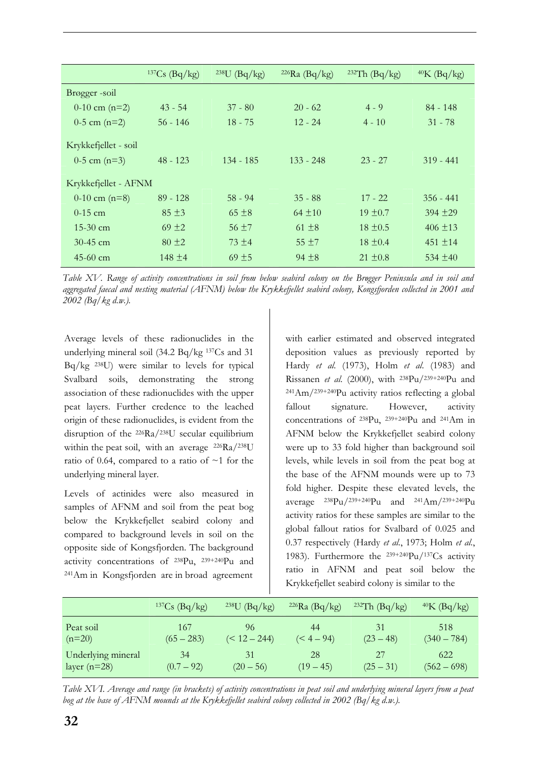|                      | $137Cs$ (Bq/kg) | $238U$ (Bq/kg) | $226Ra$ (Bq/kg) | $232Th$ (Bq/kg) | $40K$ (Bq/kg) |
|----------------------|-----------------|----------------|-----------------|-----------------|---------------|
| Brøgger-soil         |                 |                |                 |                 |               |
| 0-10 cm $(n=2)$      | $43 - 54$       | $37 - 80$      | $20 - 62$       | $4 - 9$         | $84 - 148$    |
| $0-5$ cm $(n=2)$     | $56 - 146$      | $18 - 75$      | $12 - 24$       | $4 - 10$        | $31 - 78$     |
| Krykkefjellet - soil |                 |                |                 |                 |               |
| $0-5$ cm $(n=3)$     | $48 - 123$      | $134 - 185$    | $133 - 248$     | $23 - 27$       | $319 - 441$   |
| Krykkefjellet - AFNM |                 |                |                 |                 |               |
| $0-10$ cm $(n=8)$    | $89 - 128$      | $58 - 94$      | $35 - 88$       | $17 - 22$       | $356 - 441$   |
| $0-15$ cm            | $85 \pm 3$      | $65 \pm 8$     | $64 \pm 10$     | $19 \pm 0.7$    | $394 + 29$    |
| $15-30$ cm           | $69 \pm 2$      | $56 \pm 7$     | $61 \pm 8$      | $18 \pm 0.5$    | $406 \pm 13$  |
| $30-45$ cm           | $80 \pm 2$      | $73 + 4$       | $55 \pm 7$      | $18 \pm 0.4$    | $451 \pm 14$  |
| $45-60$ cm           | $148 \pm 4$     | $69 \pm 5$     | $94 \pm 8$      | $21 \pm 0.8$    | 534 $\pm$ 40  |

*Table XV. Range of activity concentrations in soil from below seabird colony on the Brøgger Peninsula and in soil and aggregated faecal and nesting material (AFNM) below the Krykkefjellet seabird colony, Kongsfjorden collected in 2001 and 2002 (Bq/kg d.w.).*

Average levels of these radionuclides in the underlying mineral soil (34.2 Bq/kg 137Cs and 31 Bq/kg 238U) were similar to levels for typical Svalbard soils, demonstrating the strong association of these radionuclides with the upper peat layers. Further credence to the leached origin of these radionuclides, is evident from the disruption of the 226Ra/238U secular equilibrium within the peat soil, with an average 226Ra/238U ratio of 0.64, compared to a ratio of  $\sim$ 1 for the underlying mineral layer.

Levels of actinides were also measured in samples of AFNM and soil from the peat bog below the Krykkefjellet seabird colony and compared to background levels in soil on the opposite side of Kongsfjorden. The background activity concentrations of 238Pu, 239+240Pu and 241Am in Kongsfjorden are in broad agreement

with earlier estimated and observed integrated deposition values as previously reported by Hardy *et al*. (1973), Holm *et al*. (1983) and Rissanen *et al*. (2000), with 238Pu/239+240Pu and 241Am/239+240Pu activity ratios reflecting a global fallout signature. However, activity concentrations of 238Pu, 239+240Pu and 241Am in AFNM below the Krykkefjellet seabird colony were up to 33 fold higher than background soil levels, while levels in soil from the peat bog at the base of the AFNM mounds were up to 73 fold higher. Despite these elevated levels, the average  $^{238}Pu/^{239+240}Pu$  and  $^{241}Am/^{239+240}Pu$ activity ratios for these samples are similar to the global fallout ratios for Svalbard of 0.025 and 0.37 respectively (Hardy *et al*., 1973; Holm *et al*., 1983). Furthermore the 239+240Pu/137Cs activity ratio in AFNM and peat soil below the Krykkefjellet seabird colony is similar to the

|                    | $137Cs$ (Bq/kg) | $238U$ (Bq/kg) | $226Ra$ (Bq/kg) | $232Th$ (Bq/kg) | $40K$ (Bq/kg) |
|--------------------|-----------------|----------------|-----------------|-----------------|---------------|
| Peat soil          | 167             | 96             | 44              | 31              | 518           |
| $(n=20)$           | $(65 - 283)$    | $(< 12 - 244)$ | $(< 4 - 94)$    | $(23 - 48)$     | $(340 - 784)$ |
| Underlying mineral | 34              | 31             | 28              | 27              | 622           |
| layer $(n=28)$     | $(0.7 - 92)$    | $(20 - 56)$    | $(19 - 45)$     | $(25 - 31)$     | $(562 - 698)$ |

*Table XVI. Average and range (in brackets) of activity concentrations in peat soil and underlying mineral layers from a peat bog at the base of AFNM mounds at the Krykkefjellet seabird colony collected in 2002 (Bq/kg d.w.).*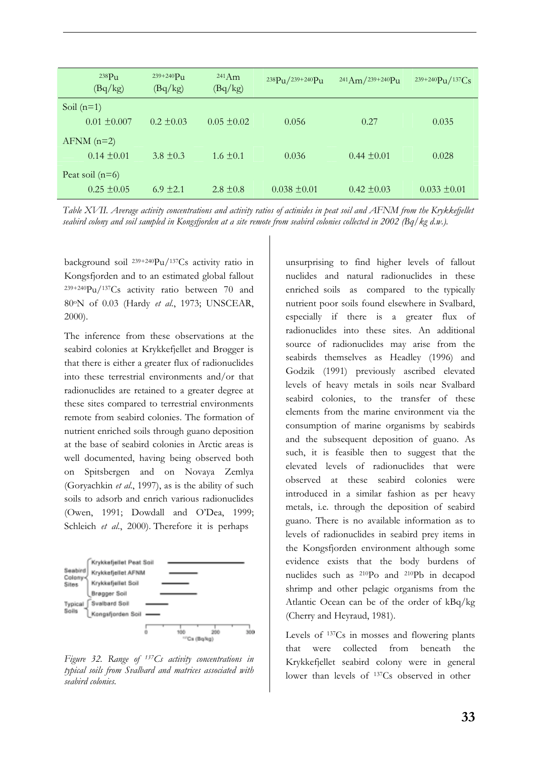|              | 238P <sub>u</sub><br>(Bq/kg) | $239 + 240 P_{11}$<br>(Bq/kg) | $^{241}Am$<br>(Bq/kg) | 238Pu/239+240Pu  | $^{241}Am/^{239+240}Pu$ | $239+240 \text{Pu} / 137 \text{Cs}$ |
|--------------|------------------------------|-------------------------------|-----------------------|------------------|-------------------------|-------------------------------------|
| Soil $(n=1)$ |                              |                               |                       |                  |                         |                                     |
|              | $0.01 \pm 0.007$             | $0.2 \pm 0.03$                | $0.05 \pm 0.02$       | 0.056            | 0.27                    | 0.035                               |
|              | $AFNM$ (n=2)                 |                               |                       |                  |                         |                                     |
|              | $0.14 \pm 0.01$              | $3.8 \pm 0.3$                 | $1.6 \pm 0.1$         | 0.036            | $0.44 \pm 0.01$         | 0.028                               |
|              | Peat soil $(n=6)$            |                               |                       |                  |                         |                                     |
|              | $0.25 \pm 0.05$              | $6.9 \pm 2.1$                 | $2.8 \pm 0.8$         | $0.038 \pm 0.01$ | $0.42 \pm 0.03$         | $0.033 \pm 0.01$                    |

*Table XVII. Average activity concentrations and activity ratios of actinides in peat soil and AFNM from the Krykkefjellet seabird colony and soil sampled in Kongsfjorden at a site remote from seabird colonies collected in 2002 (Bq/kg d.w.).*

background soil 239+240Pu/137Cs activity ratio in Kongsfjorden and to an estimated global fallout 239+240Pu/137Cs activity ratio between 70 and 80oN of 0.03 (Hardy *et al*., 1973; UNSCEAR, 2000).

The inference from these observations at the seabird colonies at Krykkefjellet and Brøgger is that there is either a greater flux of radionuclides into these terrestrial environments and/or that radionuclides are retained to a greater degree at these sites compared to terrestrial environments remote from seabird colonies. The formation of nutrient enriched soils through guano deposition at the base of seabird colonies in Arctic areas is well documented, having being observed both on Spitsbergen and on Novaya Zemlya (Goryachkin *et al*., 1997), as is the ability of such soils to adsorb and enrich various radionuclides (Owen, 1991; Dowdall and O'Dea, 1999; Schleich *et al.*, 2000). Therefore it is perhaps



*Figure 32. Range of 137Cs activity concentrations in typical soils from Svalbard and matrices associated with seabird colonies.* 

unsurprising to find higher levels of fallout nuclides and natural radionuclides in these enriched soils as compared to the typically nutrient poor soils found elsewhere in Svalbard, especially if there is a greater flux of radionuclides into these sites. An additional source of radionuclides may arise from the seabirds themselves as Headley (1996) and Godzik (1991) previously ascribed elevated levels of heavy metals in soils near Svalbard seabird colonies, to the transfer of these elements from the marine environment via the consumption of marine organisms by seabirds and the subsequent deposition of guano. As such, it is feasible then to suggest that the elevated levels of radionuclides that were observed at these seabird colonies were introduced in a similar fashion as per heavy metals, i.e. through the deposition of seabird guano. There is no available information as to levels of radionuclides in seabird prey items in the Kongsfjorden environment although some evidence exists that the body burdens of nuclides such as 210Po and 210Pb in decapod shrimp and other pelagic organisms from the Atlantic Ocean can be of the order of kBq/kg (Cherry and Heyraud, 1981).

Levels of 137Cs in mosses and flowering plants that were collected from beneath the Krykkefjellet seabird colony were in general lower than levels of 137Cs observed in other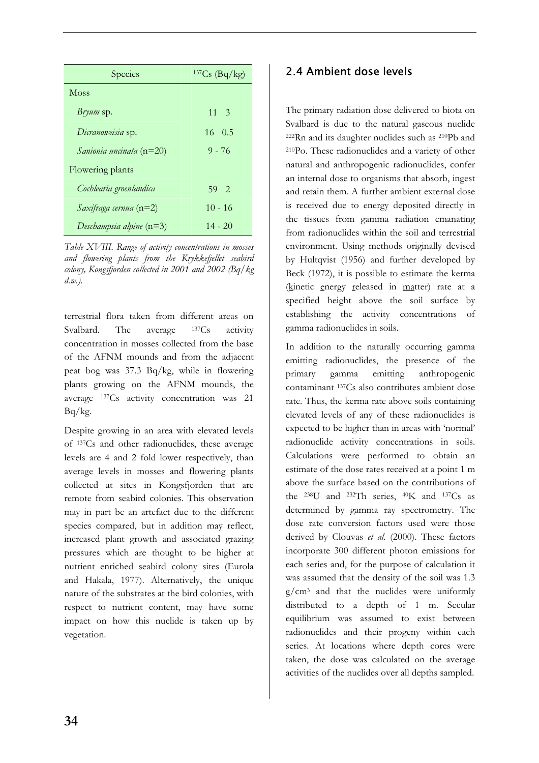| Species                    | $137Cs$ $(Bq/kg)$ |
|----------------------------|-------------------|
| <b>Moss</b>                |                   |
| <i>Bryum</i> sp.           | $11 \quad 3$      |
| Dicranoweisia sp.          | 16 0.5            |
| Sanionia uncinata $(n=20)$ | $9 - 76$          |
| Flowering plants           |                   |
| Cochlearia groenlandica    | 59 2              |
| Saxifraga cernua $(n=2)$   | $10 - 16$         |
| Deschampsia alpine $(n=3)$ | $14 - 20$         |

*Table XVIII. Range of activity concentrations in mosses and flowering plants from the Krykkefjellet seabird colony, Kongsfjorden collected in 2001 and 2002 (Bq/kg d.w.).*

terrestrial flora taken from different areas on Svalbard. The average <sup>137</sup>Cs activity concentration in mosses collected from the base of the AFNM mounds and from the adjacent peat bog was 37.3 Bq/kg, while in flowering plants growing on the AFNM mounds, the average 137Cs activity concentration was 21  $Bq/kg$ .

Despite growing in an area with elevated levels of 137Cs and other radionuclides, these average levels are 4 and 2 fold lower respectively, than average levels in mosses and flowering plants collected at sites in Kongsfjorden that are remote from seabird colonies. This observation may in part be an artefact due to the different species compared, but in addition may reflect, increased plant growth and associated grazing pressures which are thought to be higher at nutrient enriched seabird colony sites (Eurola and Hakala, 1977). Alternatively, the unique nature of the substrates at the bird colonies, with respect to nutrient content, may have some impact on how this nuclide is taken up by vegetation.

## 2.4 Ambient dose levels

The primary radiation dose delivered to biota on Svalbard is due to the natural gaseous nuclide 222Rn and its daughter nuclides such as 210Pb and 210Po. These radionuclides and a variety of other natural and anthropogenic radionuclides, confer an internal dose to organisms that absorb, ingest and retain them. A further ambient external dose is received due to energy deposited directly in the tissues from gamma radiation emanating from radionuclides within the soil and terrestrial environment. Using methods originally devised by Hultqvist (1956) and further developed by Beck (1972), it is possible to estimate the kerma (kinetic energy released in matter) rate at a specified height above the soil surface by establishing the activity concentrations of gamma radionuclides in soils.

In addition to the naturally occurring gamma emitting radionuclides, the presence of the primary gamma emitting anthropogenic contaminant 137Cs also contributes ambient dose rate. Thus, the kerma rate above soils containing elevated levels of any of these radionuclides is expected to be higher than in areas with 'normal' radionuclide activity concentrations in soils. Calculations were performed to obtain an estimate of the dose rates received at a point 1 m above the surface based on the contributions of the 238U and 232Th series, 40K and 137Cs as determined by gamma ray spectrometry. The dose rate conversion factors used were those derived by Clouvas *et al*. (2000). These factors incorporate 300 different photon emissions for each series and, for the purpose of calculation it was assumed that the density of the soil was 1.3  $g/cm<sup>3</sup>$  and that the nuclides were uniformly distributed to a depth of 1 m. Secular equilibrium was assumed to exist between radionuclides and their progeny within each series. At locations where depth cores were taken, the dose was calculated on the average activities of the nuclides over all depths sampled.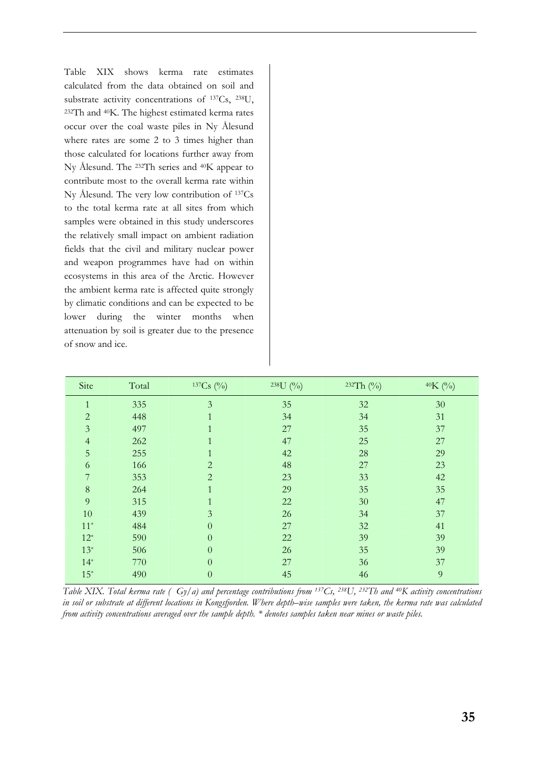Table XIX shows kerma rate estimates calculated from the data obtained on soil and substrate activity concentrations of 137Cs, 238U, 232Th and 40K. The highest estimated kerma rates occur over the coal waste piles in Ny Ålesund where rates are some 2 to 3 times higher than those calculated for locations further away from Ny Ålesund. The 232Th series and 40K appear to contribute most to the overall kerma rate within Ny Ålesund. The very low contribution of 137Cs to the total kerma rate at all sites from which samples were obtained in this study underscores the relatively small impact on ambient radiation fields that the civil and military nuclear power and weapon programmes have had on within ecosystems in this area of the Arctic. However the ambient kerma rate is affected quite strongly by climatic conditions and can be expected to be lower during the winter months when attenuation by soil is greater due to the presence of snow and ice.

| Site           | Total | $137Cs$ (%)    | $238U($ %) | 232Th (%) | 40K (%)        |
|----------------|-------|----------------|------------|-----------|----------------|
| 1<br>T         | 335   | 3              | 35         | 32        | 30             |
| $\overline{2}$ | 448   |                | 34         | 34        | 31             |
| $\overline{3}$ | 497   |                | 27         | 35        | 37             |
| $\overline{4}$ | 262   |                | 47         | 25        | 27             |
| 5              | 255   |                | 42         | 28        | 29             |
| 6              | 166   | $\overline{2}$ | 48         | 27        | 23             |
|                | 353   | $\overline{2}$ | 23         | 33        | 42             |
| 8              | 264   |                | 29         | 35        | 35             |
| 9              | 315   |                | 22         | 30        | 47             |
| $10\,$         | 439   | 3              | 26         | 34        | 37             |
| $11*$          | 484   | $\overline{0}$ | 27         | 32        | 41             |
| $12^*$         | 590   | $\overline{0}$ | 22         | 39        | 39             |
| $13*$          | 506   | $\overline{0}$ | 26         | 35        | 39             |
| $14*$          | 770   | $\overline{0}$ | 27         | 36        | 37             |
| $15^*$         | 490   | $\overline{0}$ | 45         | 46        | $\overline{9}$ |

*Table XIX. Total kerma rate ( Gy/a) and percentage contributions from 137Cs, 238U, 232Th and 40K activity concentrations in soil or substrate at different locations in Kongsfjorden. Where depth–wise samples were taken, the kerma rate was calculated from activity concentrations averaged over the sample depth. \* denotes samples taken near mines or waste piles.*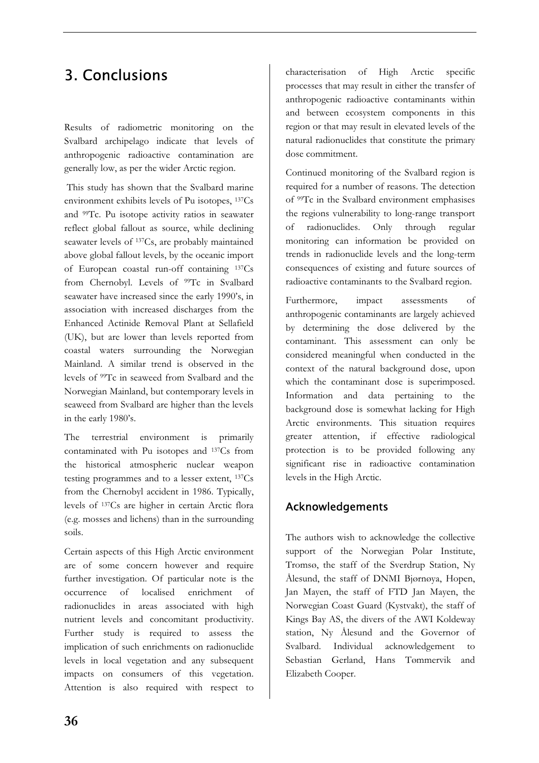# 3. Conclusions

Results of radiometric monitoring on the Svalbard archipelago indicate that levels of anthropogenic radioactive contamination are generally low, as per the wider Arctic region.

 This study has shown that the Svalbard marine environment exhibits levels of Pu isotopes, 137Cs and 99Tc. Pu isotope activity ratios in seawater reflect global fallout as source, while declining seawater levels of 137Cs, are probably maintained above global fallout levels, by the oceanic import of European coastal run-off containing 137Cs from Chernobyl. Levels of <sup>99</sup>Tc in Svalbard seawater have increased since the early 1990's, in association with increased discharges from the Enhanced Actinide Removal Plant at Sellafield (UK), but are lower than levels reported from coastal waters surrounding the Norwegian Mainland. A similar trend is observed in the levels of 99Tc in seaweed from Svalbard and the Norwegian Mainland, but contemporary levels in seaweed from Svalbard are higher than the levels in the early 1980's.

The terrestrial environment is primarily contaminated with Pu isotopes and 137Cs from the historical atmospheric nuclear weapon testing programmes and to a lesser extent, 137Cs from the Chernobyl accident in 1986. Typically, levels of 137Cs are higher in certain Arctic flora (e.g. mosses and lichens) than in the surrounding soils.

Certain aspects of this High Arctic environment are of some concern however and require further investigation. Of particular note is the occurrence of localised enrichment of radionuclides in areas associated with high nutrient levels and concomitant productivity. Further study is required to assess the implication of such enrichments on radionuclide levels in local vegetation and any subsequent impacts on consumers of this vegetation. Attention is also required with respect to

characterisation of High Arctic specific processes that may result in either the transfer of anthropogenic radioactive contaminants within and between ecosystem components in this region or that may result in elevated levels of the natural radionuclides that constitute the primary dose commitment.

Continued monitoring of the Svalbard region is required for a number of reasons. The detection of 99Tc in the Svalbard environment emphasises the regions vulnerability to long-range transport of radionuclides. Only through regular monitoring can information be provided on trends in radionuclide levels and the long-term consequences of existing and future sources of radioactive contaminants to the Svalbard region.

Furthermore, impact assessments of anthropogenic contaminants are largely achieved by determining the dose delivered by the contaminant. This assessment can only be considered meaningful when conducted in the context of the natural background dose, upon which the contaminant dose is superimposed. Information and data pertaining to the background dose is somewhat lacking for High Arctic environments. This situation requires greater attention, if effective radiological protection is to be provided following any significant rise in radioactive contamination levels in the High Arctic.

## Acknowledgements

The authors wish to acknowledge the collective support of the Norwegian Polar Institute, Tromsø, the staff of the Sverdrup Station, Ny Ålesund, the staff of DNMI Bjørnøya, Hopen, Jan Mayen, the staff of FTD Jan Mayen, the Norwegian Coast Guard (Kystvakt), the staff of Kings Bay AS, the divers of the AWI Koldeway station, Ny Ålesund and the Governor of Svalbard. Individual acknowledgement to Sebastian Gerland, Hans Tømmervik and Elizabeth Cooper.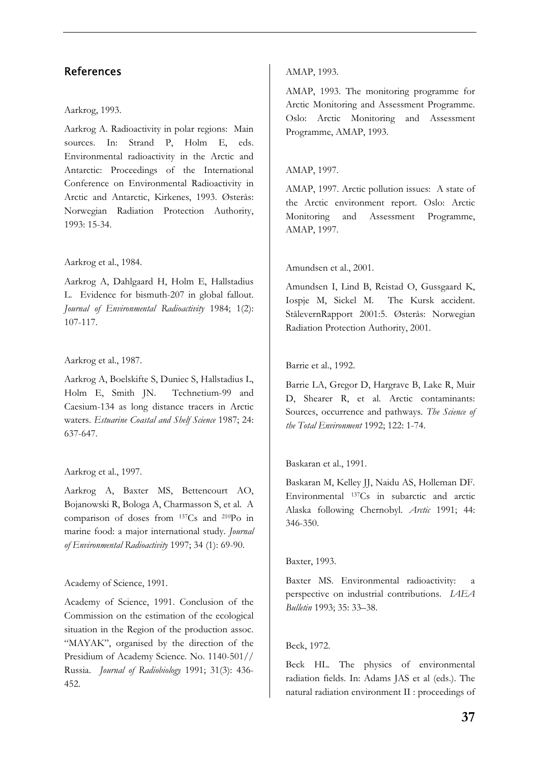## References

#### Aarkrog, 1993.

Aarkrog A. Radioactivity in polar regions: Main sources. In: Strand P, Holm E, eds. Environmental radioactivity in the Arctic and Antarctic: Proceedings of the International Conference on Environmental Radioactivity in Arctic and Antarctic, Kirkenes, 1993. Østerås: Norwegian Radiation Protection Authority, 1993: 15-34.

#### Aarkrog et al., 1984.

Aarkrog A, Dahlgaard H, Holm E, Hallstadius L. Evidence for bismuth-207 in global fallout. *Journal of Environmental Radioactivity* 1984; 1(2): 107-117.

#### Aarkrog et al., 1987.

Aarkrog A, Boelskifte S, Duniec S, Hallstadius L, Holm E, Smith JN. Technetium-99 and Caesium-134 as long distance tracers in Arctic waters. *Estuarine Coastal and Shelf Science* 1987; 24: 637-647.

#### Aarkrog et al., 1997.

Aarkrog A, Baxter MS, Bettencourt AO, Bojanowski R, Bologa A, Charmasson S, et al. A comparison of doses from 137Cs and 210Po in marine food: a major international study. *Journal of Environmental Radioactivity* 1997; 34 (1): 69-90.

#### Academy of Science, 1991.

Academy of Science, 1991. Conclusion of the Commission on the estimation of the ecological situation in the Region of the production assoc. "MAYAK", organised by the direction of the Presidium of Academy Science. No. 1140-501// Russia. *Journal of Radiobiology* 1991; 31(3): 436- 452.

#### AMAP, 1993.

AMAP, 1993. The monitoring programme for Arctic Monitoring and Assessment Programme. Oslo: Arctic Monitoring and Assessment Programme, AMAP, 1993.

#### AMAP, 1997.

AMAP, 1997. Arctic pollution issues: A state of the Arctic environment report. Oslo: Arctic Monitoring and Assessment Programme, AMAP, 1997.

#### Amundsen et al., 2001.

Amundsen I, Lind B, Reistad O, Gussgaard K, Iospje M, Sickel M. The Kursk accident. StålevernRapport 2001:5. Østerås: Norwegian Radiation Protection Authority, 2001.

#### Barrie et al., 1992.

Barrie LA, Gregor D, Hargrave B, Lake R, Muir D, Shearer R, et al. Arctic contaminants: Sources, occurrence and pathways. *The Science of the Total Environment* 1992; 122: 1-74.

#### Baskaran et al., 1991.

Baskaran M, Kelley JJ, Naidu AS, Holleman DF. Environmental 137Cs in subarctic and arctic Alaska following Chernobyl. *Arctic* 1991; 44: 346-350.

#### Baxter, 1993.

Baxter MS. Environmental radioactivity: a perspective on industrial contributions. *IAEA Bulletin* 1993; 35: 33–38.

#### Beck, 1972.

Beck HL. The physics of environmental radiation fields. In: Adams JAS et al (eds.). The natural radiation environment II : proceedings of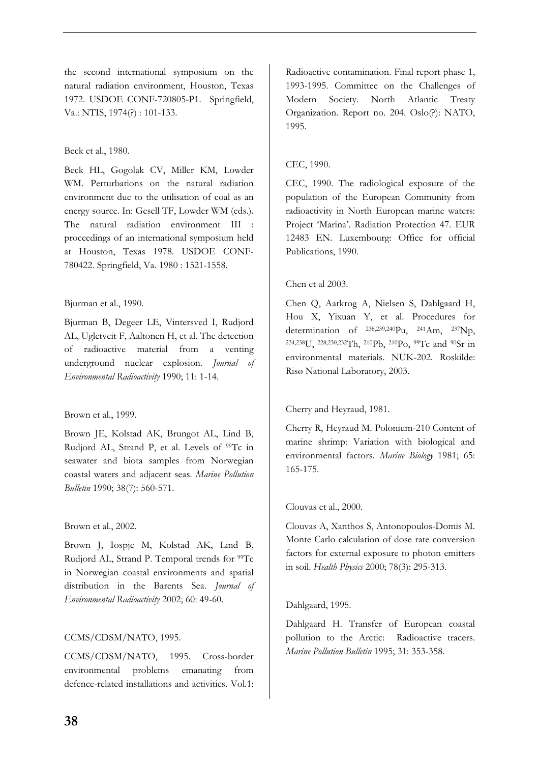the second international symposium on the natural radiation environment, Houston, Texas 1972. USDOE CONF-720805-P1. Springfield, Va.: NTIS, 1974(?) : 101-133.

#### Beck et al., 1980.

Beck HL, Gogolak CV, Miller KM, Lowder WM. Perturbations on the natural radiation environment due to the utilisation of coal as an energy source. In: Gesell TF, Lowder WM (eds.). The natural radiation environment III : proceedings of an international symposium held at Houston, Texas 1978. USDOE CONF-780422. Springfield, Va. 1980 : 1521-1558.

#### Bjurman et al., 1990.

Bjurman B, Degeer LE, Vintersved I, Rudjord AL, Ugletveit F, Aaltonen H, et al. The detection of radioactive material from a venting underground nuclear explosion*. Journal of Environmental Radioactivity* 1990; 11: 1-14.

#### Brown et al., 1999.

Brown JE, Kolstad AK, Brungot AL, Lind B, Rudjord AL, Strand P, et al. Levels of <sup>99</sup>Tc in seawater and biota samples from Norwegian coastal waters and adjacent seas. *Marine Pollution Bulletin* 1990; 38(7): 560-571.

#### Brown et al., 2002.

Brown J, Iospje M, Kolstad AK, Lind B, Rudjord AL, Strand P. Temporal trends for <sup>99</sup>Tc in Norwegian coastal environments and spatial distribution in the Barents Sea. *Journal of Environmental Radioactivity* 2002; 60: 49-60.

#### CCMS/CDSM/NATO, 1995.

CCMS/CDSM/NATO, 1995. Cross-border environmental problems emanating from defence-related installations and activities. Vol.1: Radioactive contamination. Final report phase 1, 1993-1995. Committee on the Challenges of Modern Society. North Atlantic Treaty Organization. Report no. 204. Oslo(?): NATO, 1995.

#### CEC, 1990.

CEC, 1990. The radiological exposure of the population of the European Community from radioactivity in North European marine waters: Project 'Marina'. Radiation Protection 47. EUR 12483 EN. Luxembourg: Office for official Publications, 1990.

#### Chen et al 2003.

Chen Q, Aarkrog A, Nielsen S, Dahlgaard H, Hou X, Yixuan Y, et al. Procedures for determination of 238,239,240Pu, 241Am, 237Np, 234,238U, 228,230,232Th, 210Pb, 210Po, 99Tc and 90Sr in environmental materials. NUK-202. Roskilde: Risø National Laboratory, 2003.

#### Cherry and Heyraud, 1981.

Cherry R, Heyraud M. Polonium-210 Content of marine shrimp: Variation with biological and environmental factors*. Marine Biology* 1981; 65: 165-175.

#### Clouvas et al., 2000.

Clouvas A, Xanthos S, Antonopoulos-Domis M. Monte Carlo calculation of dose rate conversion factors for external exposure to photon emitters in soil. *Health Physics* 2000; 78(3): 295-313.

#### Dahlgaard, 1995.

Dahlgaard H. Transfer of European coastal pollution to the Arctic: Radioactive tracers. *Marine Pollution Bulletin* 1995; 31: 353-358.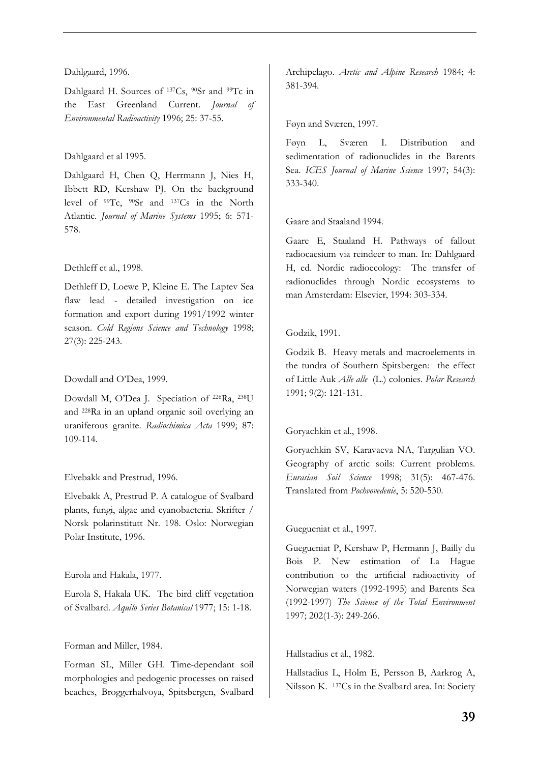#### Dahlgaard, 1996.

Dahlgaard H. Sources of <sup>137</sup>Cs, <sup>90</sup>Sr and <sup>99</sup>Tc in the East Greenland Current. *Journal of Environmental Radioactivity* 1996; 25: 37-55.

### Dahlgaard et al 1995.

Dahlgaard H, Chen Q, Herrmann J, Nies H, Ibbett RD, Kershaw PJ. On the background level of 99Tc, 90Sr and 137Cs in the North Atlantic. *Journal of Marine Systems* 1995; 6: 571- 578.

### Dethleff et al., 1998.

Dethleff D, Loewe P, Kleine E. The Laptev Sea flaw lead - detailed investigation on ice formation and export during 1991/1992 winter season. *Cold Regions Science and Technology* 1998; 27(3): 225-243.

### Dowdall and O'Dea, 1999.

Dowdall M, O'Dea J. Speciation of 226Ra, 238U and 228Ra in an upland organic soil overlying an uraniferous granite. *Radiochimica Acta* 1999; 87: 109-114.

#### Elvebakk and Prestrud, 1996.

Elvebakk A, Prestrud P. A catalogue of Svalbard plants, fungi, algae and cyanobacteria. Skrifter / Norsk polarinstitutt Nr. 198. Oslo: Norwegian Polar Institute, 1996.

#### Eurola and Hakala, 1977.

Eurola S, Hakala UK. The bird cliff vegetation of Svalbard. *Aquilo Series Botanical* 1977; 15: 1-18.

#### Forman and Miller, 1984.

Forman SL, Miller GH. Time-dependant soil morphologies and pedogenic processes on raised beaches, Broggerhalvoya, Spitsbergen, Svalbard Archipelago. *Arctic and Alpine Research* 1984; 4: 381-394.

### Føyn and Sværen, 1997.

Føyn L, Sværen I. Distribution and sedimentation of radionuclides in the Barents Sea. *ICES Journal of Marine Science* 1997; 54(3): 333-340.

### Gaare and Staaland 1994.

Gaare E, Staaland H. Pathways of fallout radiocaesium via reindeer to man. In: Dahlgaard H, ed. Nordic radioecology: The transfer of radionuclides through Nordic ecosystems to man Amsterdam: Elsevier, 1994: 303-334.

## Godzik, 1991.

Godzik B. Heavy metals and macroelements in the tundra of Southern Spitsbergen: the effect of Little Auk *Alle alle* (L.) colonies. *Polar Research* 1991; 9(2): 121-131.

## Goryachkin et al., 1998.

Goryachkin SV, Karavaeva NA, Targulian VO. Geography of arctic soils: Current problems. *Eurasian Soil Science* 1998; 31(5): 467-476. Translated from *Pochvovedenie*, 5: 520-530.

#### Guegueniat et al., 1997.

Guegueniat P, Kershaw P, Hermann J, Bailly du Bois P. New estimation of La Hague contribution to the artificial radioactivity of Norwegian waters (1992-1995) and Barents Sea (1992-1997) *The Science of the Total Environment* 1997; 202(1-3): 249-266.

## Hallstadius et al., 1982.

Hallstadius L, Holm E, Persson B, Aarkrog A, Nilsson K. 137Cs in the Svalbard area. In: Society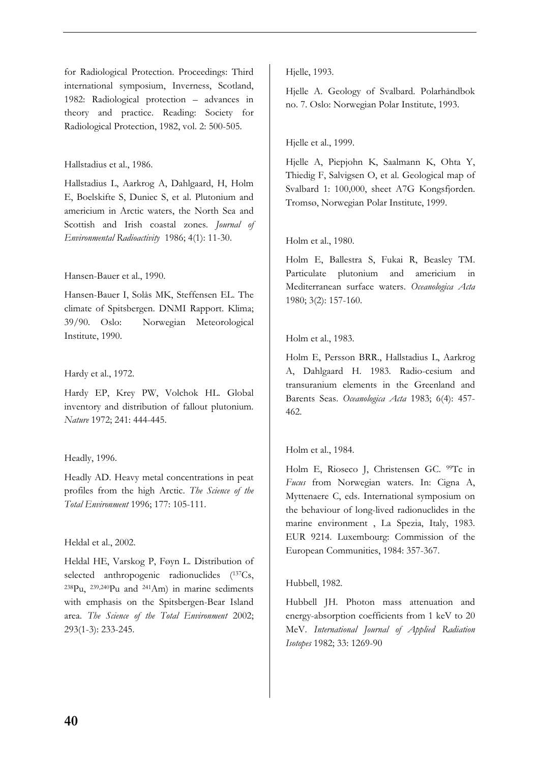for Radiological Protection. Proceedings: Third international symposium, Inverness, Scotland, 1982: Radiological protection – advances in theory and practice. Reading: Society for Radiological Protection, 1982, vol. 2: 500-505.

#### Hallstadius et al., 1986.

Hallstadius L, Aarkrog A, Dahlgaard, H, Holm E, Boelskifte S, Duniec S, et al. Plutonium and americium in Arctic waters, the North Sea and Scottish and Irish coastal zones. *Journal of Environmental Radioactivity* 1986; 4(1): 11-30.

#### Hansen-Bauer et al., 1990.

Hansen-Bauer I, Solås MK, Steffensen EL. The climate of Spitsbergen. DNMI Rapport. Klima; 39/90. Oslo: Norwegian Meteorological Institute, 1990.

#### Hardy et al., 1972.

Hardy EP, Krey PW, Volchok HL. Global inventory and distribution of fallout plutonium. *Nature* 1972; 241: 444-445.

#### Headly, 1996.

Headly AD. Heavy metal concentrations in peat profiles from the high Arctic. *The Science of the Total Environment* 1996; 177: 105-111.

#### Heldal et al., 2002.

Heldal HE, Varskog P, Føyn L. Distribution of selected anthropogenic radionuclides (137Cs, 238Pu, 239,240Pu and 241Am) in marine sediments with emphasis on the Spitsbergen-Bear Island area. *The Science of the Total Environment* 2002; 293(1-3): 233-245.

Hjelle, 1993.

Hjelle A. Geology of Svalbard. Polarhåndbok no. 7. Oslo: Norwegian Polar Institute, 1993.

#### Hjelle et al., 1999.

Hjelle A, Piepjohn K, Saalmann K, Ohta Y, Thiedig F, Salvigsen O, et al. Geological map of Svalbard 1: 100,000, sheet A7G Kongsfjorden. Tromsø, Norwegian Polar Institute, 1999.

#### Holm et al., 1980.

Holm E, Ballestra S, Fukai R, Beasley TM. Particulate plutonium and americium in Mediterranean surface waters. *Oceanologica Acta* 1980; 3(2): 157-160.

### Holm et al., 1983.

Holm E, Persson BRR., Hallstadius L, Aarkrog A, Dahlgaard H. 1983. Radio-cesium and transuranium elements in the Greenland and Barents Seas. *Oceanologica Acta* 1983; 6(4): 457- 462.

#### Holm et al., 1984.

Holm E, Rioseco J, Christensen GC. <sup>99</sup>Tc in *Fucus* from Norwegian waters. In: Cigna A, Myttenaere C, eds. International symposium on the behaviour of long-lived radionuclides in the marine environment , La Spezia, Italy, 1983. EUR 9214. Luxembourg: Commission of the European Communities, 1984: 357-367.

#### Hubbell, 1982.

Hubbell JH. Photon mass attenuation and energy-absorption coefficients from 1 keV to 20 MeV. *International Journal of Applied Radiation Isotopes* 1982; 33: 1269-90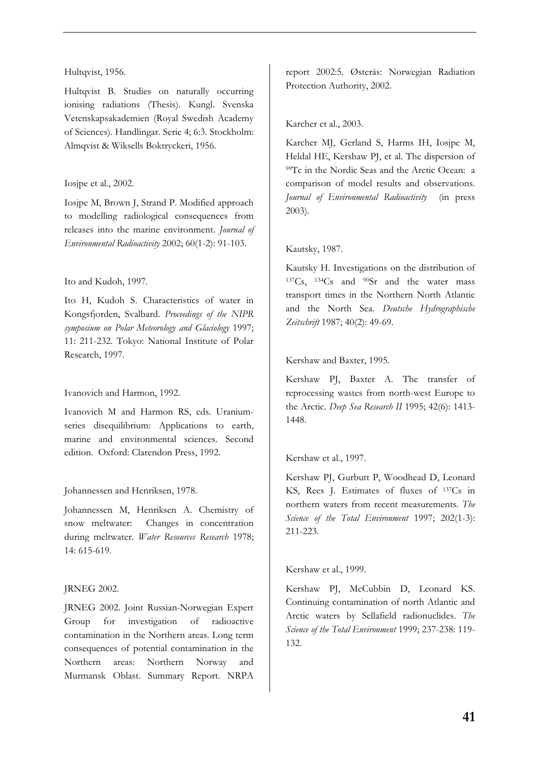#### Hultqvist, 1956.

Hultqvist B. Studies on naturally occurring ionising radiations (Thesis). Kungl. Svenska Vetenskapsakademien (Royal Swedish Academy of Sciences). Handlingar. Serie 4; 6:3. Stockholm: Almqvist & Wiksells Boktryckeri, 1956.

#### Iosjpe et al., 2002.

Iosjpe M, Brown J, Strand P. Modified approach to modelling radiological consequences from releases into the marine environment. *Journal of Environmental Radioactivity* 2002; 60(1-2): 91-103.

#### Ito and Kudoh, 1997.

Ito H, Kudoh S. Characteristics of water in Kongsfjorden, Svalbard. *Proceedings of the NIPR symposium on Polar Meteorology and Glaciology* 1997; 11: 211-232. Tokyo: National Institute of Polar Research, 1997.

#### Ivanovich and Harmon, 1992.

Ivanovich M and Harmon RS, eds. Uraniumseries disequilibrium: Applications to earth, marine and environmental sciences. Second edition. Oxford: Clarendon Press, 1992.

#### Johannessen and Henriksen, 1978.

Johannessen M, Henriksen A. Chemistry of snow meltwater: Changes in concentration during meltwater. *Water Resources Research* 1978; 14: 615-619.

#### JRNEG 2002.

JRNEG 2002. Joint Russian-Norwegian Expert Group for investigation of radioactive contamination in the Northern areas. Long term consequences of potential contamination in the Northern areas: Northern Norway and Murmansk Oblast. Summary Report. NRPA

report 2002:5. Østerås: Norwegian Radiation Protection Authority, 2002.

#### Karcher et al., 2003.

Karcher MJ, Gerland S, Harms IH, Iosjpe M, Heldal HE, Kershaw PJ, et al. The dispersion of 99Tc in the Nordic Seas and the Arctic Ocean: a comparison of model results and observations. *Journal of Environmental Radioactivity* (in press 2003).

#### Kautsky, 1987.

Kautsky H. Investigations on the distribution of 137Cs, 134Cs and 90Sr and the water mass transport times in the Northern North Atlantic and the North Sea. *Deutsche Hydrographische Zeitschrift* 1987; 40(2): 49-69.

#### Kershaw and Baxter, 1995.

Kershaw PJ, Baxter A. The transfer of reprocessing wastes from north-west Europe to the Arctic. *Deep Sea Research II* 1995; 42(6): 1413- 1448.

#### Kershaw et al., 1997.

Kershaw PJ, Gurbutt P, Woodhead D, Leonard KS, Rees J. Estimates of fluxes of 137Cs in northern waters from recent measurements. *The Science of the Total Environment* 1997; 202(1-3): 211-223.

Kershaw et al., 1999.

Kershaw PJ, McCubbin D, Leonard KS. Continuing contamination of north Atlantic and Arctic waters by Sellafield radionuclides. *The Science of the Total Environment* 1999; 237-238: 119- 132.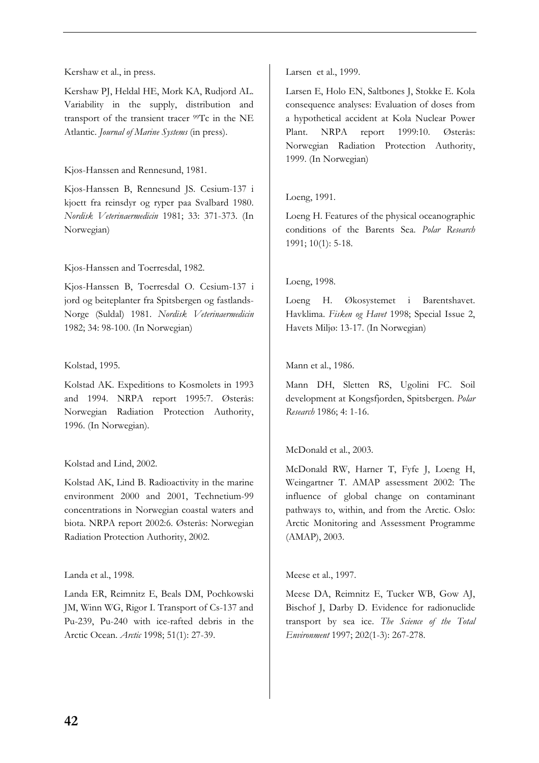Kershaw et al., in press.

Kershaw PJ, Heldal HE, Mork KA, Rudjord AL. Variability in the supply, distribution and transport of the transient tracer 99Tc in the NE Atlantic. *Journal of Marine Systems* (in press).

Kjos-Hanssen and Rennesund, 1981.

Kjos-Hanssen B, Rennesund JS. Cesium-137 i kjoett fra reinsdyr og ryper paa Svalbard 1980. *Nordisk Veterinaermedicin* 1981; 33: 371-373. (In Norwegian)

Kjos-Hanssen and Toerresdal, 1982.

Kjos-Hanssen B, Toerresdal O. Cesium-137 i jord og beiteplanter fra Spitsbergen og fastlands-Norge (Suldal) 1981. *Nordisk Veterinaermedicin* 1982; 34: 98-100. (In Norwegian)

#### Kolstad, 1995.

Kolstad AK. Expeditions to Kosmolets in 1993 and 1994. NRPA report 1995:7. Østerås: Norwegian Radiation Protection Authority, 1996. (In Norwegian).

#### Kolstad and Lind, 2002.

Kolstad AK, Lind B. Radioactivity in the marine environment 2000 and 2001, Technetium-99 concentrations in Norwegian coastal waters and biota. NRPA report 2002:6. Østerås: Norwegian Radiation Protection Authority, 2002.

#### Landa et al., 1998.

Landa ER, Reimnitz E, Beals DM, Pochkowski JM, Winn WG, Rigor I. Transport of Cs-137 and Pu-239, Pu-240 with ice-rafted debris in the Arctic Ocean. *Arctic* 1998; 51(1): 27-39.

Larsen et al., 1999.

Larsen E, Holo EN, Saltbones J, Stokke E. Kola consequence analyses: Evaluation of doses from a hypothetical accident at Kola Nuclear Power Plant. NRPA report 1999:10. Østerås: Norwegian Radiation Protection Authority, 1999. (In Norwegian)

#### Loeng, 1991.

Loeng H. Features of the physical oceanographic conditions of the Barents Sea. *Polar Research* 1991; 10(1): 5-18.

#### Loeng, 1998.

Loeng H. Økosystemet i Barentshavet. Havklima. *Fisken og Havet* 1998; Special Issue 2, Havets Miljø: 13-17. (In Norwegian)

#### Mann et al., 1986.

Mann DH, Sletten RS, Ugolini FC. Soil development at Kongsfjorden, Spitsbergen. *Polar Research* 1986; 4: 1-16.

#### McDonald et al., 2003.

McDonald RW, Harner T, Fyfe J, Loeng H, Weingartner T. AMAP assessment 2002: The influence of global change on contaminant pathways to, within, and from the Arctic. Oslo: Arctic Monitoring and Assessment Programme (AMAP), 2003.

#### Meese et al., 1997.

Meese DA, Reimnitz E, Tucker WB, Gow AJ, Bischof J, Darby D. Evidence for radionuclide transport by sea ice. *The Science of the Total Environment* 1997; 202(1-3): 267-278.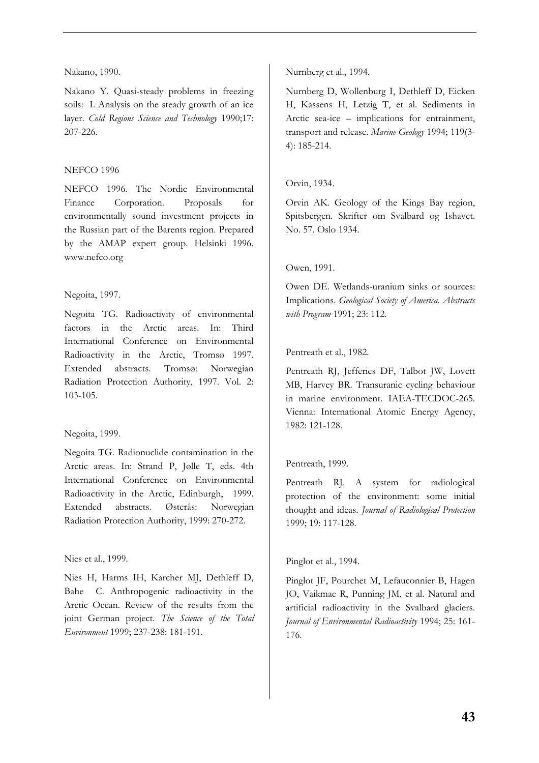#### Nakano, 1990.

Nakano Y. Quasi-steady problems in freezing soils: I. Analysis on the steady growth of an ice layer. *Cold Regions Science and Technology* 1990;17: 207-226.

### NEFCO 1996

NEFCO 1996. The Nordic Environmental Finance Corporation. Proposals for environmentally sound investment projects in the Russian part of the Barents region. Prepared by the AMAP expert group. Helsinki 1996. www.nefco.org

### Negoita, 1997.

Negoita TG. Radioactivity of environmental factors in the Arctic areas. In: Third International Conference on Environmental Radioactivity in the Arctic, Tromsø 1997. Extended abstracts. Tromsø: Norwegian Radiation Protection Authority, 1997. Vol. 2: 103-105.

## Negoita, 1999.

Negoita TG. Radionuclide contamination in the Arctic areas. In: Strand P, Jølle T, eds. 4th International Conference on Environmental Radioactivity in the Arctic, Edinburgh, 1999. Extended abstracts. Østerås: Norwegian Radiation Protection Authority, 1999: 270-272.

#### Nies et al., 1999.

Nies H, Harms IH, Karcher MJ, Dethleff D, Bahe C. Anthropogenic radioactivity in the Arctic Ocean. Review of the results from the joint German project. *The Science of the Total Environment* 1999; 237-238: 181-191.

Nurnberg et al., 1994.

Nurnberg D, Wollenburg I, Dethleff D, Eicken H, Kassens H, Letzig T, et al. Sediments in Arctic sea-ice – implications for entrainment, transport and release. *Marine Geology* 1994; 119(3- 4): 185-214.

## Orvin, 1934.

Orvin AK. Geology of the Kings Bay region, Spitsbergen. Skrifter om Svalbard og Ishavet. No. 57. Oslo 1934.

### Owen, 1991.

Owen DE. Wetlands-uranium sinks or sources: Implications. *Geological Society of America. Abstracts with Program* 1991; 23: 112.

## Pentreath et al., 1982.

Pentreath RJ, Jefferies DF, Talbot JW, Lovett MB, Harvey BR. Transuranic cycling behaviour in marine environment. IAEA-TECDOC-265. Vienna: International Atomic Energy Agency, 1982: 121-128.

## Pentreath, 1999.

Pentreath RJ. A system for radiological protection of the environment: some initial thought and ideas. *Journal of Radiological Protection* 1999; 19: 117-128.

#### Pinglot et al., 1994.

Pinglot JF, Pourchet M, Lefauconnier B, Hagen JO, Vaikmae R, Punning JM, et al. Natural and artificial radioactivity in the Svalbard glaciers. *Journal of Environmental Radioactivity* 1994; 25: 161- 176.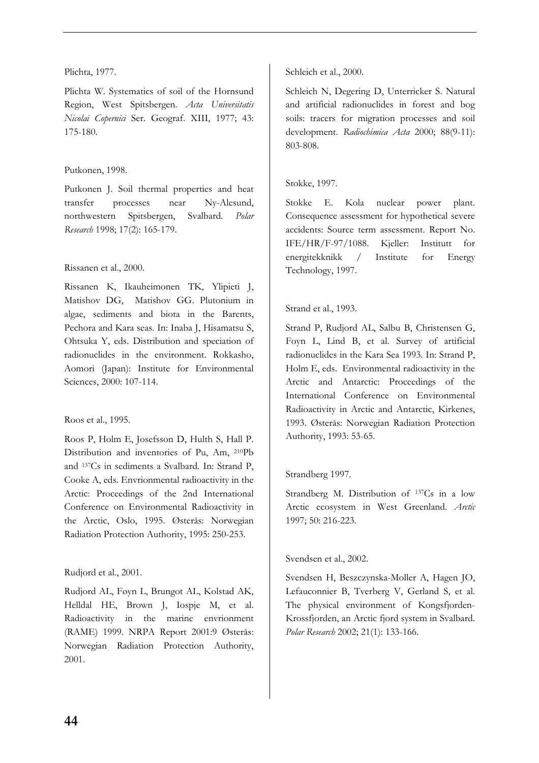### Plichta, 1977.

Plichta W. Systematics of soil of the Hornsund Region, West Spitsbergen. *Acta Universitatis Nicolai Copernici* Ser. Geograf. XIII, 1977; 43: 175-180.

## Putkonen, 1998.

Putkonen J. Soil thermal properties and heat transfer processes near Ny-Alesund, northwestern Spitsbergen, Svalbard. *Polar Research* 1998; 17(2): 165-179.

### Rissanen et al., 2000.

Rissanen K, Ikauheimonen TK, Ylipieti J, Matishov DG, Matishov GG. Plutonium in algae, sediments and biota in the Barents, Pechora and Kara seas. In: Inaba J, Hisamatsu S, Ohtsuka Y, eds. Distribution and speciation of radionuclides in the environment. Rokkasho, Aomori (Japan): Institute for Environmental Sciences, 2000: 107-114.

## Roos et al., 1995.

Roos P, Holm E, Josefsson D, Hulth S, Hall P. Distribution and inventories of Pu, Am, 210Pb and 137Cs in sediments a Svalbard. In: Strand P, Cooke A, eds. Envrionmental radioactivity in the Arctic: Proceedings of the 2nd International Conference on Environmental Radioactivity in the Arctic, Oslo, 1995. Østerås: Norwegian Radiation Protection Authority, 1995: 250-253.

## Rudjord et al., 2001.

Rudjord AL, Føyn L, Brungot AL, Kolstad AK, Helldal HE, Brown J, Iospje M, et al. Radioactivity in the marine envrionment (RAME) 1999. NRPA Report 2001:9 Østerås: Norwegian Radiation Protection Authority, 2001.

## Schleich et al., 2000.

Schleich N, Degering D, Unterricker S. Natural and artificial radionuclides in forest and bog soils: tracers for migration processes and soil development. *Radiochimica Acta* 2000; 88(9-11): 803-808.

## Stokke, 1997.

Stokke E. Kola nuclear power plant. Consequence assessment for hypothetical severe accidents: Source term assessment. Report No. IFE/HR/F-97/1088. Kjeller: Institutt for energitekknikk / Institute for Energy Technology, 1997.

### Strand et al., 1993.

Strand P, Rudjord AL, Salbu B, Christensen G, Foyn L, Lind B, et al. Survey of artificial radionuclides in the Kara Sea 1993. In: Strand P, Holm E, eds. Environmental radioactivity in the Arctic and Antarctic: Proceedings of the International Conference on Environmental Radioactivity in Arctic and Antarctic, Kirkenes, 1993. Østerås: Norwegian Radiation Protection Authority, 1993: 53-65.

## Strandberg 1997.

Strandberg M. Distribution of <sup>137</sup>Cs in a low Arctic ecosystem in West Greenland. *Arctic* 1997; 50: 216-223.

## Svendsen et al., 2002.

Svendsen H, Beszczynska-Moller A, Hagen JO, Lefauconnier B, Tverberg V, Gerland S, et al. The physical environment of Kongsfjorden-Krossfjorden, an Arctic fjord system in Svalbard. *Polar Research* 2002; 21(1): 133-166.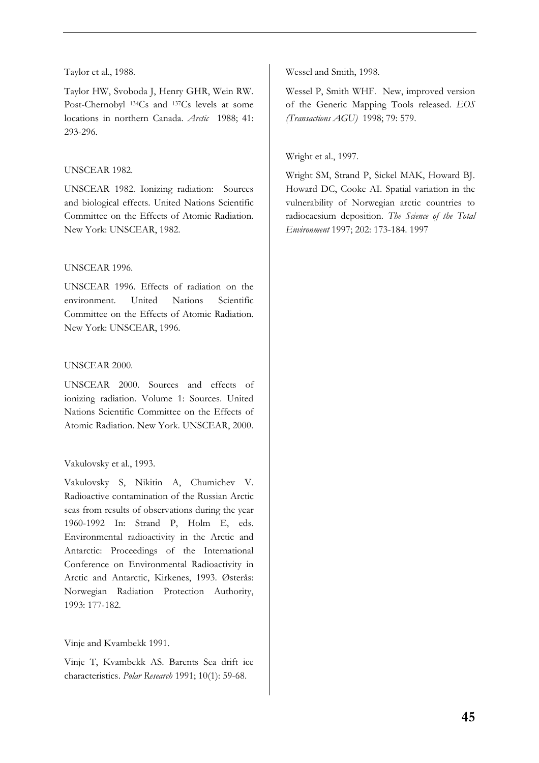#### Taylor et al., 1988.

Taylor HW, Svoboda J, Henry GHR, Wein RW. Post-Chernobyl 134Cs and 137Cs levels at some locations in northern Canada. *Arctic* 1988; 41: 293-296.

### UNSCEAR 1982.

UNSCEAR 1982. Ionizing radiation: Sources and biological effects. United Nations Scientific Committee on the Effects of Atomic Radiation. New York: UNSCEAR, 1982.

### UNSCEAR 1996.

UNSCEAR 1996. Effects of radiation on the environment. United Nations Scientific Committee on the Effects of Atomic Radiation. New York: UNSCEAR, 1996.

#### UNSCEAR 2000.

UNSCEAR 2000. Sources and effects of ionizing radiation. Volume 1: Sources. United Nations Scientific Committee on the Effects of Atomic Radiation. New York. UNSCEAR, 2000.

## Vakulovsky et al., 1993.

Vakulovsky S, Nikitin A, Chumichev V. Radioactive contamination of the Russian Arctic seas from results of observations during the year 1960-1992 In: Strand P, Holm E, eds. Environmental radioactivity in the Arctic and Antarctic: Proceedings of the International Conference on Environmental Radioactivity in Arctic and Antarctic, Kirkenes, 1993. Østerås: Norwegian Radiation Protection Authority, 1993: 177-182.

## Vinje and Kvambekk 1991.

Vinje T, Kvambekk AS. Barents Sea drift ice characteristics. *Polar Research* 1991; 10(1): 59-68.

Wessel and Smith, 1998.

Wessel P, Smith WHF. New, improved version of the Generic Mapping Tools released. *EOS (Transactions AGU)* 1998; 79: 579.

## Wright et al., 1997.

Wright SM, Strand P, Sickel MAK, Howard BJ. Howard DC, Cooke AI. Spatial variation in the vulnerability of Norwegian arctic countries to radiocaesium deposition. *The Science of the Total Environment* 1997; 202: 173-184. 1997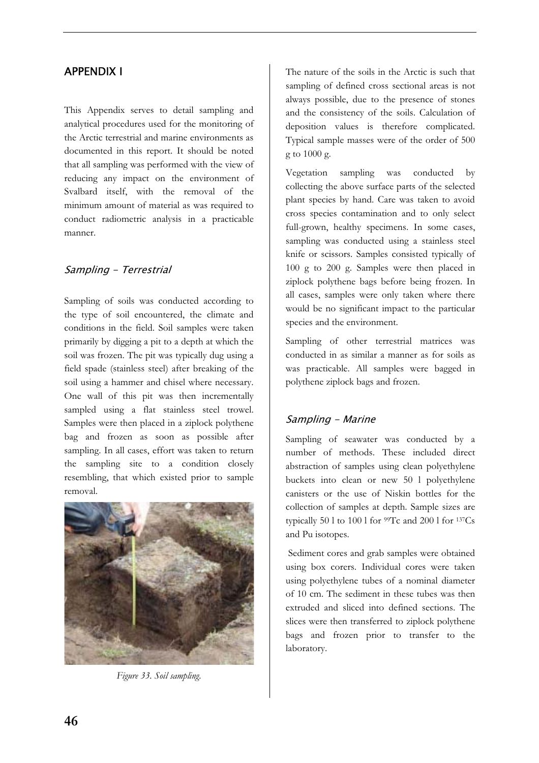## APPENDIX I

This Appendix serves to detail sampling and analytical procedures used for the monitoring of the Arctic terrestrial and marine environments as documented in this report. It should be noted that all sampling was performed with the view of reducing any impact on the environment of Svalbard itself, with the removal of the minimum amount of material as was required to conduct radiometric analysis in a practicable manner.

## Sampling - Terrestrial

Sampling of soils was conducted according to the type of soil encountered, the climate and conditions in the field. Soil samples were taken primarily by digging a pit to a depth at which the soil was frozen. The pit was typically dug using a field spade (stainless steel) after breaking of the soil using a hammer and chisel where necessary. One wall of this pit was then incrementally sampled using a flat stainless steel trowel. Samples were then placed in a ziplock polythene bag and frozen as soon as possible after sampling. In all cases, effort was taken to return the sampling site to a condition closely resembling, that which existed prior to sample removal.



*Figure 33. Soil sampling.* 

The nature of the soils in the Arctic is such that sampling of defined cross sectional areas is not always possible, due to the presence of stones and the consistency of the soils. Calculation of deposition values is therefore complicated. Typical sample masses were of the order of 500 g to 1000 g.

Vegetation sampling was conducted by collecting the above surface parts of the selected plant species by hand. Care was taken to avoid cross species contamination and to only select full-grown, healthy specimens. In some cases, sampling was conducted using a stainless steel knife or scissors. Samples consisted typically of 100 g to 200 g. Samples were then placed in ziplock polythene bags before being frozen. In all cases, samples were only taken where there would be no significant impact to the particular species and the environment.

Sampling of other terrestrial matrices was conducted in as similar a manner as for soils as was practicable. All samples were bagged in polythene ziplock bags and frozen.

## Sampling - Marine

Sampling of seawater was conducted by a number of methods. These included direct abstraction of samples using clean polyethylene buckets into clean or new 50 l polyethylene canisters or the use of Niskin bottles for the collection of samples at depth. Sample sizes are typically 50 l to 100 l for  $99Tc$  and 200 l for  $137Cs$ and Pu isotopes.

 Sediment cores and grab samples were obtained using box corers. Individual cores were taken using polyethylene tubes of a nominal diameter of 10 cm. The sediment in these tubes was then extruded and sliced into defined sections. The slices were then transferred to ziplock polythene bags and frozen prior to transfer to the laboratory.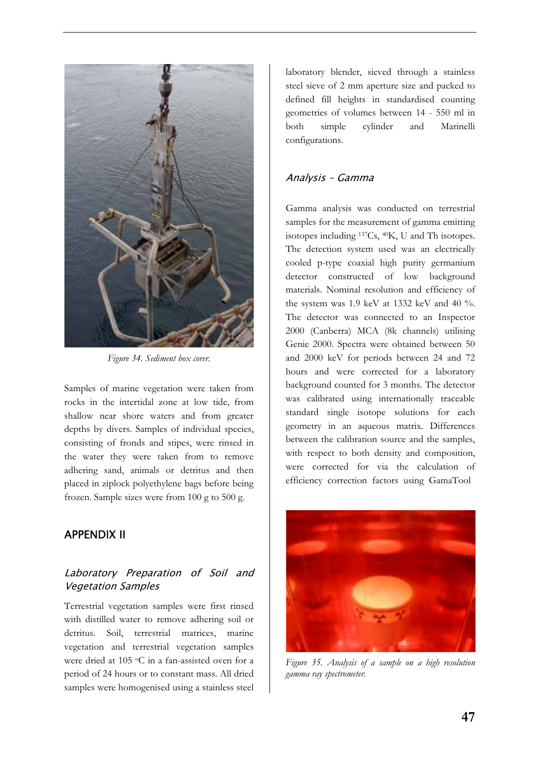

*Figure 34. Sediment box corer.* 

Samples of marine vegetation were taken from rocks in the intertidal zone at low tide, from shallow near shore waters and from greater depths by divers. Samples of individual species, consisting of fronds and stipes, were rinsed in the water they were taken from to remove adhering sand, animals or detritus and then placed in ziplock polyethylene bags before being frozen. Sample sizes were from 100 g to 500 g.

## APPENDIX II

## Laboratory Preparation of Soil and Vegetation Samples

Terrestrial vegetation samples were first rinsed with distilled water to remove adhering soil or detritus. Soil, terrestrial matrices, marine vegetation and terrestrial vegetation samples were dried at 105 °C in a fan-assisted oven for a period of 24 hours or to constant mass. All dried samples were homogenised using a stainless steel

laboratory blender, sieved through a stainless steel sieve of 2 mm aperture size and packed to defined fill heights in standardised counting geometries of volumes between 14 - 550 ml in both simple cylinder and Marinelli configurations.

## Analysis – Gamma

Gamma analysis was conducted on terrestrial samples for the measurement of gamma emitting isotopes including 137Cs, 40K, U and Th isotopes. The detection system used was an electrically cooled p-type coaxial high purity germanium detector constructed of low background materials. Nominal resolution and efficiency of the system was 1.9 keV at 1332 keV and 40 %. The detector was connected to an Inspector 2000 (Canberra) MCA (8k channels) utilising Genie 2000. Spectra were obtained between 50 and 2000 keV for periods between 24 and 72 hours and were corrected for a laboratory background counted for 3 months. The detector was calibrated using internationally traceable standard single isotope solutions for each geometry in an aqueous matrix. Differences between the calibration source and the samples, with respect to both density and composition, were corrected for via the calculation of efficiency correction factors using GamaTool



*Figure 35. Analysis of a sample on a high resolution gamma ray spectrometer.*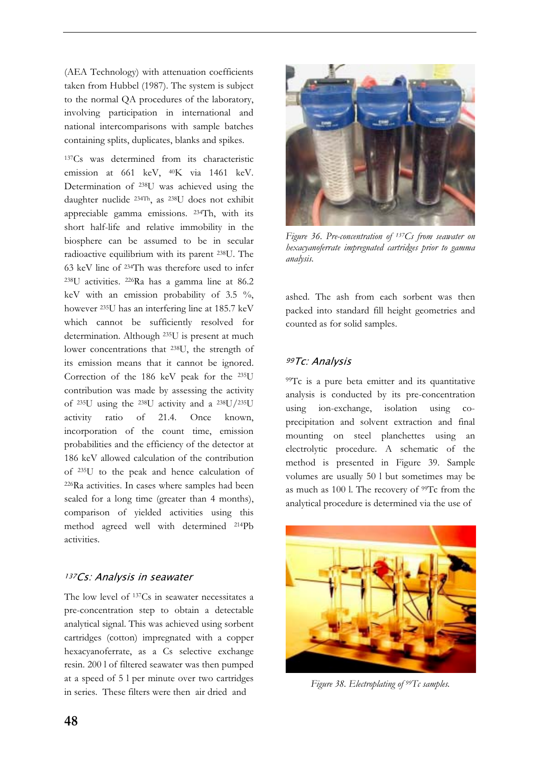(AEA Technology) with attenuation coefficients taken from Hubbel (1987). The system is subject to the normal QA procedures of the laboratory, involving participation in international and national intercomparisons with sample batches containing splits, duplicates, blanks and spikes.

137Cs was determined from its characteristic emission at 661 keV, 40K via 1461 keV. Determination of 238U was achieved using the daughter nuclide 234Th, as 238U does not exhibit appreciable gamma emissions. 234Th, with its short half-life and relative immobility in the biosphere can be assumed to be in secular radioactive equilibrium with its parent 238U. The 63 keV line of 234Th was therefore used to infer 238U activities. 226Ra has a gamma line at 86.2 keV with an emission probability of  $3.5\%$ , however 235U has an interfering line at 185.7 keV which cannot be sufficiently resolved for determination. Although 235U is present at much lower concentrations that 238U, the strength of its emission means that it cannot be ignored. Correction of the 186 keV peak for the 235U contribution was made by assessing the activity of 235U using the 238U activity and a 238U/235U activity ratio of 21.4. Once known, incorporation of the count time, emission probabilities and the efficiency of the detector at 186 keV allowed calculation of the contribution of 235U to the peak and hence calculation of 226Ra activities. In cases where samples had been sealed for a long time (greater than 4 months), comparison of yielded activities using this method agreed well with determined 214Pb activities.

## <sup>137</sup>Cs: Analysis in seawater

The low level of 137Cs in seawater necessitates a pre-concentration step to obtain a detectable analytical signal. This was achieved using sorbent cartridges (cotton) impregnated with a copper hexacyanoferrate, as a Cs selective exchange resin. 200 l of filtered seawater was then pumped at a speed of 5 l per minute over two cartridges in series. These filters were then air dried and



*Figure 36. Pre-concentration of 137Cs from seawater on hexacyanoferrate impregnated cartridges prior to gamma analysis.* 

ashed. The ash from each sorbent was then packed into standard fill height geometries and counted as for solid samples.

#### <sup>99</sup>Tc: Analysis

99Tc is a pure beta emitter and its quantitative analysis is conducted by its pre-concentration using ion-exchange, isolation using coprecipitation and solvent extraction and final mounting on steel planchettes using an electrolytic procedure. A schematic of the method is presented in Figure 39. Sample volumes are usually 50 l but sometimes may be as much as 100 l. The recovery of 99Tc from the analytical procedure is determined via the use of



*Figure 38. Electroplating of 99Tc samples.*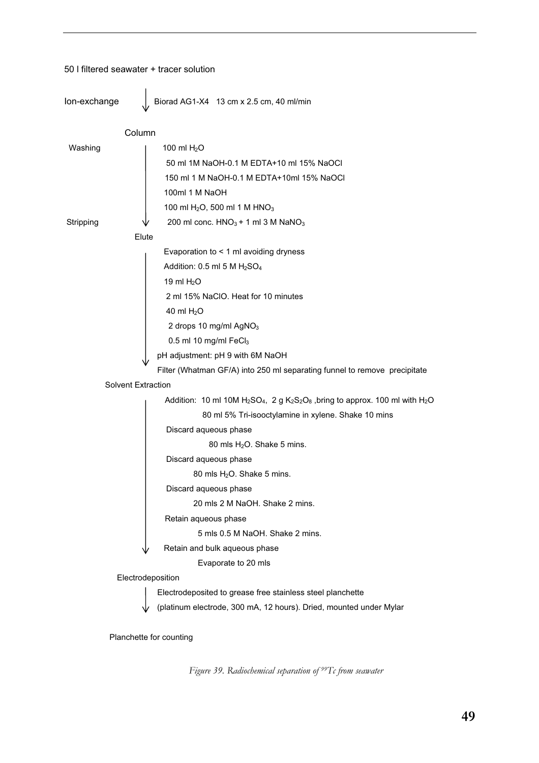### 50 l filtered seawater + tracer solution

| lon-exchange |                           | Biorad AG1-X4 13 cm x 2.5 cm, 40 ml/min                                               |  |  |
|--------------|---------------------------|---------------------------------------------------------------------------------------|--|--|
|              | Column                    |                                                                                       |  |  |
| Washing      | 100 ml $H2O$              |                                                                                       |  |  |
|              |                           | 50 ml 1M NaOH-0.1 M EDTA+10 ml 15% NaOCI                                              |  |  |
|              |                           | 150 ml 1 M NaOH-0.1 M EDTA+10ml 15% NaOCI                                             |  |  |
|              |                           | 100ml 1 M NaOH                                                                        |  |  |
|              |                           | 100 ml H <sub>2</sub> O, 500 ml 1 M HNO <sub>3</sub>                                  |  |  |
| Stripping    |                           | 200 ml conc. $HNO3 + 1$ ml 3 M NaNO <sub>3</sub>                                      |  |  |
|              | Elute                     |                                                                                       |  |  |
|              |                           | Evaporation to $<$ 1 ml avoiding dryness                                              |  |  |
|              |                           | Addition: 0.5 ml 5 M H <sub>2</sub> SO <sub>4</sub>                                   |  |  |
|              |                           | 19 ml $H2O$                                                                           |  |  |
|              |                           | 2 ml 15% NaClO. Heat for 10 minutes                                                   |  |  |
|              |                           | 40 ml $H2O$                                                                           |  |  |
|              |                           | 2 drops 10 mg/ml AgNO <sub>3</sub>                                                    |  |  |
|              |                           | 0.5 ml 10 mg/ml FeCl3                                                                 |  |  |
|              |                           | pH adjustment: pH 9 with 6M NaOH                                                      |  |  |
|              |                           | Filter (Whatman GF/A) into 250 ml separating funnel to remove precipitate             |  |  |
|              | <b>Solvent Extraction</b> |                                                                                       |  |  |
|              |                           | Addition: 10 ml 10M $H_2SO_4$ , 2 g $K_2S_2O_8$ , bring to approx. 100 ml with $H_2O$ |  |  |
|              |                           | 80 ml 5% Tri-isooctylamine in xylene. Shake 10 mins                                   |  |  |
|              |                           | Discard aqueous phase                                                                 |  |  |
|              |                           | 80 mls $H2O$ . Shake 5 mins.                                                          |  |  |
|              |                           | Discard aqueous phase                                                                 |  |  |
|              |                           | 80 mls $H2O$ . Shake 5 mins.                                                          |  |  |
|              |                           | Discard aqueous phase                                                                 |  |  |
|              |                           | 20 mls 2 M NaOH, Shake 2 mins.                                                        |  |  |
|              |                           | Retain aqueous phase                                                                  |  |  |
|              |                           | 5 mls 0.5 M NaOH, Shake 2 mins.                                                       |  |  |
|              |                           | Retain and bulk aqueous phase                                                         |  |  |
|              |                           | Evaporate to 20 mls                                                                   |  |  |
|              | Electrodeposition         |                                                                                       |  |  |
|              |                           | Electrodeposited to grease free stainless steel planchette                            |  |  |
|              |                           | (platinum electrode, 300 mA, 12 hours). Dried, mounted under Mylar                    |  |  |

Planchette for counting

*Figure 39. Radiochemical separation of 99Tc from seawater*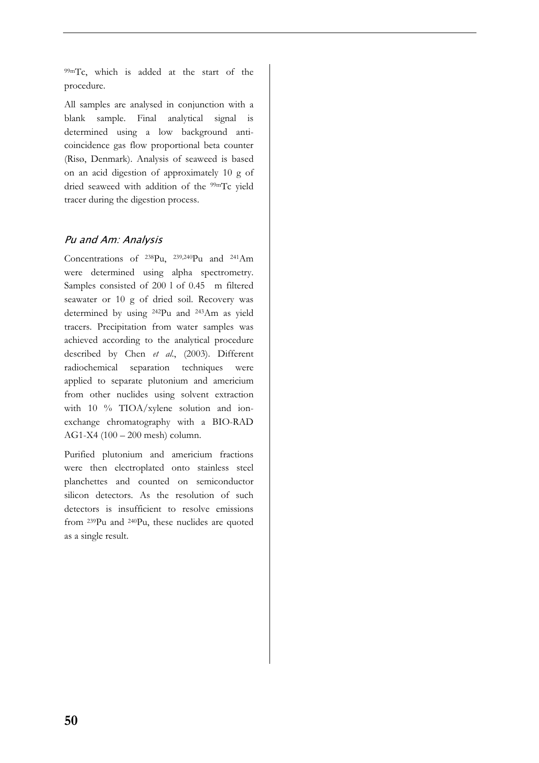99mTc, which is added at the start of the procedure.

All samples are analysed in conjunction with a blank sample. Final analytical signal is determined using a low background anticoincidence gas flow proportional beta counter (Risø, Denmark). Analysis of seaweed is based on an acid digestion of approximately 10 g of dried seaweed with addition of the 99mTc yield tracer during the digestion process.

## Pu and Am: Analysis

Concentrations of 238Pu, 239,240Pu and 241Am were determined using alpha spectrometry. Samples consisted of 200 l of 0.45 m filtered seawater or 10 g of dried soil. Recovery was determined by using 242Pu and 243Am as yield tracers. Precipitation from water samples was achieved according to the analytical procedure described by Chen *et al*., (2003). Different radiochemical separation techniques were applied to separate plutonium and americium from other nuclides using solvent extraction with 10 % TIOA/xylene solution and ionexchange chromatography with a BIO-RAD AG1-X4 (100 – 200 mesh) column.

Purified plutonium and americium fractions were then electroplated onto stainless steel planchettes and counted on semiconductor silicon detectors. As the resolution of such detectors is insufficient to resolve emissions from 239Pu and 240Pu, these nuclides are quoted as a single result.